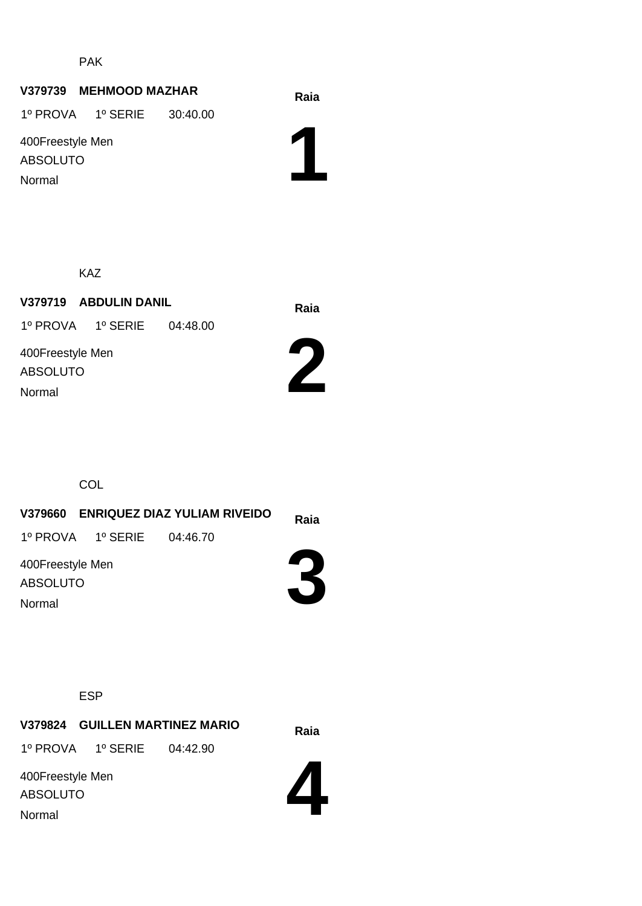PAK

#### **Raia V379739 MEHMOOD MAZHAR**

1º PROVA 1º SERIE 30:40.00

400Freestyle Men ABSOLUTO Normal

ABSOLUTO

Normal

**1**

KAZ

**Raia V379719 ABDULIN DANIL** 400Freestyle Men 1º PROVA 1º SERIE 04:48.00



**COL** 

**Raia V379660 ENRIQUEZ DIAZ YULIAM RIVEIDO 3** 400Freestyle Men ABSOLUTO 1º PROVA 1º SERIE 04:46.70 Normal

ESP

**Raia V379824 GUILLEN MARTINEZ MARIO** 1º PROVA 1º SERIE 04:42.90

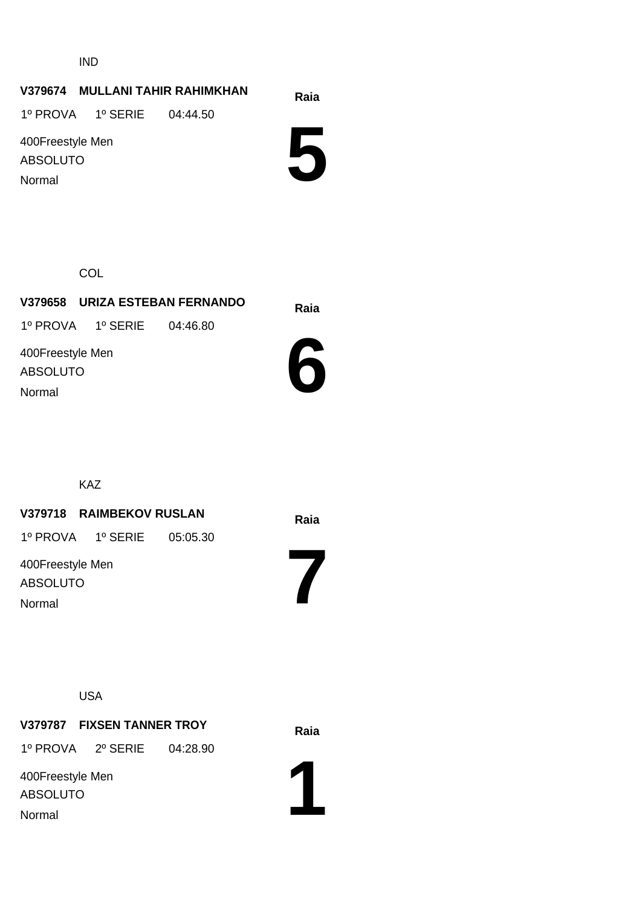IND

#### **Raia V379674 MULLANI TAHIR RAHIMKHAN**

1º PROVA 1º SERIE 04:44.50

400Freestyle Men ABSOLUTO Normal

**5**

**COL** 

**Raia V379658 URIZA ESTEBAN FERNANDO** 400Freestyle Men ABSOLUTO 1º PROVA 1º SERIE 04:46.80

Normal



KAZ

#### **Raia V379718 RAIMBEKOV RUSLAN**

1º PROVA 1º SERIE 05:05.30

400Freestyle Men ABSOLUTO Normal

USA

**Raia V379787 FIXSEN TANNER TROY**

1º PROVA 2º SERIE 04:28.90

400Freestyle Men ABSOLUTO Normal



**7**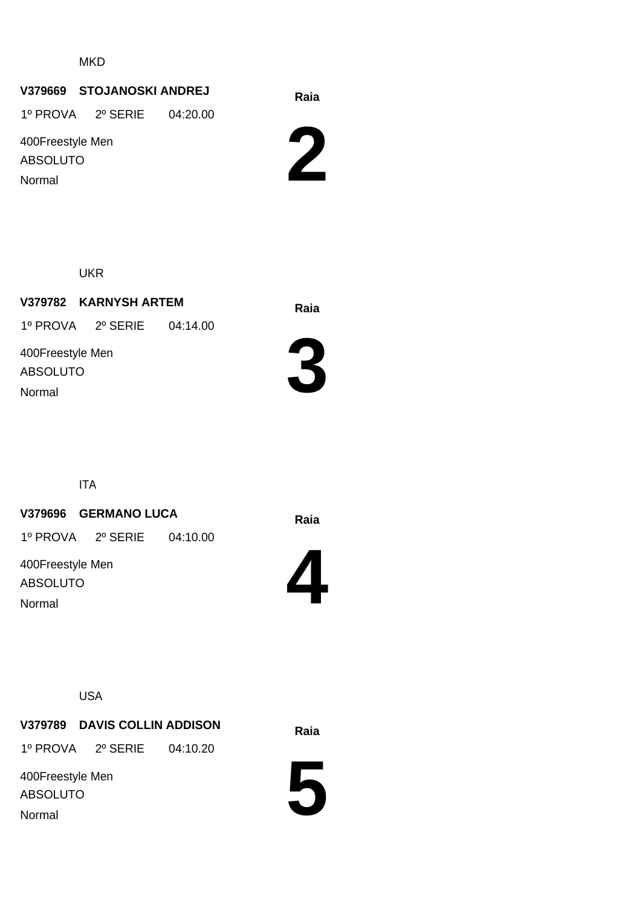**MKD** 

# **Raia V379669 STOJANOSKI ANDREJ**

1º PROVA 2º SERIE 04:20.00

400Freestyle Men ABSOLUTO Normal

**2**

UKR

**Raia V379782 KARNYSH ARTEM** 400Freestyle Men ABSOLUTO 1º PROVA 2º SERIE 04:14.00 Normal



ITA

#### **Raia V379696 GERMANO LUCA**

1º PROVA 2º SERIE 04:10.00

400Freestyle Men ABSOLUTO Normal



USA

**Raia V379789 DAVIS COLLIN ADDISON** 1º PROVA 2º SERIE 04:10.20

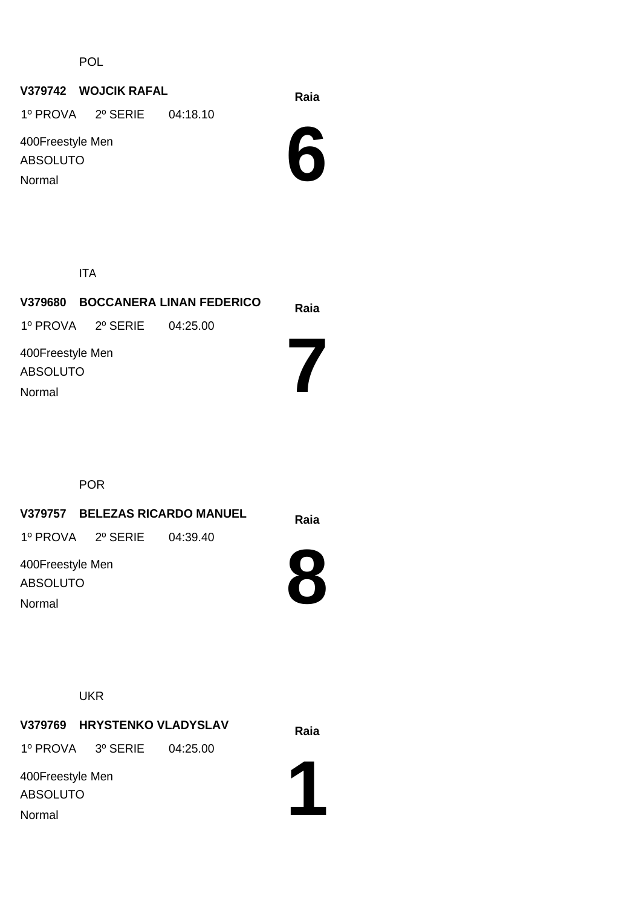POL

# **Raia V379742 WOJCIK RAFAL**

1º PROVA 2º SERIE 04:18.10

400Freestyle Men ABSOLUTO Normal



ITA

| <b>BOCCANERA LINAN FEDERICO</b><br>V379680 |                            |  | Raia |
|--------------------------------------------|----------------------------|--|------|
|                                            | 1º PROVA 2º SERIE 04:25.00 |  |      |
| 400Freestyle Men<br><b>ABSOLUTO</b>        |                            |  |      |
| Normal                                     |                            |  |      |

POR

|                                        | V379757 BELEZAS RICARDO MANUEL | Raia |  |
|----------------------------------------|--------------------------------|------|--|
|                                        | 1º PROVA 2º SERIE 04:39.40     |      |  |
| 400Freestyle Men<br>ABSOLUTO<br>Normal |                                |      |  |
|                                        |                                |      |  |

UKR

**V379769 HRYSTENKO VLADYSLAV** Raia 1º PROVA 3º SERIE 04:25.00

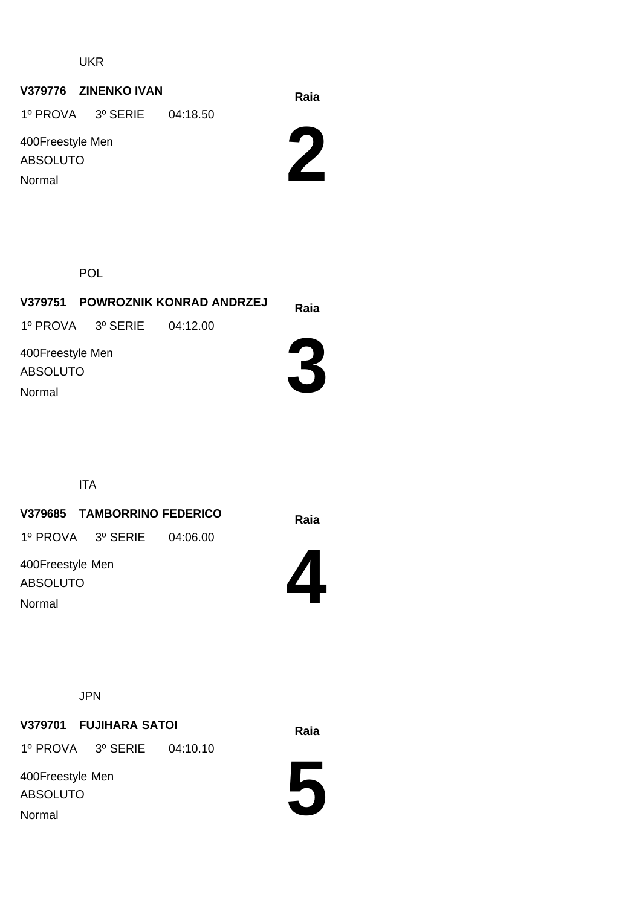# **Raia V379776 ZINENKO IVAN**

1º PROVA 3º SERIE 04:18.50

400Freestyle Men ABSOLUTO Normal



POL

|                              |                            | V379751 POWROZNIK KONRAD ANDRZEJ | Raia |
|------------------------------|----------------------------|----------------------------------|------|
|                              | 1º PROVA 3º SERIE 04:12.00 |                                  |      |
| 400Freestyle Men<br>ABSOLUTO |                            |                                  |      |
| Normal                       |                            |                                  |      |

ITA

# **Raia V379685 TAMBORRINO FEDERICO**

1º PROVA 3º SERIE 04:06.00

400Freestyle Men ABSOLUTO Normal



JPN

# **Raia V379701 FUJIHARA SATOI**

1º PROVA 3º SERIE 04:10.10

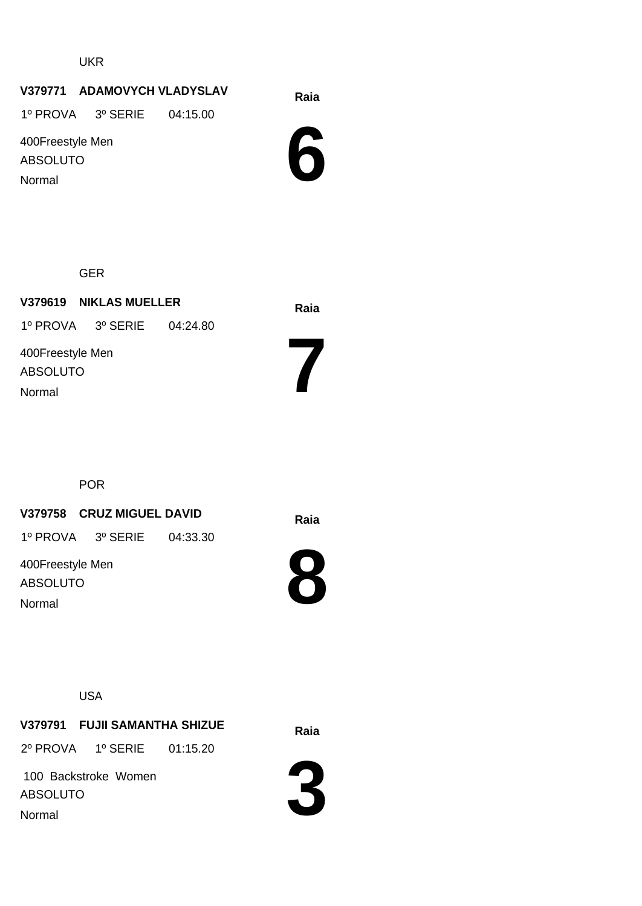# **Raia V379771 ADAMOVYCH VLADYSLAV**

1º PROVA 3º SERIE 04:15.00

400Freestyle Men ABSOLUTO Normal



GER

**Raia V379619 NIKLAS MUELLER** 400Freestyle Men ABSOLUTO 1º PROVA 3º SERIE 04:24.80 Normal

POR

#### **Raia V379758 CRUZ MIGUEL DAVID**

1º PROVA 3º SERIE 04:33.30

400Freestyle Men ABSOLUTO Normal



**8**

**7**



**Raia V379791 FUJII SAMANTHA SHIZUE** 2º PROVA 1º SERIE 01:15.20

 100 Backstroke Women ABSOLUTO Normal

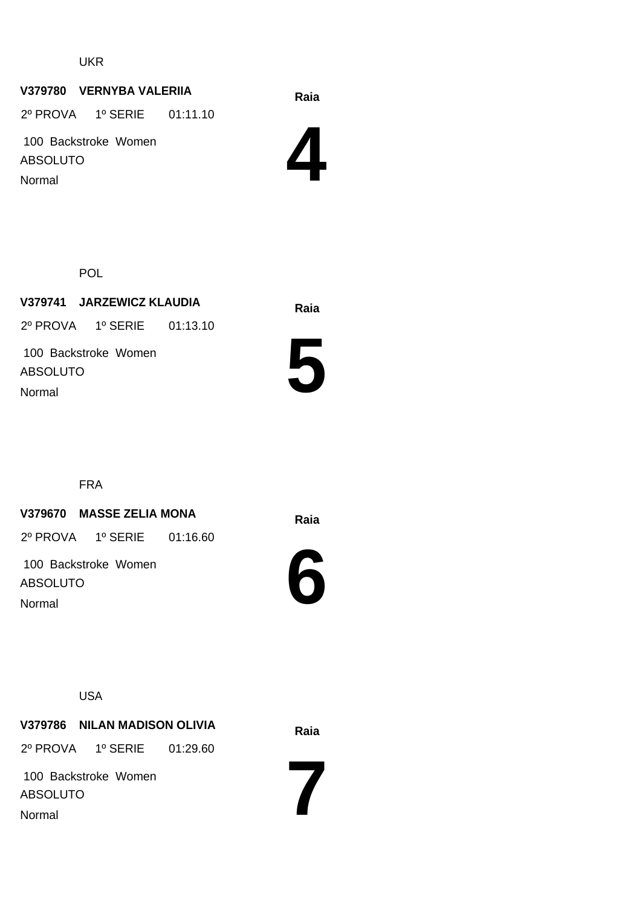#### **Raia V379780 VERNYBA VALERIIA**

2º PROVA 1º SERIE 01:11.10

 100 Backstroke Women ABSOLUTO Normal



POL

**Raia V379741 JARZEWICZ KLAUDIA** 100 Backstroke Women ABSOLUTO 2º PROVA 1º SERIE 01:13.10 Normal



FRA

#### **Raia V379670 MASSE ZELIA MONA**

2º PROVA 1º SERIE 01:16.60

 100 Backstroke Women ABSOLUTO Normal



USA

**Raia V379786 NILAN MADISON OLIVIA** 2º PROVA 1º SERIE 01:29.60

 100 Backstroke Women ABSOLUTO Normal

**7**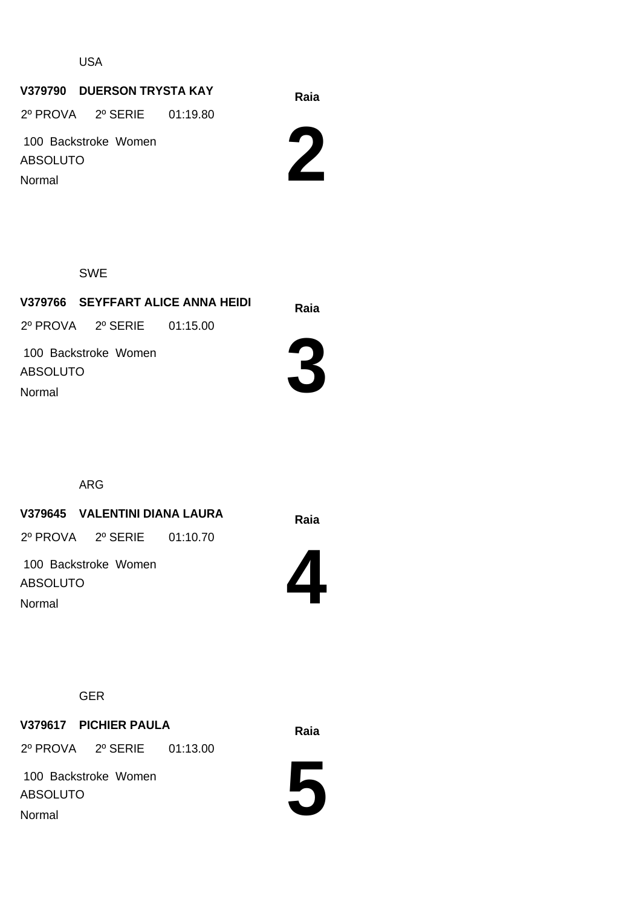USA

# **Raia V379790 DUERSON TRYSTA KAY**

2º PROVA 2º SERIE 01:19.80

 100 Backstroke Women ABSOLUTO Normal



SWE

**Raia V379766 SEYFFART ALICE ANNA HEIDI** 100 Backstroke Women ABSOLUTO 2º PROVA 2º SERIE 01:15.00 Normal



ARG

**Raia V379645 VALENTINI DIANA LAURA**

2º PROVA 2º SERIE 01:10.70

 100 Backstroke Women ABSOLUTO Normal



GER

**Raia V379617 PICHIER PAULA** 2º PROVA 2º SERIE 01:13.00

 100 Backstroke Women ABSOLUTO Normal

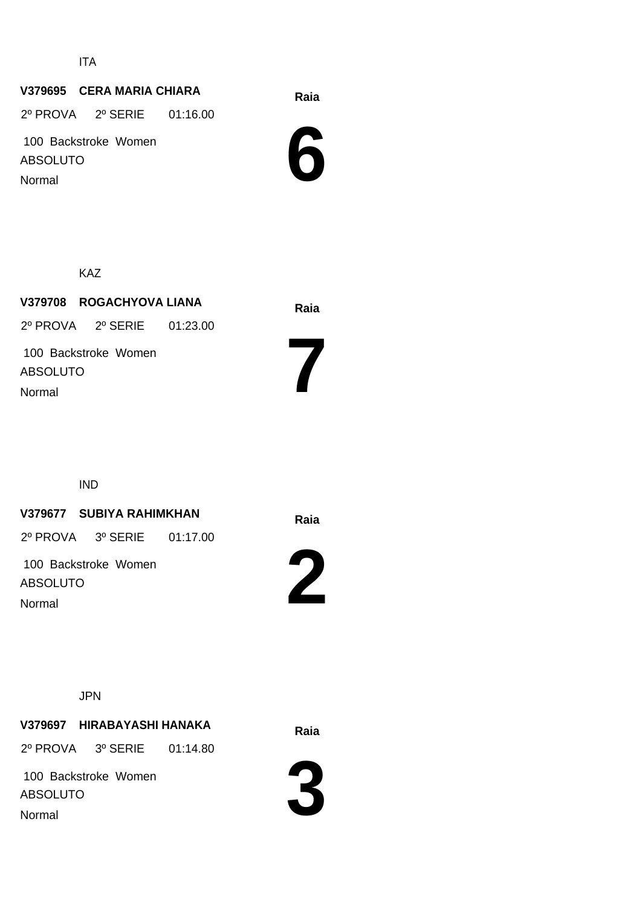ITA

# **Raia V379695 CERA MARIA CHIARA**

2º PROVA 2º SERIE 01:16.00

 100 Backstroke Women ABSOLUTO Normal



KAZ

**Raia V379708 ROGACHYOVA LIANA** 100 Backstroke Women ABSOLUTO 2º PROVA 2º SERIE 01:23.00 Normal

IND

#### **Raia V379677 SUBIYA RAHIMKHAN**

2º PROVA 3º SERIE 01:17.00

 100 Backstroke Women ABSOLUTO Normal



**7**

JPN

**Raia V379697 HIRABAYASHI HANAKA**

2º PROVA 3º SERIE 01:14.80

 100 Backstroke Women ABSOLUTO Normal

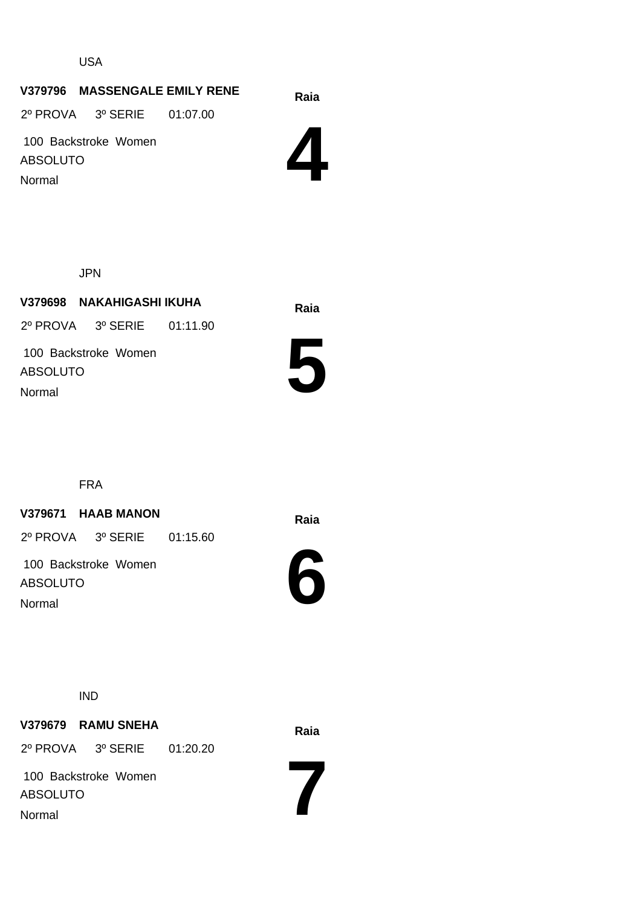USA

#### **Raia V379796 MASSENGALE EMILY RENE**

2º PROVA 3º SERIE 01:07.00

 100 Backstroke Women ABSOLUTO Normal



JPN

**Raia V379698 NAKAHIGASHI IKUHA** 100 Backstroke Women ABSOLUTO 2º PROVA 3º SERIE 01:11.90 Normal



FRA

#### **Raia V379671 HAAB MANON**

2º PROVA 3º SERIE 01:15.60

 100 Backstroke Women ABSOLUTO Normal



IND

**Raia V379679 RAMU SNEHA** 2º PROVA 3º SERIE 01:20.20

 100 Backstroke Women ABSOLUTO Normal

**7**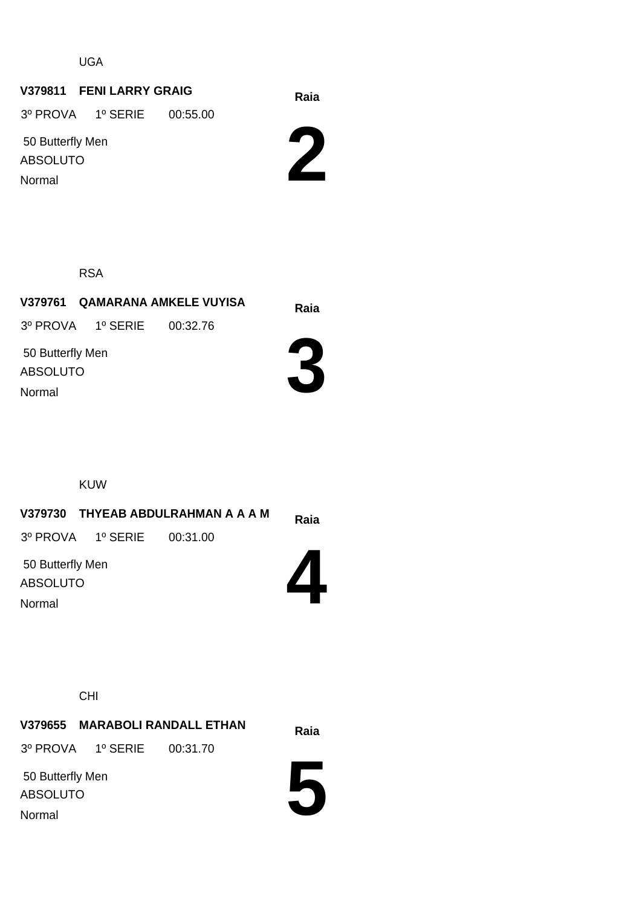UGA

# **Raia V379811 FENI LARRY GRAIG**

3º PROVA 1º SERIE 00:55.00

 50 Butterfly Men ABSOLUTO Normal



RSA

**Raia V379761 QAMARANA AMKELE VUYISA 3** 50 Butterfly Men ABSOLUTO 3º PROVA 1º SERIE 00:32.76 Normal

KUW

|                                     |                            | V379730 THYEAB ABDULRAHMAN A A A M | Raia |
|-------------------------------------|----------------------------|------------------------------------|------|
|                                     | 3º PROVA 1º SERIE 00:31.00 |                                    |      |
| 50 Butterfly Men<br><b>ABSOLUTO</b> |                            |                                    |      |
| Normal                              |                            |                                    |      |
|                                     |                            |                                    |      |

CHI

Normal

**Raia V379655 MARABOLI RANDALL ETHAN** 50 Butterfly Men ABSOLUTO 3º PROVA 1º SERIE 00:31.70

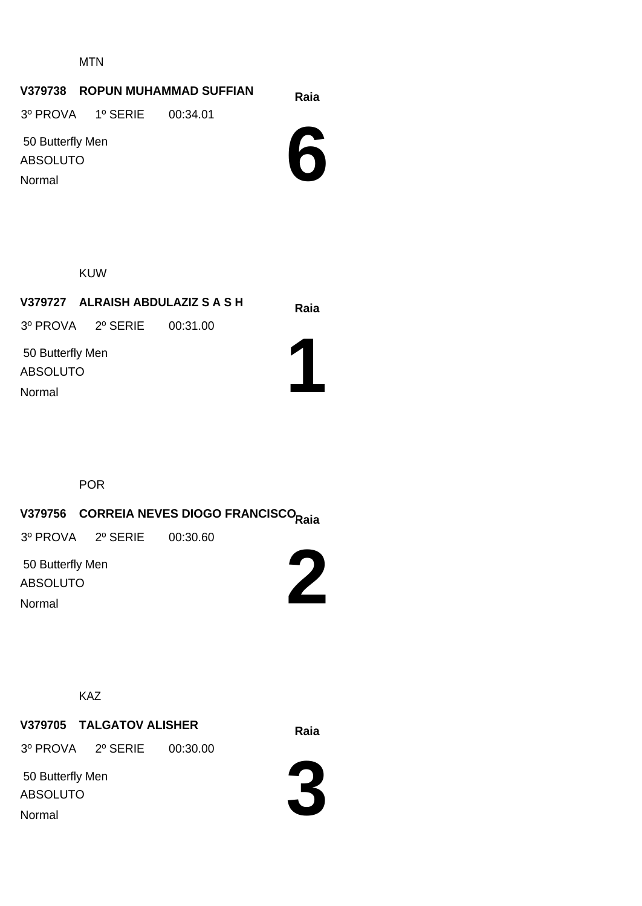MTN

#### **Raia V379738 ROPUN MUHAMMAD SUFFIAN**

3º PROVA 1º SERIE 00:34.01

 50 Butterfly Men ABSOLUTO Normal



KUW

**Raia V379727 ALRAISH ABDULAZIZ S A S H** 3º PROVA 2º SERIE 00:31.00

**1**

 50 Butterfly Men ABSOLUTO

Normal

**Raia V379756 CORREIA NEVES DIOGO FRANCISCO**

3º PROVA 2º SERIE 00:30.60

POR

 50 Butterfly Men ABSOLUTO Normal



KAZ

**Raia V379705 TALGATOV ALISHER**

3º PROVA 2º SERIE 00:30.00

 50 Butterfly Men ABSOLUTO Normal

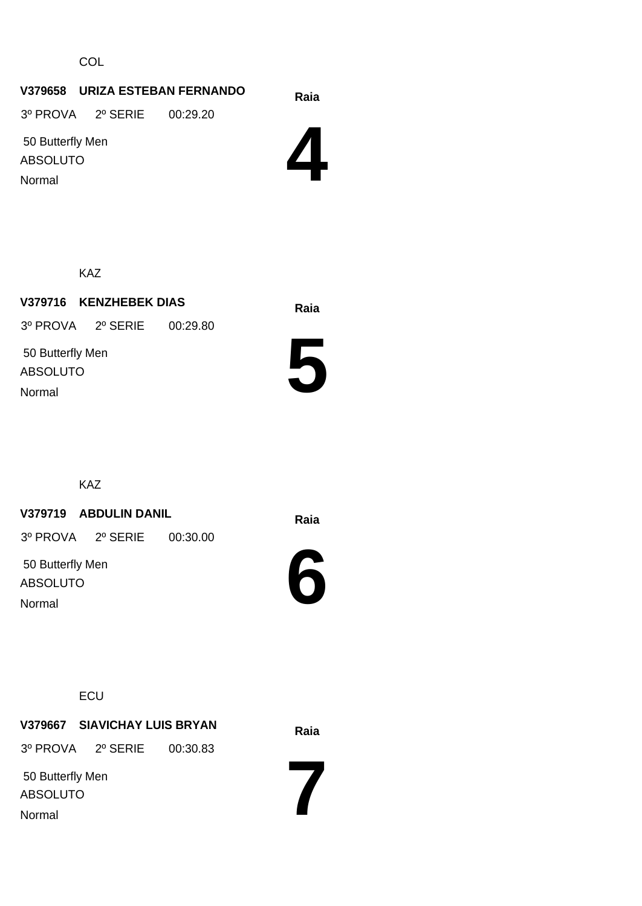**COL** 

#### **Raia V379658 URIZA ESTEBAN FERNANDO** 3º PROVA 2º SERIE 00:29.20

50 Butterfly Men

ABSOLUTO Normal



KAZ

**Raia V379716 KENZHEBEK DIAS** 50 Butterfly Men ABSOLUTO 3º PROVA 2º SERIE 00:29.80 Normal



KAZ

#### **Raia V379719 ABDULIN DANIL**

3º PROVA 2º SERIE 00:30.00

 50 Butterfly Men ABSOLUTO Normal



**ECU** 

**Raia V379667 SIAVICHAY LUIS BRYAN** 3º PROVA 2º SERIE 00:30.83

 50 Butterfly Men ABSOLUTO Normal

**7**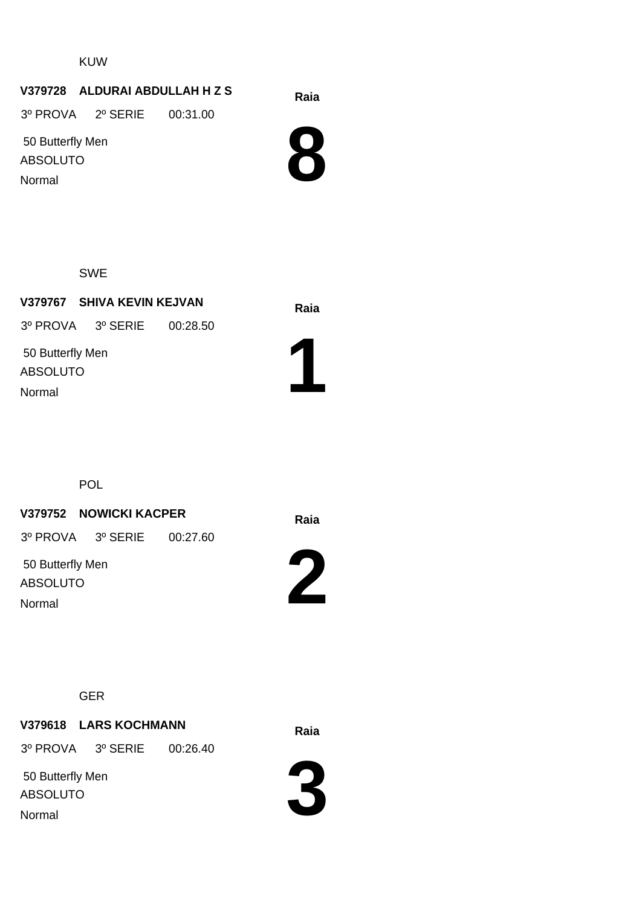KUW

#### **Raia V379728 ALDURAI ABDULLAH H Z S**

3º PROVA 2º SERIE 00:31.00

 50 Butterfly Men ABSOLUTO Normal



SWE

**Raia V379767 SHIVA KEVIN KEJVAN** 50 Butterfly Men ABSOLUTO 3º PROVA 3º SERIE 00:28.50 Normal



POL

#### **Raia V379752 NOWICKI KACPER**

3º PROVA 3º SERIE 00:27.60

 50 Butterfly Men ABSOLUTO Normal



GER

# **Raia V379618 LARS KOCHMANN**

3º PROVA 3º SERIE 00:26.40

 50 Butterfly Men ABSOLUTO Normal

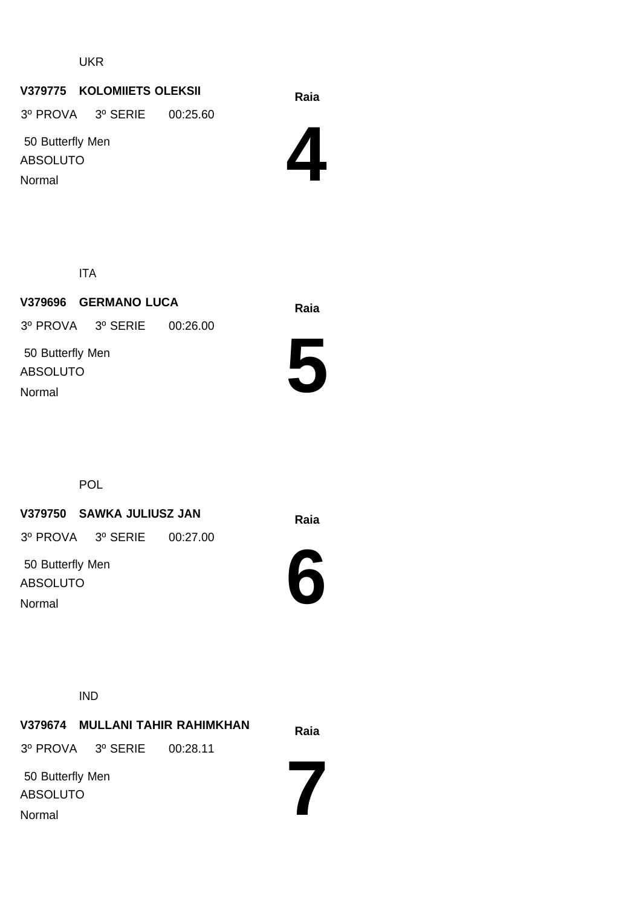# **Raia V379775 KOLOMIIETS OLEKSII**

3º PROVA 3º SERIE 00:25.60

 50 Butterfly Men ABSOLUTO Normal



ITA

**Raia V379696 GERMANO LUCA** 50 Butterfly Men ABSOLUTO 3º PROVA 3º SERIE 00:26.00 Normal



POL

#### **Raia V379750 SAWKA JULIUSZ JAN**

3º PROVA 3º SERIE 00:27.00

 50 Butterfly Men ABSOLUTO Normal



IND

**Raia V379674 MULLANI TAHIR RAHIMKHAN 7** 50 Butterfly Men ABSOLUTO 3º PROVA 3º SERIE 00:28.11 Normal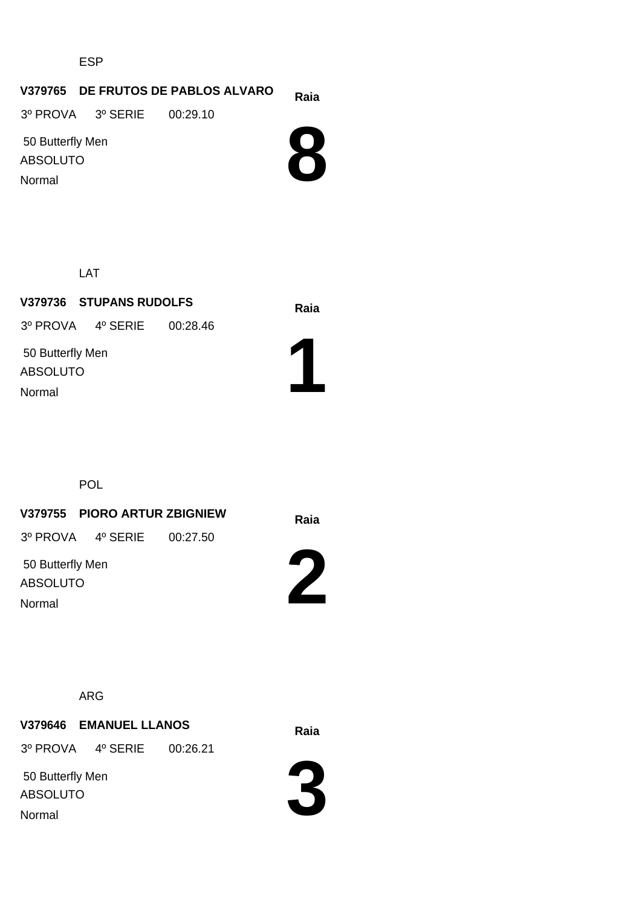ESP

#### **Raia V379765 DE FRUTOS DE PABLOS ALVARO**

3º PROVA 3º SERIE 00:29.10

 50 Butterfly Men ABSOLUTO Normal



LAT

**Raia V379736 STUPANS RUDOLFS** 50 Butterfly Men ABSOLUTO 3º PROVA 4º SERIE 00:28.46 Normal



POL

**Raia V379755 PIORO ARTUR ZBIGNIEW**

3º PROVA 4º SERIE 00:27.50

 50 Butterfly Men ABSOLUTO Normal



ARG

# **Raia V379646 EMANUEL LLANOS**

3º PROVA 4º SERIE 00:26.21

 50 Butterfly Men ABSOLUTO Normal

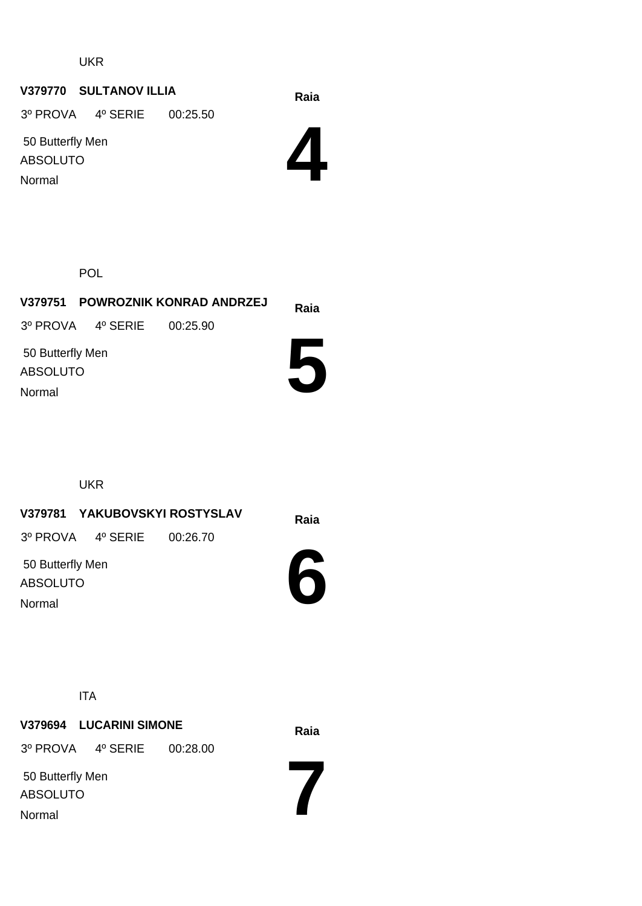# **Raia V379770 SULTANOV ILLIA**

3º PROVA 4º SERIE 00:25.50

 50 Butterfly Men ABSOLUTO Normal



POL

|                                               |                            | V379751 POWROZNIK KONRAD ANDRZEJ | Raia |
|-----------------------------------------------|----------------------------|----------------------------------|------|
|                                               | 3º PROVA 4º SERIE 00:25.90 |                                  |      |
| 50 Butterfly Men<br><b>ABSOLUTO</b><br>Normal |                            |                                  |      |

UKR

**Raia V379781 YAKUBOVSKYI ROSTYSLAV** 50 Butterfly Men ABSOLUTO 3º PROVA 4º SERIE 00:26.70

Normal

**6**

**7**

ITA

**Raia V379694 LUCARINI SIMONE** 50 Butterfly Men ABSOLUTO 3º PROVA 4º SERIE 00:28.00 Normal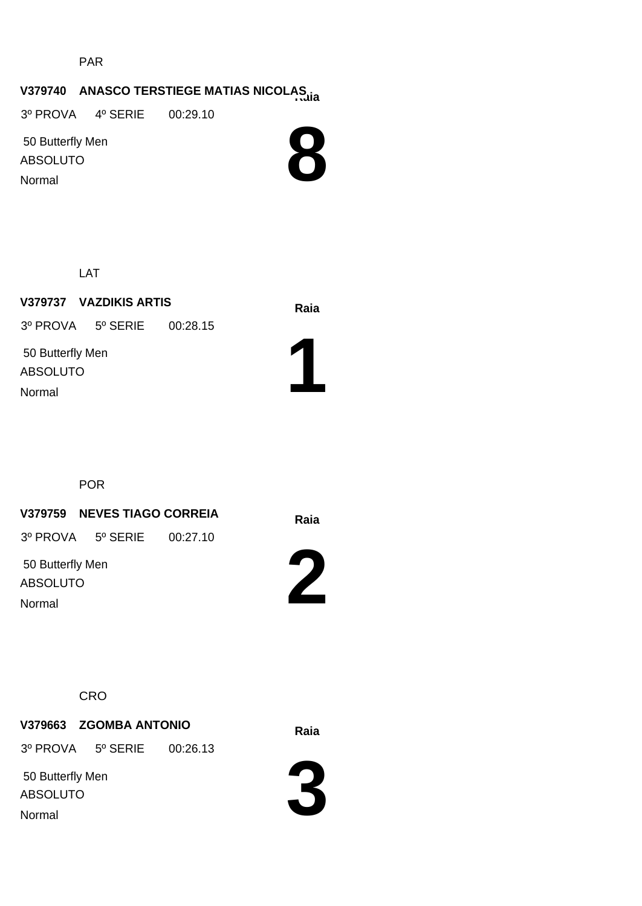PAR

# **Raia V379740 ANASCO TERSTIEGE MATIAS NICOLAS**

3º PROVA 4º SERIE 00:29.10

 50 Butterfly Men ABSOLUTO Normal



LAT

**Raia V379737 VAZDIKIS ARTIS** 50 Butterfly Men ABSOLUTO 3º PROVA 5º SERIE 00:28.15 Normal



POR

**Raia V379759 NEVES TIAGO CORREIA**

3º PROVA 5º SERIE 00:27.10

 50 Butterfly Men ABSOLUTO Normal



**CRO** 

**Raia V379663 ZGOMBA ANTONIO**

3º PROVA 5º SERIE 00:26.13

 50 Butterfly Men ABSOLUTO Normal

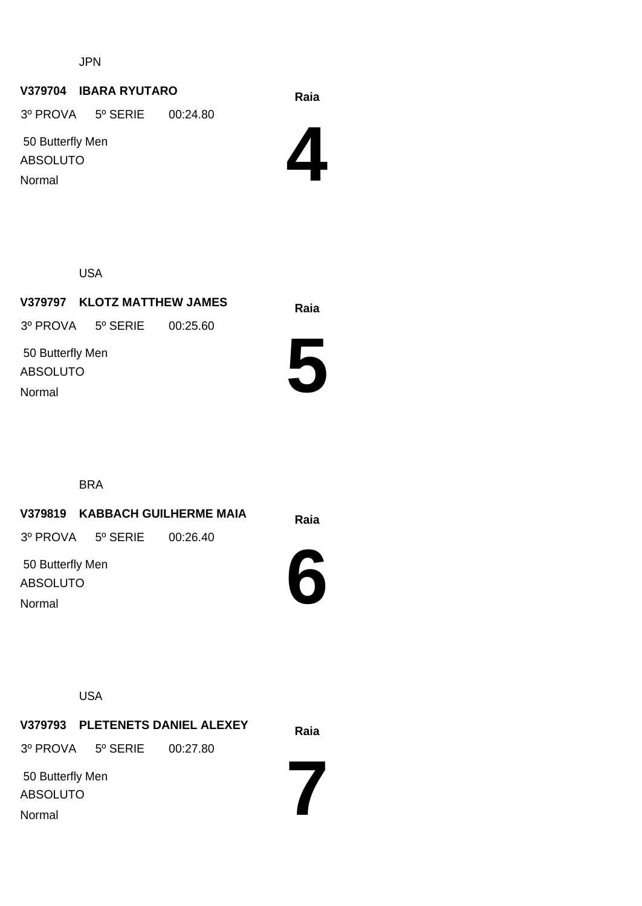JPN

#### **Raia V379704 IBARA RYUTARO**

3º PROVA 5º SERIE 00:24.80

 50 Butterfly Men ABSOLUTO Normal



USA

**Raia V379797 KLOTZ MATTHEW JAMES** 50 Butterfly Men ABSOLUTO 3º PROVA 5º SERIE 00:25.60 Normal



BRA

**Raia V379819 KABBACH GUILHERME MAIA** 50 Butterfly Men 3º PROVA 5º SERIE 00:26.40

ABSOLUTO Normal



USA

**Raia V379793 PLETENETS DANIEL ALEXEY 7** 50 Butterfly Men ABSOLUTO 3º PROVA 5º SERIE 00:27.80 Normal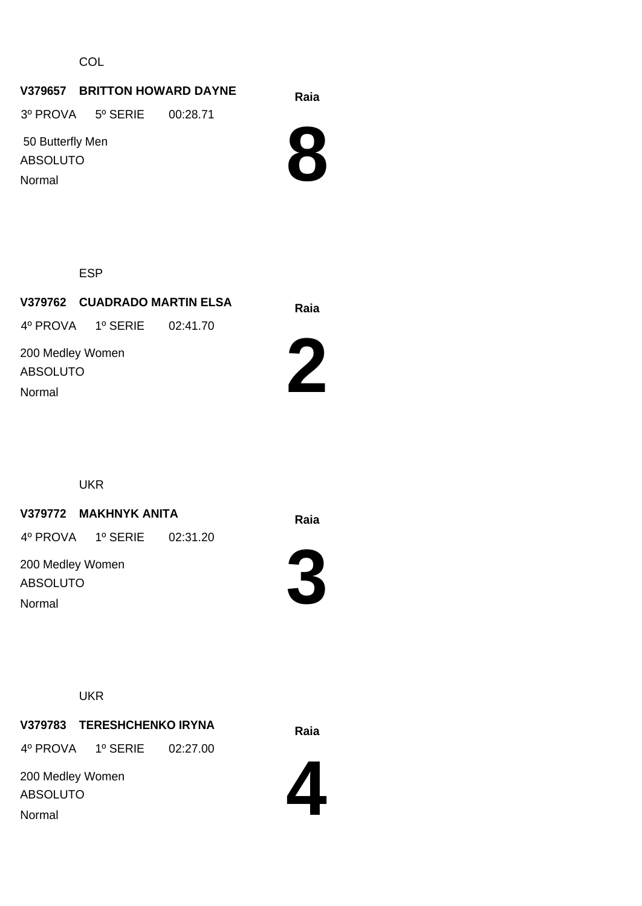**COL** 

# **Raia V379657 BRITTON HOWARD DAYNE**

3º PROVA 5º SERIE 00:28.71

 50 Butterfly Men ABSOLUTO Normal



ESP

|                                     |                            | V379762 CUADRADO MARTIN ELSA | Raia |
|-------------------------------------|----------------------------|------------------------------|------|
|                                     | 4º PROVA 1º SERIE 02:41.70 |                              |      |
| 200 Medley Women<br><b>ABSOLUTO</b> |                            |                              |      |
| Normal                              |                            |                              |      |

UKR

# **Raia V379772 MAKHNYK ANITA**

4º PROVA 1º SERIE 02:31.20

200 Medley Women ABSOLUTO Normal



**3**



**Raia V379783 TERESHCHENKO IRYNA** 4º PROVA 1º SERIE 02:27.00

200 Medley Women ABSOLUTO Normal

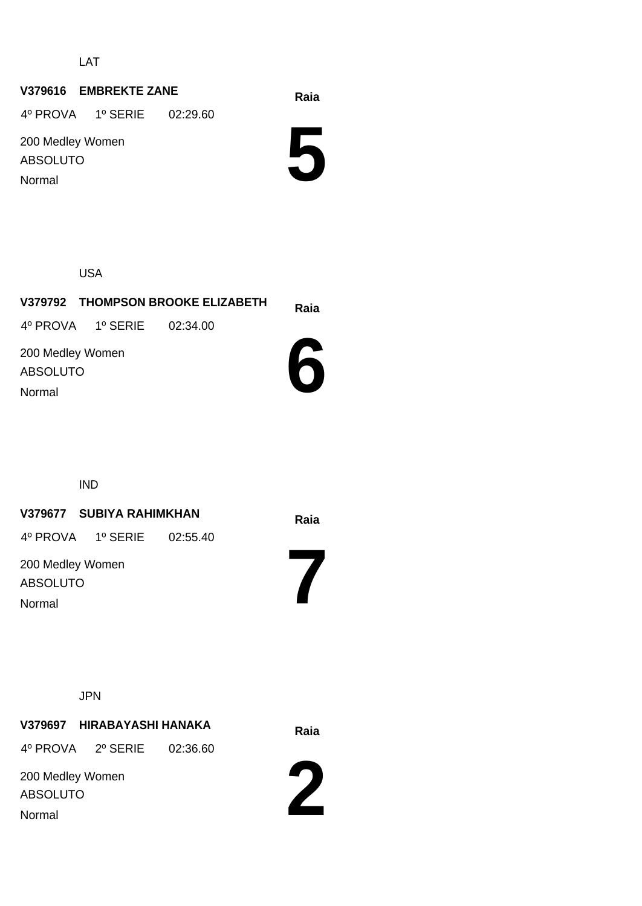LAT

# **Raia V379616 EMBREKTE ZANE**

4º PROVA 1º SERIE 02:29.60

200 Medley Women ABSOLUTO Normal

**5**

USA

|                                               |                            | V379792 THOMPSON BROOKE ELIZABETH | Raia |
|-----------------------------------------------|----------------------------|-----------------------------------|------|
|                                               | 4º PROVA 1º SERIE 02:34.00 |                                   |      |
| 200 Medley Women<br><b>ABSOLUTO</b><br>Normal |                            |                                   |      |
|                                               |                            |                                   |      |

IND

# **Raia V379677 SUBIYA RAHIMKHAN**

4º PROVA 1º SERIE 02:55.40

200 Medley Women ABSOLUTO Normal

JPN

**Raia V379697 HIRABAYASHI HANAKA**

4º PROVA 2º SERIE 02:36.60

200 Medley Women ABSOLUTO Normal



**7**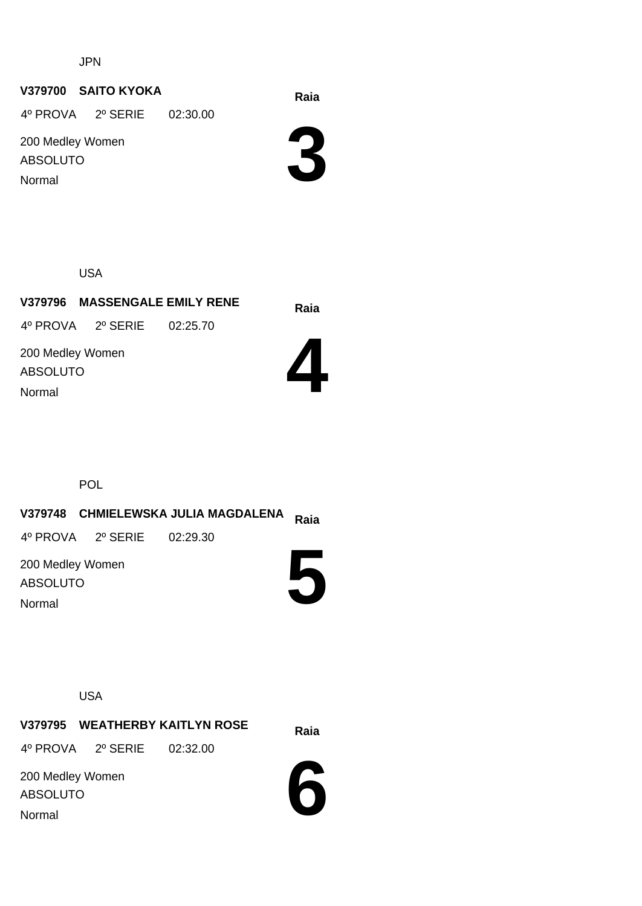JPN

#### **Raia V379700 SAITO KYOKA**

4º PROVA 2º SERIE 02:30.00

200 Medley Women ABSOLUTO Normal

**3**

USA

**Raia V379796 MASSENGALE EMILY RENE**

4º PROVA 2º SERIE 02:25.70

200 Medley Women ABSOLUTO Normal



POL

**Raia V379748 CHMIELEWSKA JULIA MAGDALENA 5** 200 Medley Women ABSOLUTO 4º PROVA 2º SERIE 02:29.30 Normal

USA

**Raia V379795 WEATHERBY KAITLYN ROSE** 4º PROVA 2º SERIE 02:32.00

200 Medley Women ABSOLUTO Normal

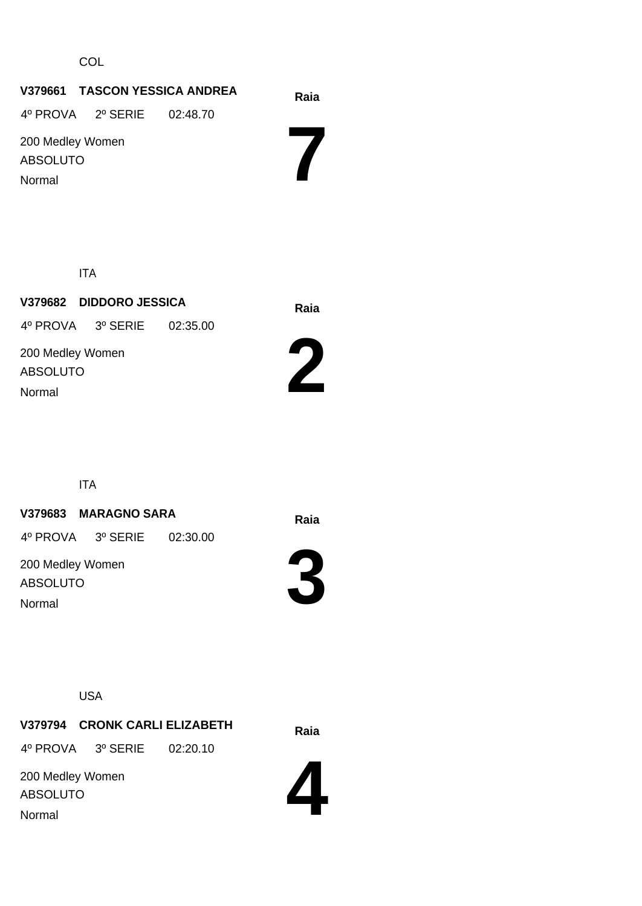**COL** 

# **Raia V379661 TASCON YESSICA ANDREA 7** 200 Medley Women ABSOLUTO 4º PROVA 2º SERIE 02:48.70 Normal

ITA

**Raia V379682 DIDDORO JESSICA** 200 Medley Women ABSOLUTO 4º PROVA 3º SERIE 02:35.00 Normal



ITA

#### **Raia V379683 MARAGNO SARA**

4º PROVA 3º SERIE 02:30.00

200 Medley Women ABSOLUTO Normal



**3**

USA

**Raia V379794 CRONK CARLI ELIZABETH** 4º PROVA 3º SERIE 02:20.10

200 Medley Women ABSOLUTO Normal

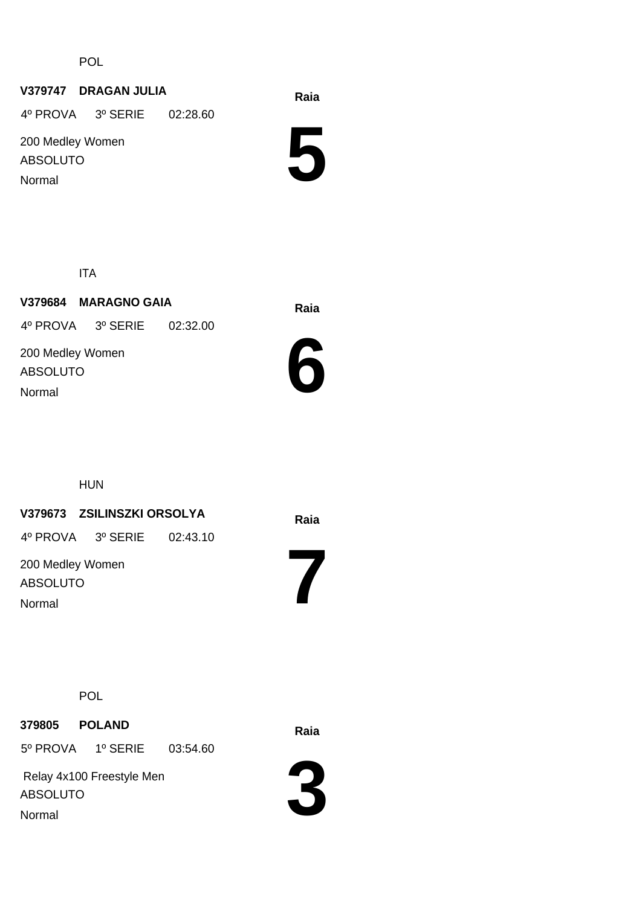POL

#### **Raia V379747 DRAGAN JULIA**

4º PROVA 3º SERIE 02:28.60

200 Medley Women ABSOLUTO Normal

**5**

ITA

**Raia V379684 MARAGNO GAIA** 200 Medley Women ABSOLUTO 4º PROVA 3º SERIE 02:32.00 Normal



HUN

#### **Raia V379673 ZSILINSZKI ORSOLYA**

4º PROVA 3º SERIE 02:43.10

200 Medley Women ABSOLUTO Normal

**7**

POL

**Raia <sup>379805</sup> POLAND**

5º PROVA 1º SERIE 03:54.60

 Relay 4x100 Freestyle Men ABSOLUTO Normal

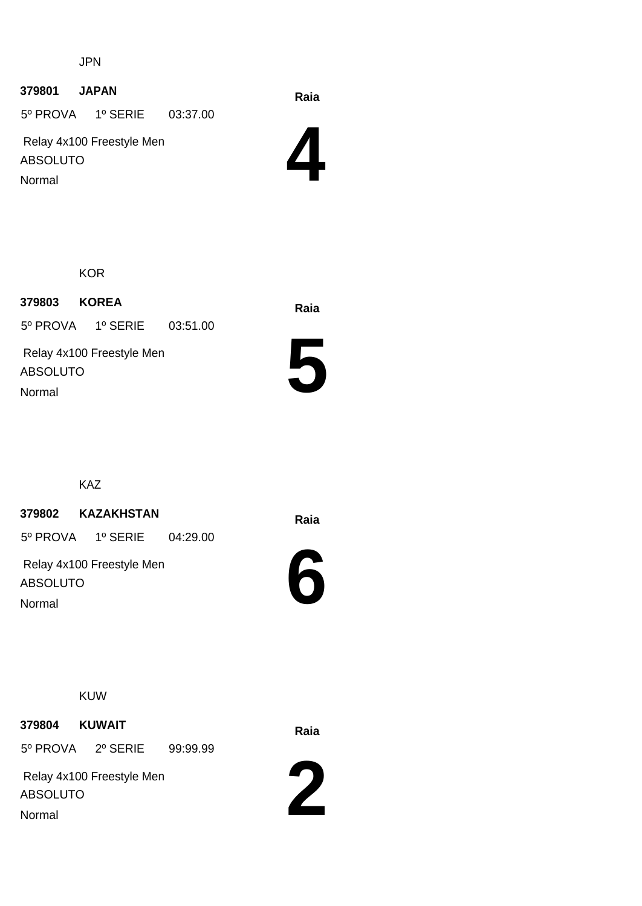JPN

# **Raia <sup>379801</sup> JAPAN**

5º PROVA 1º SERIE 03:37.00

 Relay 4x100 Freestyle Men ABSOLUTO Normal

**4**

**KOR** 

**Raia <sup>379803</sup> KOREA** 5º PROVA 1º SERIE 03:51.00

 Relay 4x100 Freestyle Men ABSOLUTO Normal



KAZ

# **Raia <sup>379802</sup> KAZAKHSTAN**

5º PROVA 1º SERIE 04:29.00

 Relay 4x100 Freestyle Men ABSOLUTO Normal



KUW

**Raia <sup>379804</sup> KUWAIT**

5º PROVA 2º SERIE 99:99.99

 Relay 4x100 Freestyle Men ABSOLUTO Normal

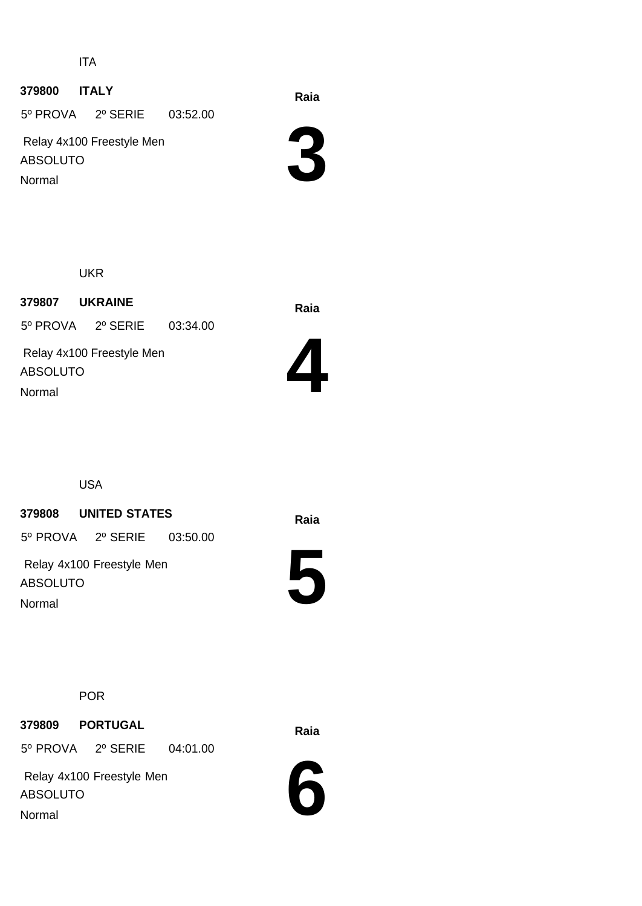ITA

# **Raia <sup>379800</sup> ITALY**

5º PROVA 2º SERIE 03:52.00

 Relay 4x100 Freestyle Men ABSOLUTO Normal

**3**

UKR

**Raia <sup>379807</sup> UKRAINE** Relay 4x100 Freestyle Men ABSOLUTO 5º PROVA 2º SERIE 03:34.00



USA

Normal

#### **Raia <sup>379808</sup> UNITED STATES**

5º PROVA 2º SERIE 03:50.00

 Relay 4x100 Freestyle Men ABSOLUTO Normal



POR

**Raia <sup>379809</sup> PORTUGAL**

5º PROVA 2º SERIE 04:01.00

 Relay 4x100 Freestyle Men ABSOLUTO Normal

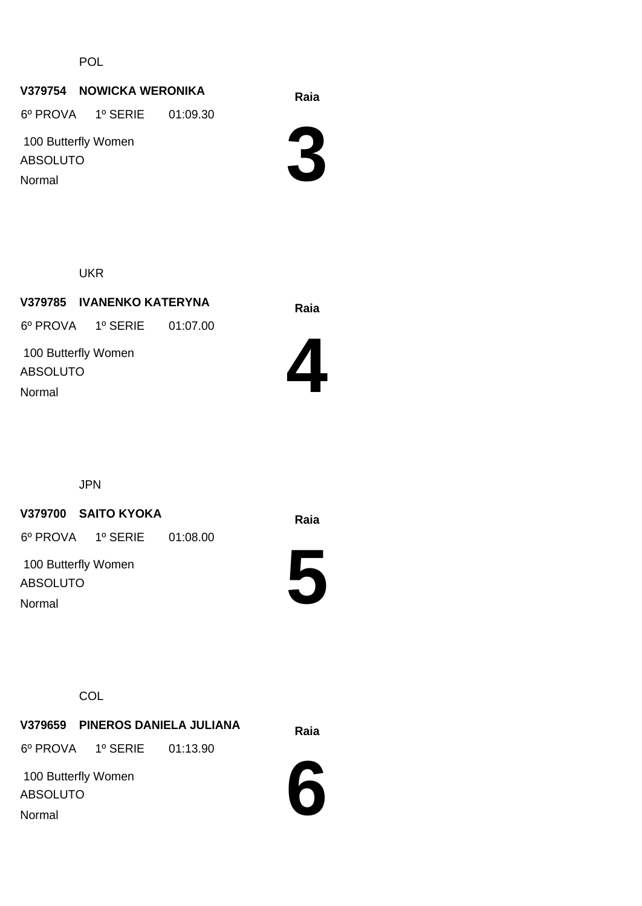POL

#### **Raia V379754 NOWICKA WERONIKA**

6º PROVA 1º SERIE 01:09.30

 100 Butterfly Women ABSOLUTO Normal

**3**

UKR

**Raia V379785 IVANENKO KATERYNA** 100 Butterfly Women ABSOLUTO 6º PROVA 1º SERIE 01:07.00 Normal



JPN

#### **Raia V379700 SAITO KYOKA**

6º PROVA 1º SERIE 01:08.00

 100 Butterfly Women ABSOLUTO Normal

**5**

**COL** 

**Raia V379659 PINEROS DANIELA JULIANA** 6º PROVA 1º SERIE 01:13.90

 100 Butterfly Women ABSOLUTO Normal

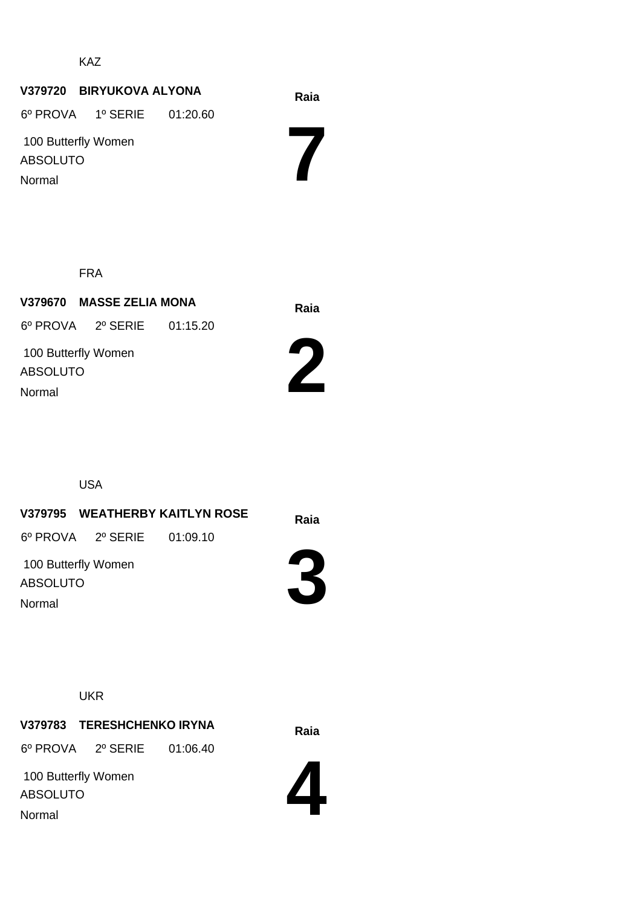KAZ

# **Raia V379720 BIRYUKOVA ALYONA**

6º PROVA 1º SERIE 01:20.60

 100 Butterfly Women ABSOLUTO Normal

**7**

FRA

**Raia V379670 MASSE ZELIA MONA** 100 Butterfly Women ABSOLUTO 6º PROVA 2º SERIE 01:15.20 Normal





**Raia V379795 WEATHERBY KAITLYN ROSE** 100 Butterfly Women 6º PROVA 2º SERIE 01:09.10

ABSOLUTO Normal



**UKR** 

**Raia V379783 TERESHCHENKO IRYNA**

6º PROVA 2º SERIE 01:06.40

 100 Butterfly Women ABSOLUTO Normal

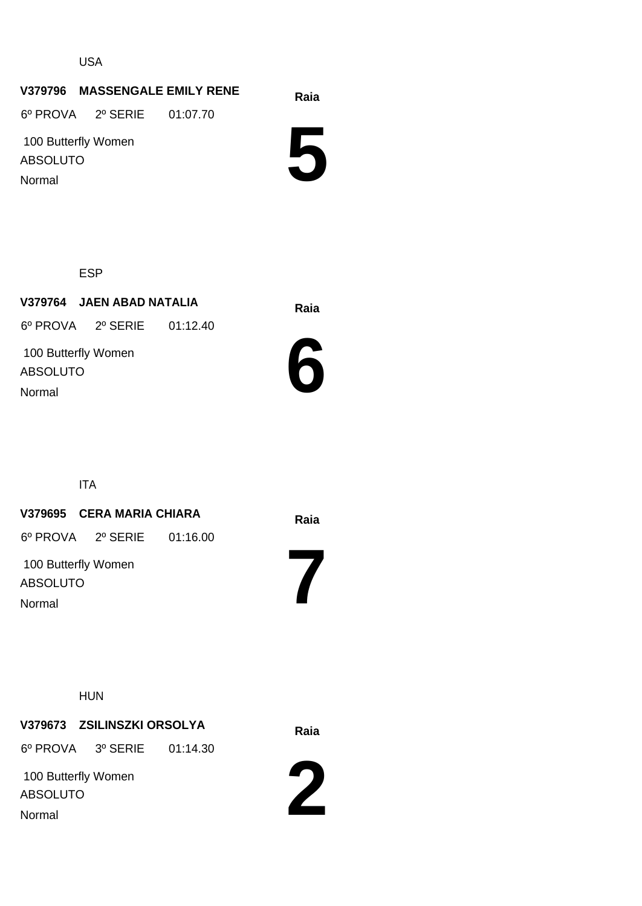USA

# **Raia V379796 MASSENGALE EMILY RENE**

6º PROVA 2º SERIE 01:07.70

 100 Butterfly Women ABSOLUTO Normal

**5**

ESP

**Raia V379764 JAEN ABAD NATALIA** 100 Butterfly Women ABSOLUTO 6º PROVA 2º SERIE 01:12.40 Normal



ITA

# **Raia V379695 CERA MARIA CHIARA**

6º PROVA 2º SERIE 01:16.00

 100 Butterfly Women ABSOLUTO Normal

HUN

# **Raia V379673 ZSILINSZKI ORSOLYA**

6º PROVA 3º SERIE 01:14.30

 100 Butterfly Women ABSOLUTO Normal



**7**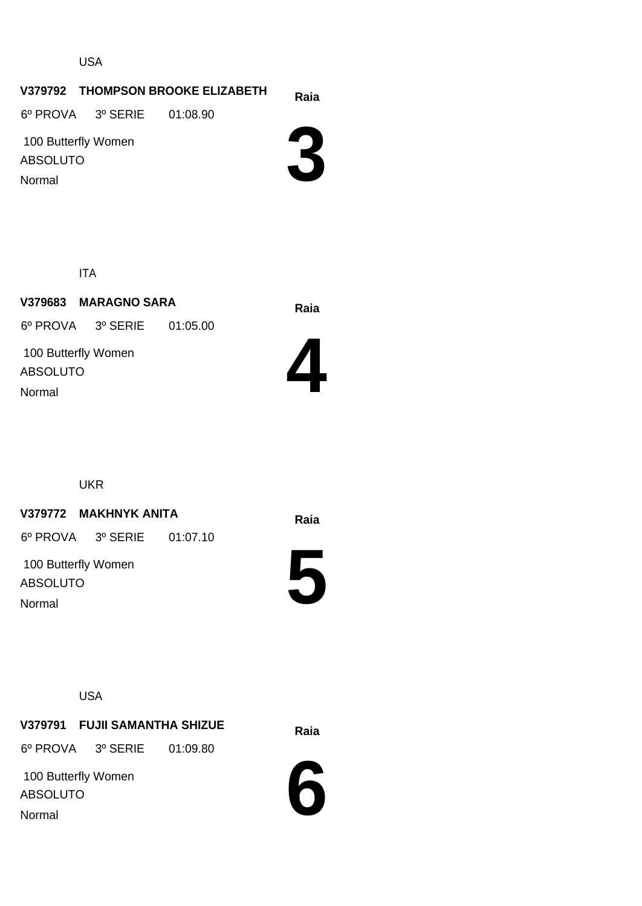USA

#### **Raia V379792 THOMPSON BROOKE ELIZABETH**

6º PROVA 3º SERIE 01:08.90

 100 Butterfly Women ABSOLUTO Normal

**3**

ITA

**Raia V379683 MARAGNO SARA** 100 Butterfly Women ABSOLUTO 6º PROVA 3º SERIE 01:05.00 Normal



UKR

#### **Raia V379772 MAKHNYK ANITA**

6º PROVA 3º SERIE 01:07.10

 100 Butterfly Women ABSOLUTO Normal



USA

**Raia V379791 FUJII SAMANTHA SHIZUE** 6º PROVA 3º SERIE 01:09.80

 100 Butterfly Women ABSOLUTO Normal

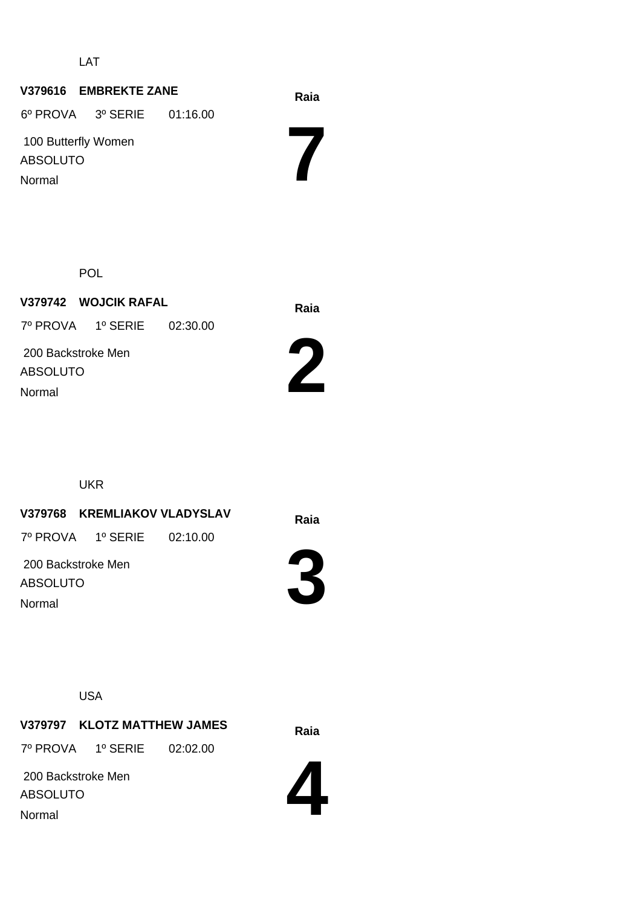LAT

# **Raia V379616 EMBREKTE ZANE 7** 100 Butterfly Women ABSOLUTO 6º PROVA 3º SERIE 01:16.00 Normal

POL

**Raia V379742 WOJCIK RAFAL** 200 Backstroke Men ABSOLUTO 7º PROVA 1º SERIE 02:30.00 Normal



UKR

**Raia V379768 KREMLIAKOV VLADYSLAV**

7º PROVA 1º SERIE 02:10.00

 200 Backstroke Men ABSOLUTO Normal



USA

**Raia V379797 KLOTZ MATTHEW JAMES** 7º PROVA 1º SERIE 02:02.00

 200 Backstroke Men ABSOLUTO Normal

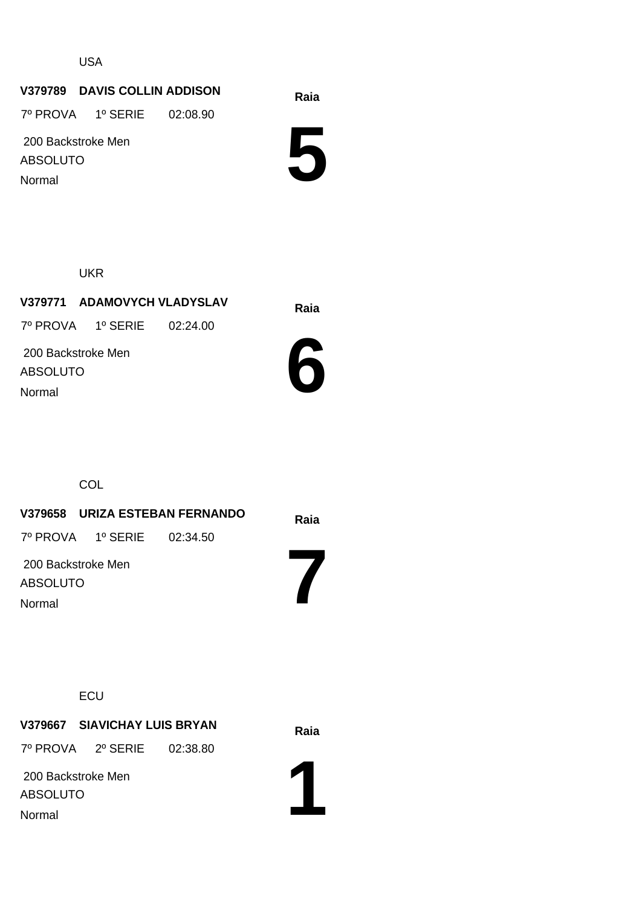USA

#### **Raia V379789 DAVIS COLLIN ADDISON**

7º PROVA 1º SERIE 02:08.90

 200 Backstroke Men ABSOLUTO Normal

**5**

UKR

**Raia V379771 ADAMOVYCH VLADYSLAV** 200 Backstroke Men ABSOLUTO 7º PROVA 1º SERIE 02:24.00 Normal



**COL** 

**Raia V379658 URIZA ESTEBAN FERNANDO 7** 200 Backstroke Men ABSOLUTO 7º PROVA 1º SERIE 02:34.50 Normal

**ECU** 

**Raia V379667 SIAVICHAY LUIS BRYAN**

7º PROVA 2º SERIE 02:38.80

 200 Backstroke Men ABSOLUTO Normal

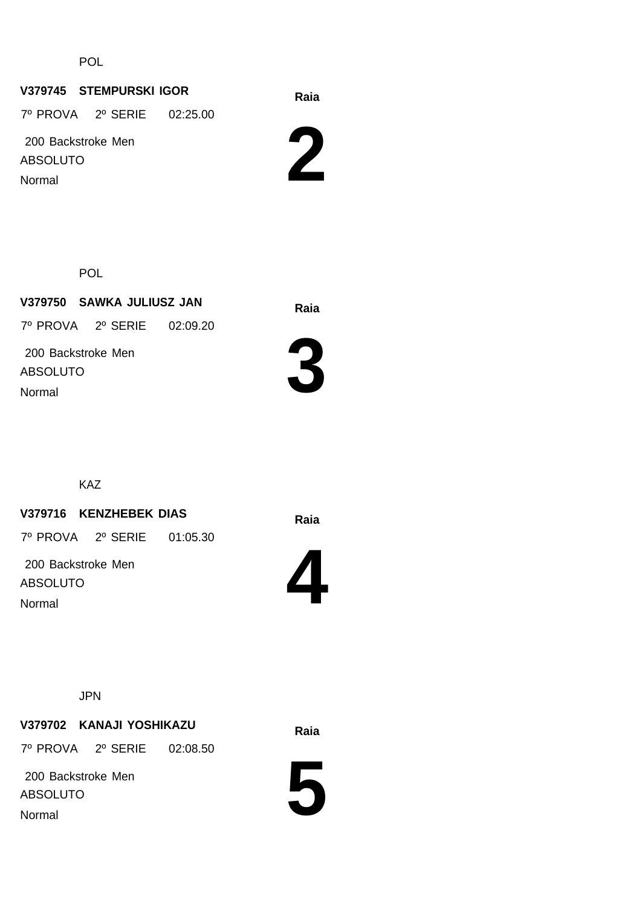POL

#### **Raia V379745 STEMPURSKI IGOR**

7º PROVA 2º SERIE 02:25.00

 200 Backstroke Men ABSOLUTO Normal



POL

**Raia V379750 SAWKA JULIUSZ JAN** 200 Backstroke Men ABSOLUTO 7º PROVA 2º SERIE 02:09.20 Normal



KAZ

#### **Raia V379716 KENZHEBEK DIAS**

7º PROVA 2º SERIE 01:05.30

 200 Backstroke Men ABSOLUTO Normal



JPN

# **Raia V379702 KANAJI YOSHIKAZU**

7º PROVA 2º SERIE 02:08.50

 200 Backstroke Men ABSOLUTO Normal

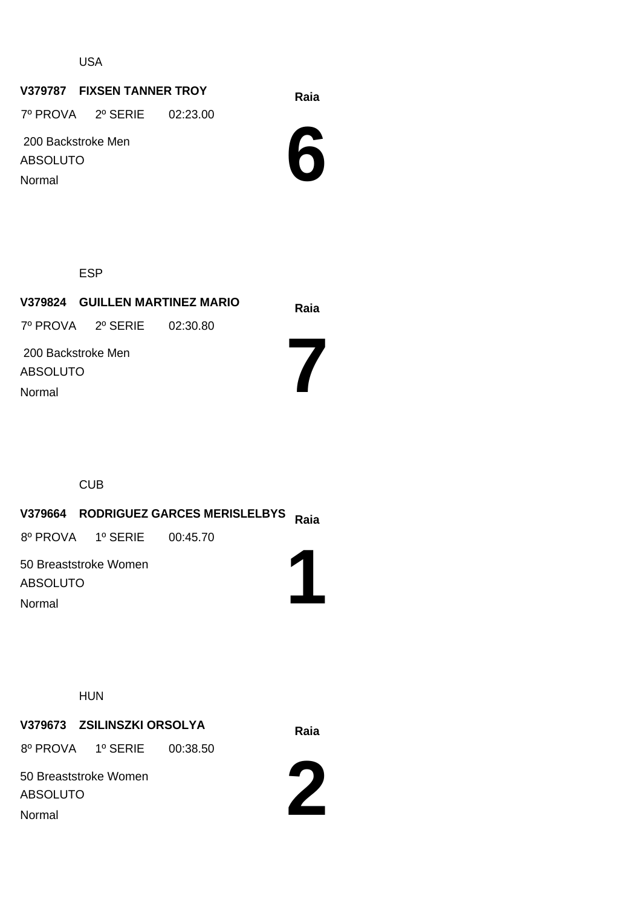USA

# **Raia V379787 FIXSEN TANNER TROY**

7º PROVA 2º SERIE 02:23.00

 200 Backstroke Men ABSOLUTO

Normal



ESP

**Raia V379824 GUILLEN MARTINEZ MARIO 7** 200 Backstroke Men ABSOLUTO 7º PROVA 2º SERIE 02:30.80 Normal

CUB

# **Raia V379664 RODRIGUEZ GARCES MERISLELBYS**

8º PROVA 1º SERIE 00:45.70

50 Breaststroke Women ABSOLUTO Normal

HUN

# **Raia V379673 ZSILINSZKI ORSOLYA**

8º PROVA 1º SERIE 00:38.50

50 Breaststroke Women

ABSOLUTO

Normal



**1**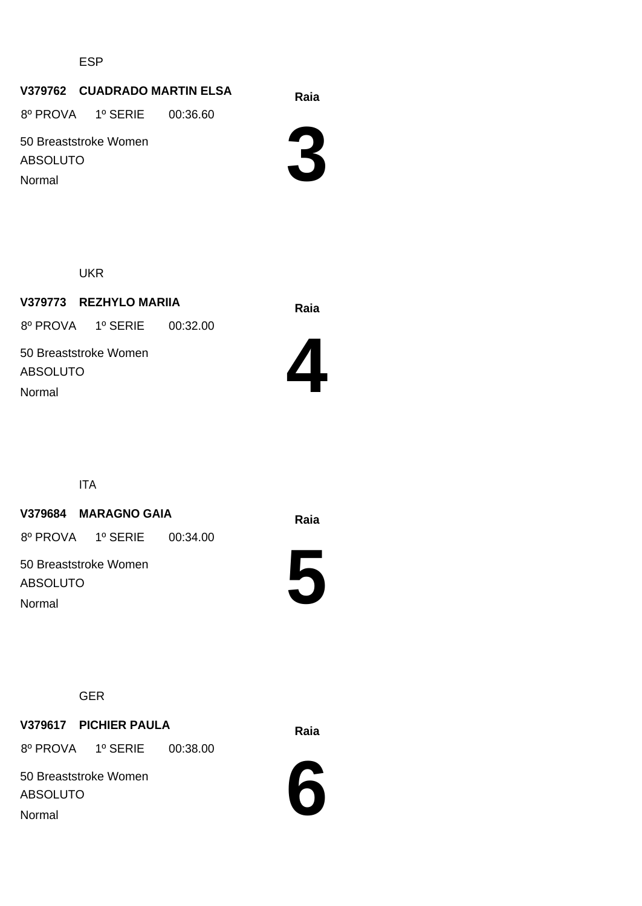ESP

#### **Raia V379762 CUADRADO MARTIN ELSA**

8º PROVA 1º SERIE 00:36.60

50 Breaststroke Women ABSOLUTO Normal



UKR

**Raia V379773 REZHYLO MARIIA** 50 Breaststroke Women ABSOLUTO 8º PROVA 1º SERIE 00:32.00 Normal



ITA

#### **Raia V379684 MARAGNO GAIA**

8º PROVA 1º SERIE 00:34.00

50 Breaststroke Women ABSOLUTO Normal



#### GER

# **Raia V379617 PICHIER PAULA**

8º PROVA 1º SERIE 00:38.00

50 Breaststroke Women ABSOLUTO Normal

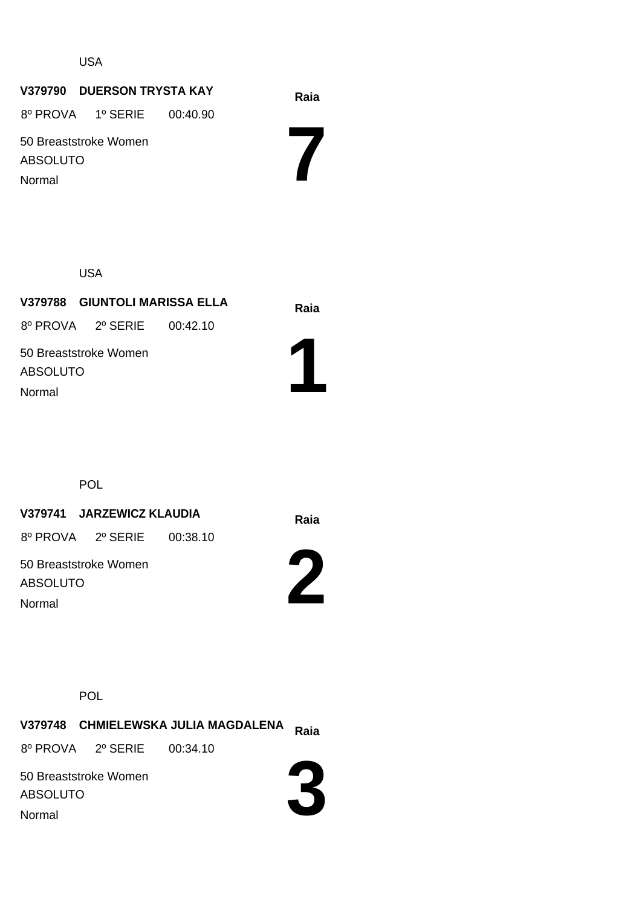USA

# **Raia V379790 DUERSON TRYSTA KAY**

8º PROVA 1º SERIE 00:40.90

50 Breaststroke Women ABSOLUTO Normal

**7**

USA

**Raia V379788 GIUNTOLI MARISSA ELLA** 8º PROVA 2º SERIE 00:42.10

**1**

50 Breaststroke Women ABSOLUTO Normal

**POL** 

# **Raia V379741 JARZEWICZ KLAUDIA**

8º PROVA 2º SERIE 00:38.10

50 Breaststroke Women ABSOLUTO Normal



POL

**Raia V379748 CHMIELEWSKA JULIA MAGDALENA 3** 50 Breaststroke Women ABSOLUTO 8º PROVA 2º SERIE 00:34.10 Normal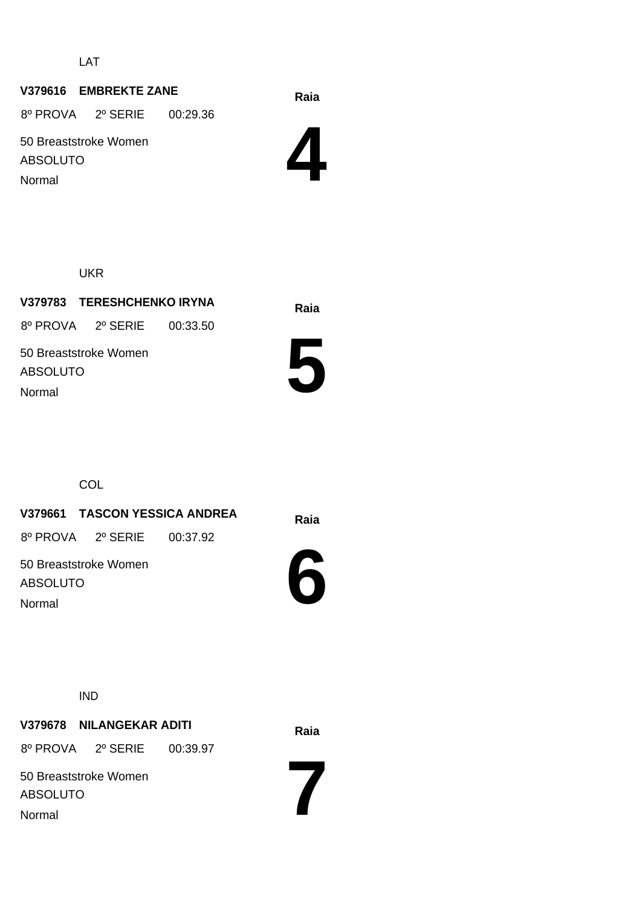LAT

## **Raia V379616 EMBREKTE ZANE**

8º PROVA 2º SERIE 00:29.36

50 Breaststroke Women ABSOLUTO Normal



UKR

**Raia V379783 TERESHCHENKO IRYNA** 50 Breaststroke Women ABSOLUTO 8º PROVA 2º SERIE 00:33.50 Normal



**COL** 

**Raia V379661 TASCON YESSICA ANDREA** 8º PROVA 2º SERIE 00:37.92

50 Breaststroke Women ABSOLUTO Normal



IND

**Raia V379678 NILANGEKAR ADITI**

8º PROVA 2º SERIE 00:39.97

50 Breaststroke Women ABSOLUTO Normal

**7**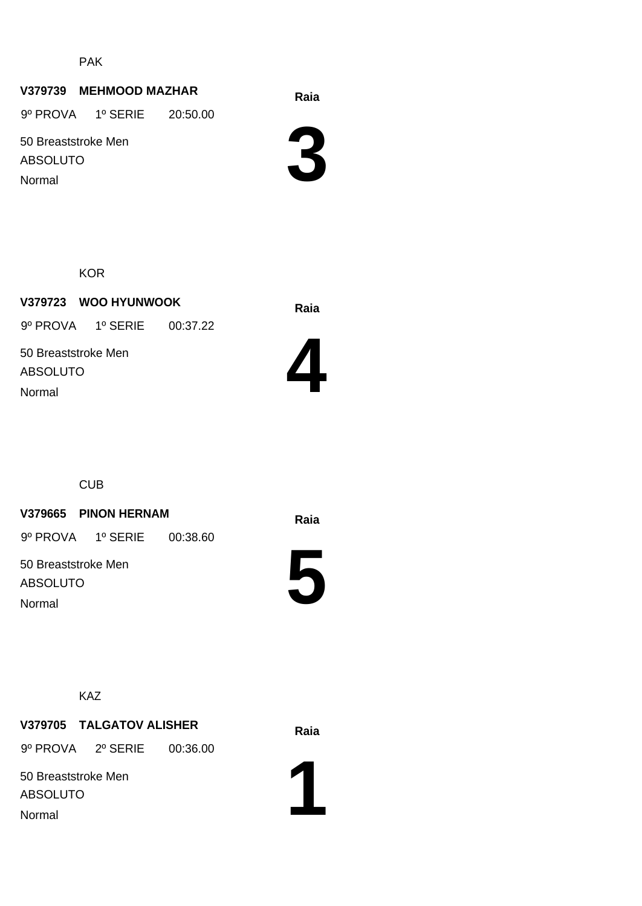PAK

#### **Raia V379739 MEHMOOD MAZHAR**

9º PROVA 1º SERIE 20:50.00

50 Breaststroke Men ABSOLUTO

Normal



**KOR** 

**Raia V379723 WOO HYUNWOOK** 50 Breaststroke Men ABSOLUTO 9º PROVA 1º SERIE 00:37.22 Normal



CUB

#### **V379665 PINON HERNAM Raia**

9º PROVA 1º SERIE 00:38.60

50 Breaststroke Men ABSOLUTO Normal



KAZ

## **Raia V379705 TALGATOV ALISHER**

9º PROVA 2º SERIE 00:36.00

50 Breaststroke Men ABSOLUTO

Normal

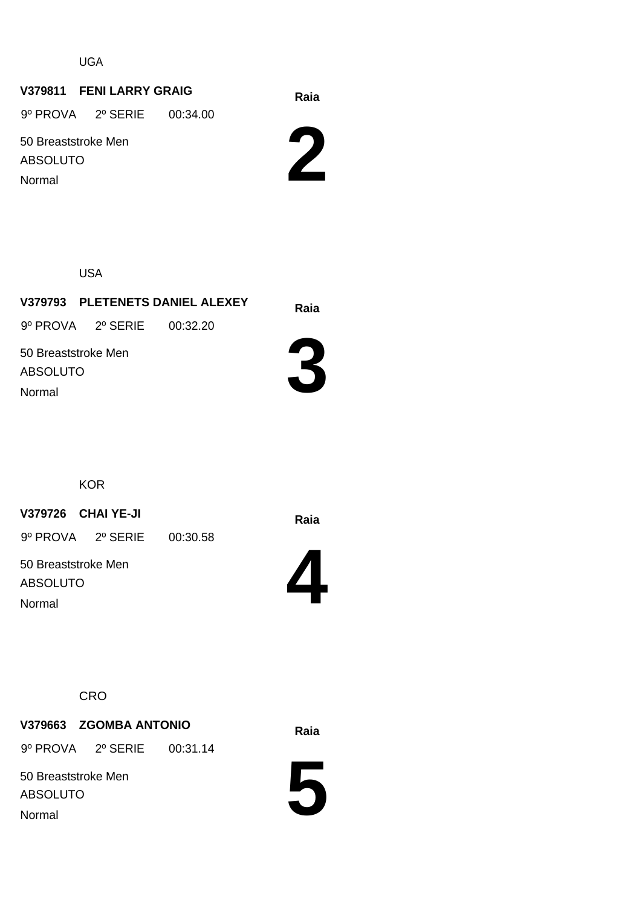UGA

#### **Raia V379811 FENI LARRY GRAIG**

9º PROVA 2º SERIE 00:34.00

50 Breaststroke Men ABSOLUTO

Normal

**2**

USA

**Raia V379793 PLETENETS DANIEL ALEXEY 3** 50 Breaststroke Men ABSOLUTO 9º PROVA 2º SERIE 00:32.20 Normal

**KOR** 

**Raia V379726 CHAI YE-JI**

9º PROVA 2º SERIE 00:30.58

50 Breaststroke Men ABSOLUTO Normal



#### **CRO**

## **Raia V379663 ZGOMBA ANTONIO**

9º PROVA 2º SERIE 00:31.14

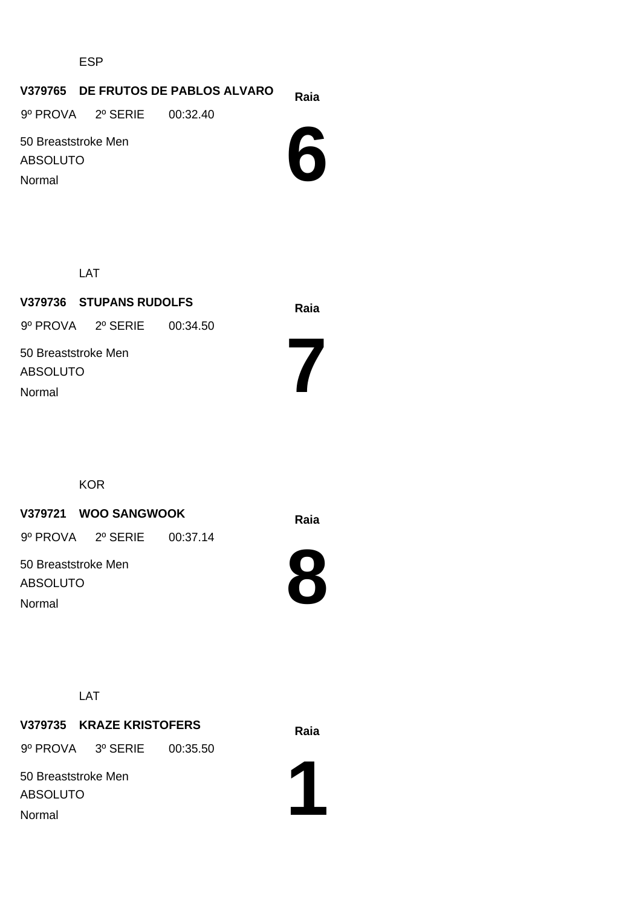ESP

#### **Raia V379765 DE FRUTOS DE PABLOS ALVARO**

9º PROVA 2º SERIE 00:32.40

50 Breaststroke Men ABSOLUTO Normal

**6**

LAT

**Raia V379736 STUPANS RUDOLFS** 50 Breaststroke Men ABSOLUTO 9º PROVA 2º SERIE 00:34.50 Normal

**KOR** 

#### **Raia V379721 WOO SANGWOOK**

9º PROVA 2º SERIE 00:37.14

50 Breaststroke Men ABSOLUTO Normal



**7**

LAT

# **Raia V379735 KRAZE KRISTOFERS**

9º PROVA 3º SERIE 00:35.50

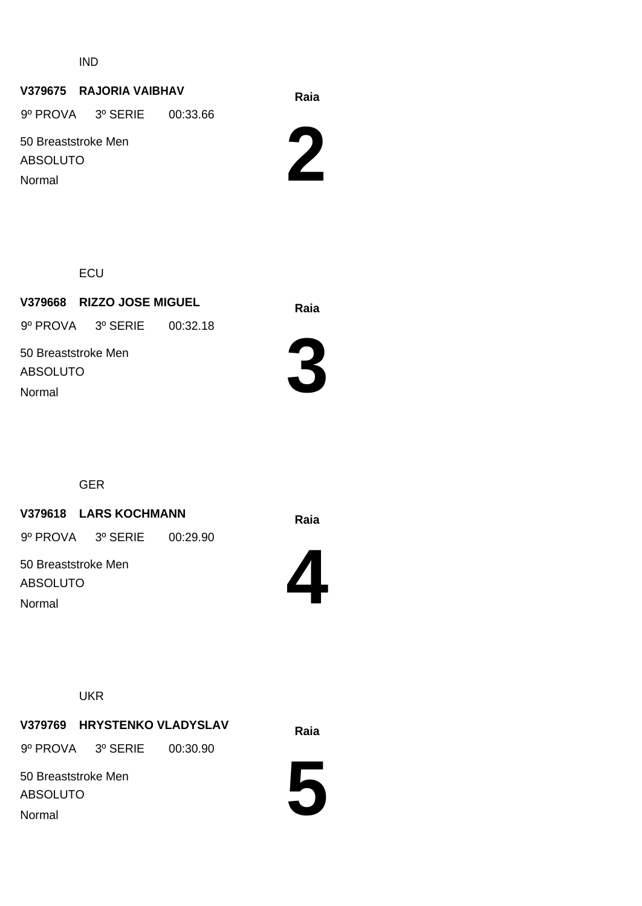IND

### **Raia V379675 RAJORIA VAIBHAV**

9º PROVA 3º SERIE 00:33.66

50 Breaststroke Men ABSOLUTO

Normal



**ECU** 

**Raia V379668 RIZZO JOSE MIGUEL** 50 Breaststroke Men ABSOLUTO 9º PROVA 3º SERIE 00:32.18 Normal



GER

#### **Raia V379618 LARS KOCHMANN**

9º PROVA 3º SERIE 00:29.90

50 Breaststroke Men ABSOLUTO Normal



**UKR** 

**V379769 HRYSTENKO VLADYSLAV** Raia

9º PROVA 3º SERIE 00:30.90

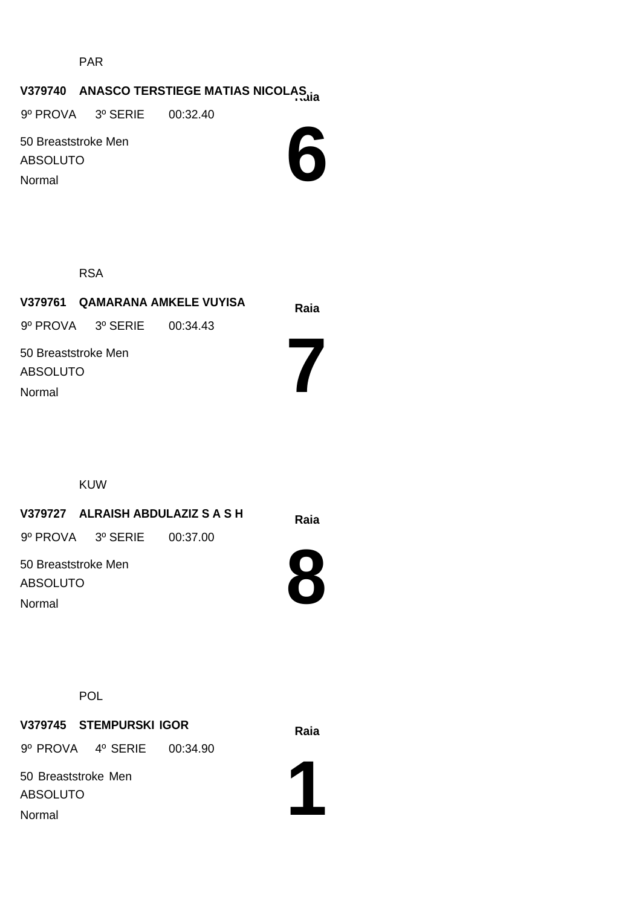PAR

# **V379740 ANASCO TERSTIEGE MATIAS NICOLAS**

9º PROVA 3º SERIE 00:32.40

50 Breaststroke Men ABSOLUTO Normal



RSA

|                                        | V379761 QAMARANA AMKELE VUYISA |  | Raia |
|----------------------------------------|--------------------------------|--|------|
|                                        | 9º PROVA 3º SERIE 00:34.43     |  |      |
| 50 Breaststroke Men<br><b>ABSOLUTO</b> |                                |  |      |
| Normal                                 |                                |  |      |

KUW

# **Raia V379727 ALRAISH ABDULAZIZ S A S H**

9º PROVA 3º SERIE 00:37.00

50 Breaststroke Men ABSOLUTO Normal



**POL** 

# **Raia V379745 STEMPURSKI IGOR** 9º PROVA 4º SERIE 00:34.90

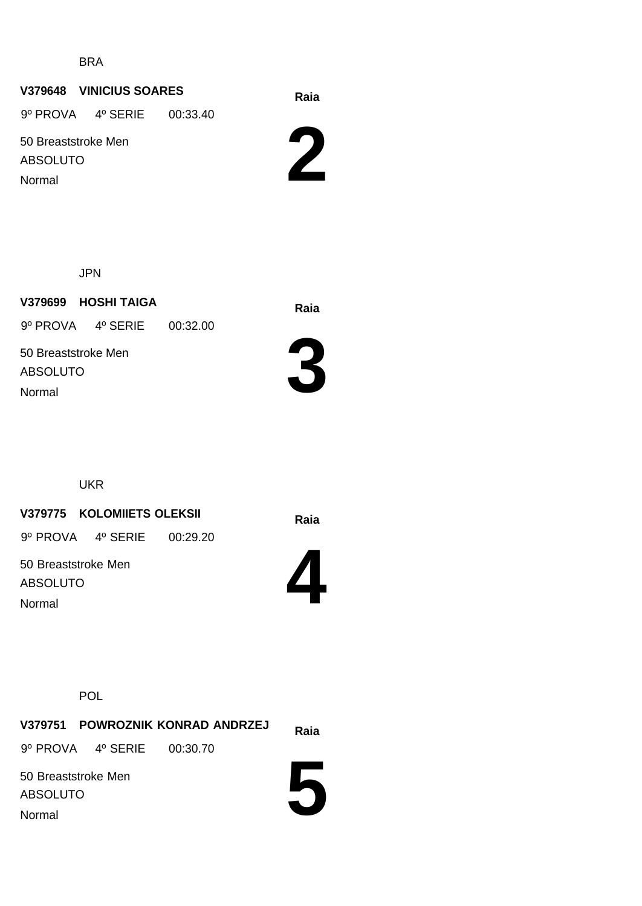BRA

# **Raia V379648 VINICIUS SOARES**

9º PROVA 4º SERIE 00:33.40

50 Breaststroke Men ABSOLUTO Normal

**2**

JPN

**Raia V379699 HOSHI TAIGA** 9º PROVA 4º SERIE 00:32.00

50 Breaststroke Men ABSOLUTO Normal



UKR

**Raia V379775 KOLOMIIETS OLEKSII**

9º PROVA 4º SERIE 00:29.20

50 Breaststroke Men ABSOLUTO Normal



POL

**Raia V379751 POWROZNIK KONRAD ANDRZEJ** 50 Breaststroke Men ABSOLUTO 9º PROVA 4º SERIE 00:30.70 Normal

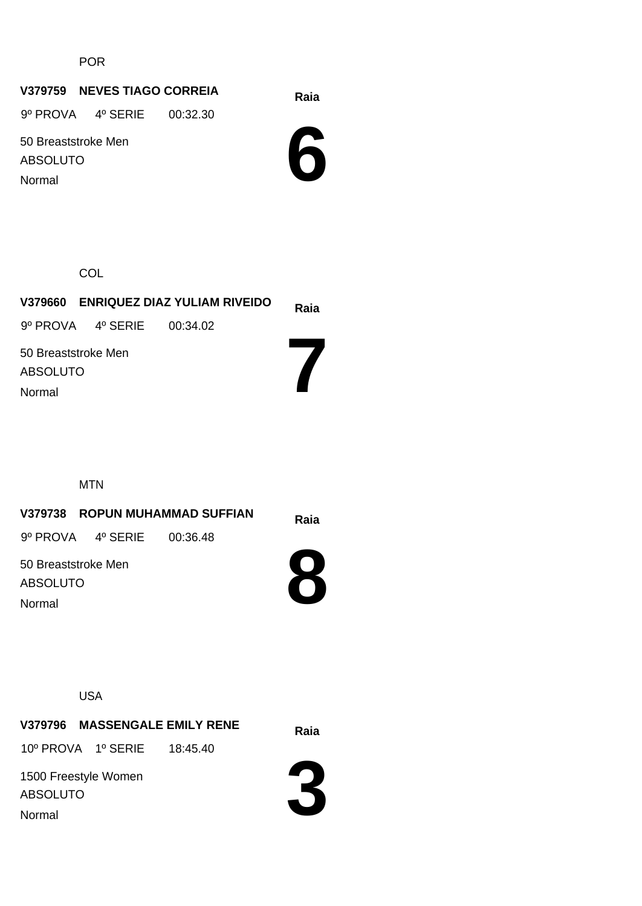POR

### **Raia V379759 NEVES TIAGO CORREIA**

9º PROVA 4º SERIE 00:32.30

50 Breaststroke Men ABSOLUTO Normal

**6**

**COL** 

| V379660 ENRIQUEZ DIAZ YULIAM RIVEIDO |                            | Raia |  |
|--------------------------------------|----------------------------|------|--|
|                                      | 9º PROVA 4º SERIE 00:34.02 |      |  |
| 50 Breaststroke Men                  |                            |      |  |
| ABSOLUTO                             |                            |      |  |
| Normal                               |                            |      |  |
|                                      |                            |      |  |

MTN

| V379738 ROPUN MUHAMMAD SUFFIAN         |                   | Raia     |  |
|----------------------------------------|-------------------|----------|--|
|                                        | 9º PROVA 4º SERIE | 00:36.48 |  |
| 50 Breaststroke Men<br><b>ABSOLUTO</b> |                   |          |  |
| Normal                                 |                   |          |  |

USA

**Raia V379796 MASSENGALE EMILY RENE** 1500 Freestyle Women 10º PROVA 1º SERIE 18:45.40



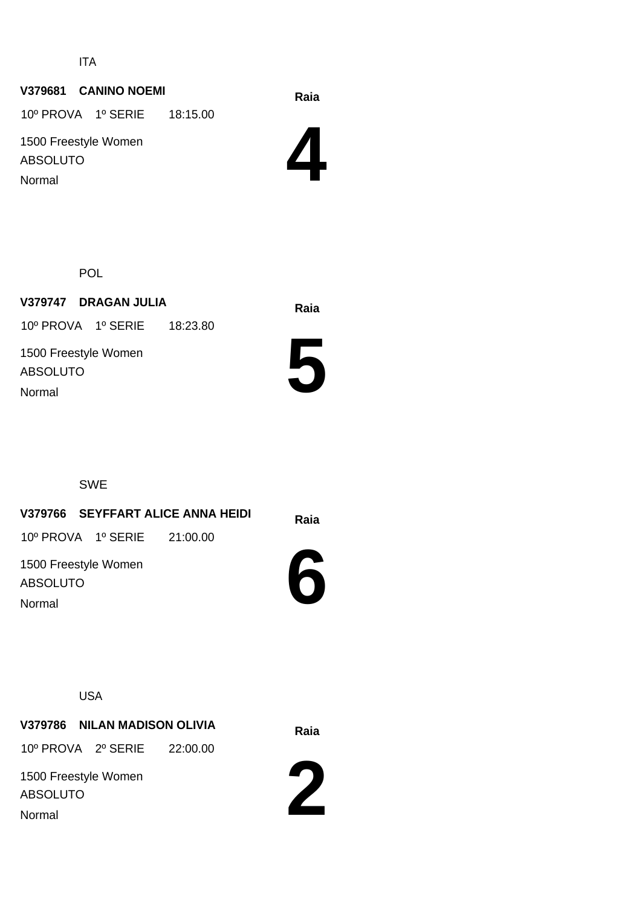ITA

### **Raia V379681 CANINO NOEMI**

10º PROVA 1º SERIE 18:15.00

1500 Freestyle Women ABSOLUTO Normal

**4**

POL

**Raia V379747 DRAGAN JULIA** 1500 Freestyle Women ABSOLUTO 10º PROVA 1º SERIE 18:23.80



SWE

Normal

# **Raia V379766 SEYFFART ALICE ANNA HEIDI** 1500 Freestyle Women 10º PROVA 1º SERIE 21:00.00

ABSOLUTO Normal



USA

**Raia V379786 NILAN MADISON OLIVIA**

10º PROVA 2º SERIE 22:00.00

1500 Freestyle Women ABSOLUTO

Normal

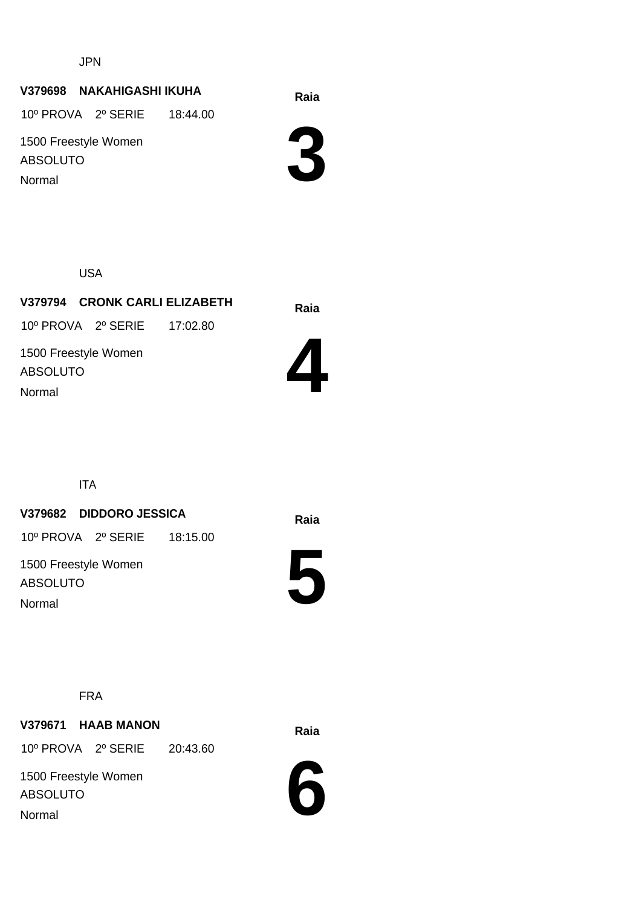JPN

#### **Raia V379698 NAKAHIGASHI IKUHA**

10º PROVA 2º SERIE 18:44.00

1500 Freestyle Women ABSOLUTO Normal



USA

**Raia V379794 CRONK CARLI ELIZABETH** 1500 Freestyle Women ABSOLUTO 10º PROVA 2º SERIE 17:02.80



ITA

Normal

#### **Raia V379682 DIDDORO JESSICA**

10º PROVA 2º SERIE 18:15.00

1500 Freestyle Women ABSOLUTO Normal



FRA

**Raia V379671 HAAB MANON** 10º PROVA 2º SERIE 20:43.60

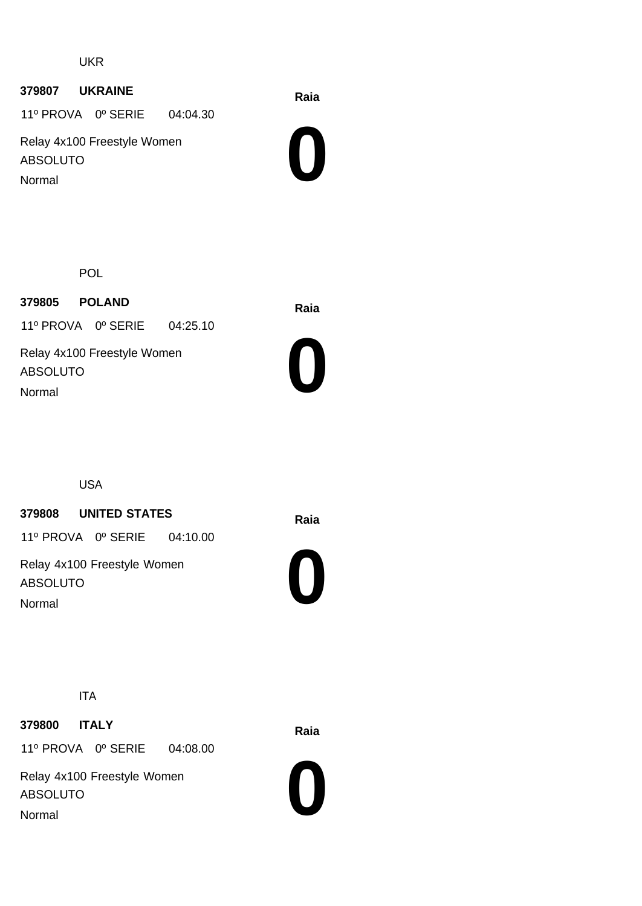UKR

#### **Raia <sup>379807</sup> UKRAINE**

11º PROVA 0º SERIE 04:04.30

Relay 4x100 Freestyle Women ABSOLUTO Normal



POL

**Raia <sup>379805</sup> POLAND** 11º PROVA 0º SERIE 04:25.10

Relay 4x100 Freestyle Women ABSOLUTO Normal



USA

#### **Raia <sup>379808</sup> UNITED STATES**

11º PROVA 0º SERIE 04:10.00

Relay 4x100 Freestyle Women ABSOLUTO Normal



ITA

**Raia <sup>379800</sup> ITALY** 11º PROVA 0º SERIE 04:08.00

Relay 4x100 Freestyle Women ABSOLUTO Normal

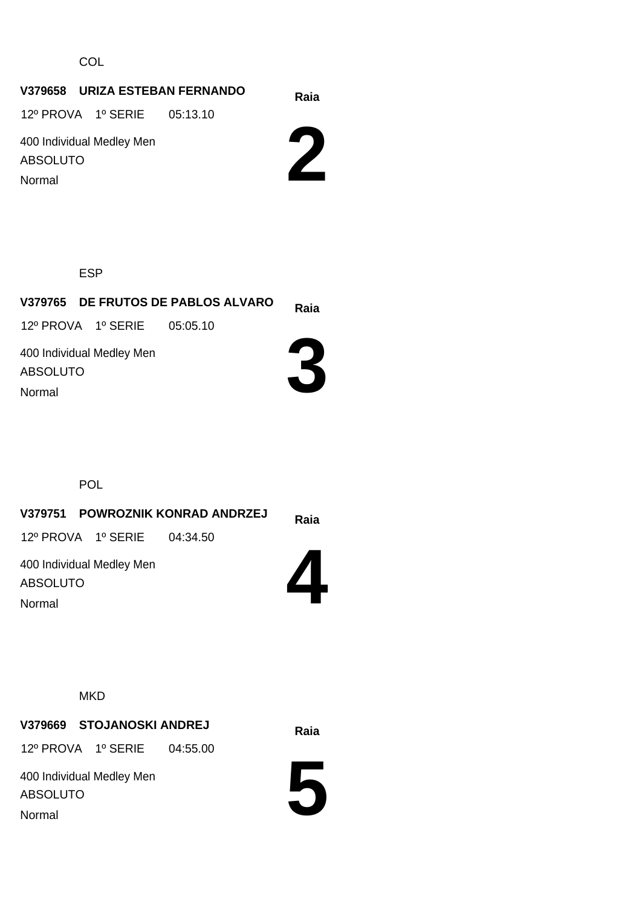**COL** 

# **Raia V379658 URIZA ESTEBAN FERNANDO**

12º PROVA 1º SERIE 05:13.10

400 Individual Medley Men ABSOLUTO Normal



ESP

**Raia V379765 DE FRUTOS DE PABLOS ALVARO** 400 Individual Medley Men ABSOLUTO 12º PROVA 1º SERIE 05:05.10

Normal



POL

| V379751 POWROZNIK KONRAD ANDRZEJ             | Raia |
|----------------------------------------------|------|
| 12º PROVA 1º SERIE 04:34.50                  |      |
| 400 Individual Medley Men<br><b>ABSOLUTO</b> |      |
| Normal                                       |      |

**MKD** 

**Raia V379669 STOJANOSKI ANDREJ**

12º PROVA 1º SERIE 04:55.00

400 Individual Medley Men ABSOLUTO Normal

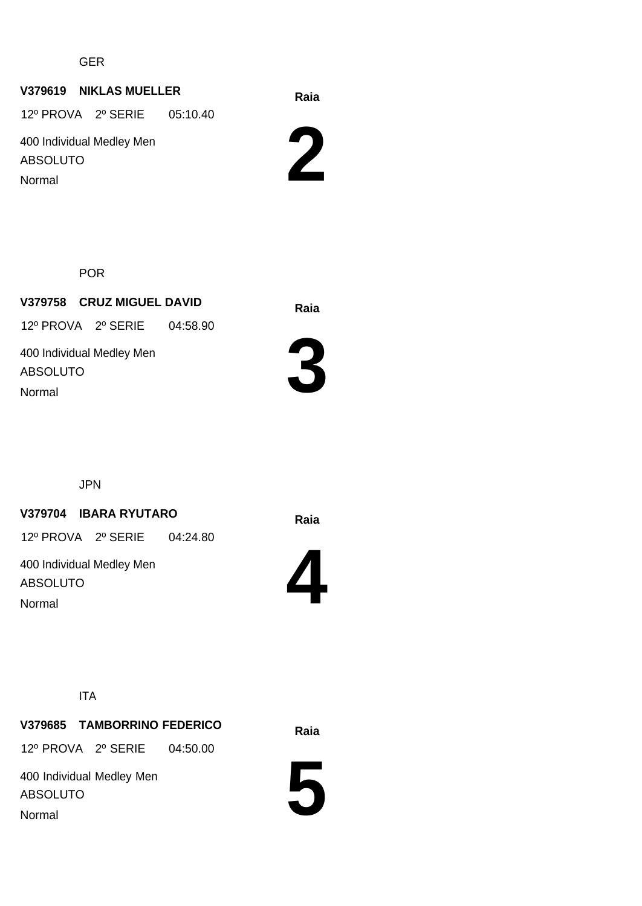GER

#### **Raia V379619 NIKLAS MUELLER**

12º PROVA 2º SERIE 05:10.40

400 Individual Medley Men ABSOLUTO Normal

**2**

POR

**Raia V379758 CRUZ MIGUEL DAVID** 400 Individual Medley Men ABSOLUTO 12º PROVA 2º SERIE 04:58.90 Normal



JPN

#### **Raia V379704 IBARA RYUTARO**

12º PROVA 2º SERIE 04:24.80

400 Individual Medley Men ABSOLUTO Normal



ITA

**Raia V379685 TAMBORRINO FEDERICO** 12º PROVA 2º SERIE 04:50.00

400 Individual Medley Men ABSOLUTO Normal

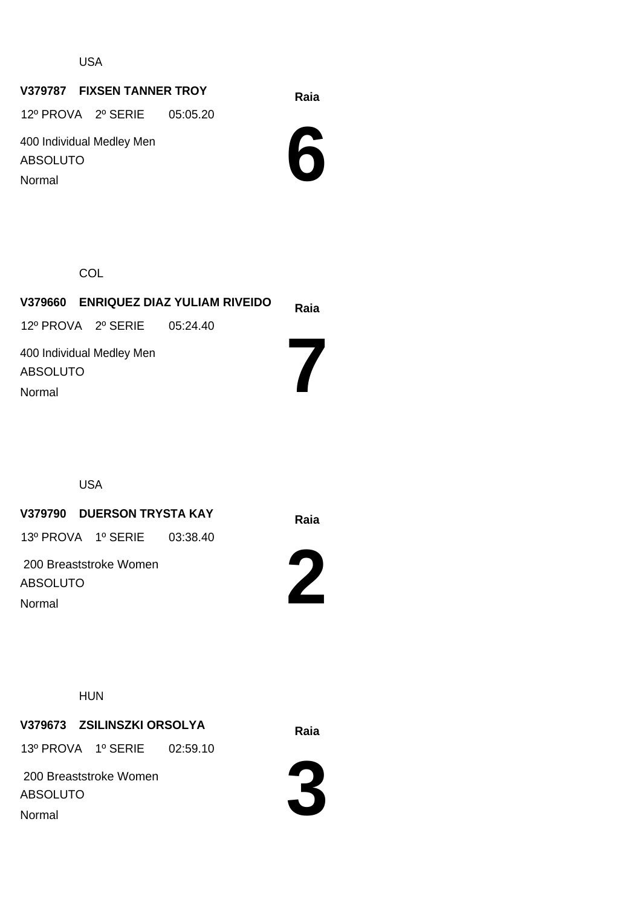USA

### **Raia V379787 FIXSEN TANNER TROY**

12º PROVA 2º SERIE 05:05.20

400 Individual Medley Men ABSOLUTO Normal



**COL** 

|                             | V379660 ENRIQUEZ DIAZ YULIAM RIVEIDO | Raia |
|-----------------------------|--------------------------------------|------|
| 12º PROVA 2º SERIE 05:24.40 |                                      |      |
| 400 Individual Medley Men   |                                      |      |
| ABSOLUTO                    |                                      |      |
| Normal                      |                                      |      |

USA

### **Raia V379790 DUERSON TRYSTA KAY**

13º PROVA 1º SERIE 03:38.40

 200 Breaststroke Women ABSOLUTO Normal



**2**

HUN

### **Raia V379673 ZSILINSZKI ORSOLYA**

13º PROVA 1º SERIE 02:59.10



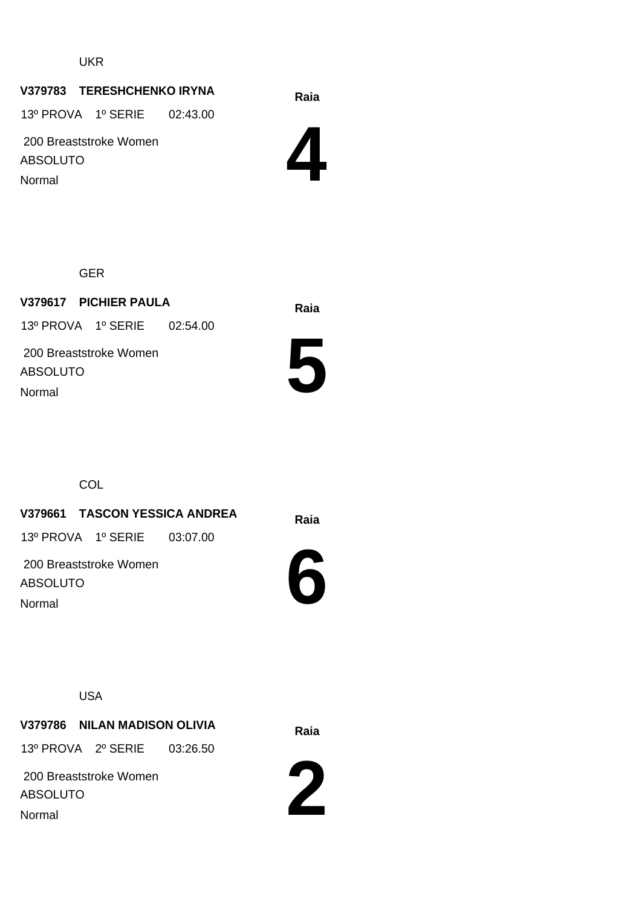#### UKR

#### **Raia V379783 TERESHCHENKO IRYNA**

13º PROVA 1º SERIE 02:43.00

 200 Breaststroke Women ABSOLUTO Normal



GER

**Raia V379617 PICHIER PAULA** 200 Breaststroke Women ABSOLUTO 13º PROVA 1º SERIE 02:54.00 Normal



**COL** 

**Raia V379661 TASCON YESSICA ANDREA** 13º PROVA 1º SERIE 03:07.00

 200 Breaststroke Women ABSOLUTO Normal



USA

**Raia V379786 NILAN MADISON OLIVIA**

13º PROVA 2º SERIE 03:26.50

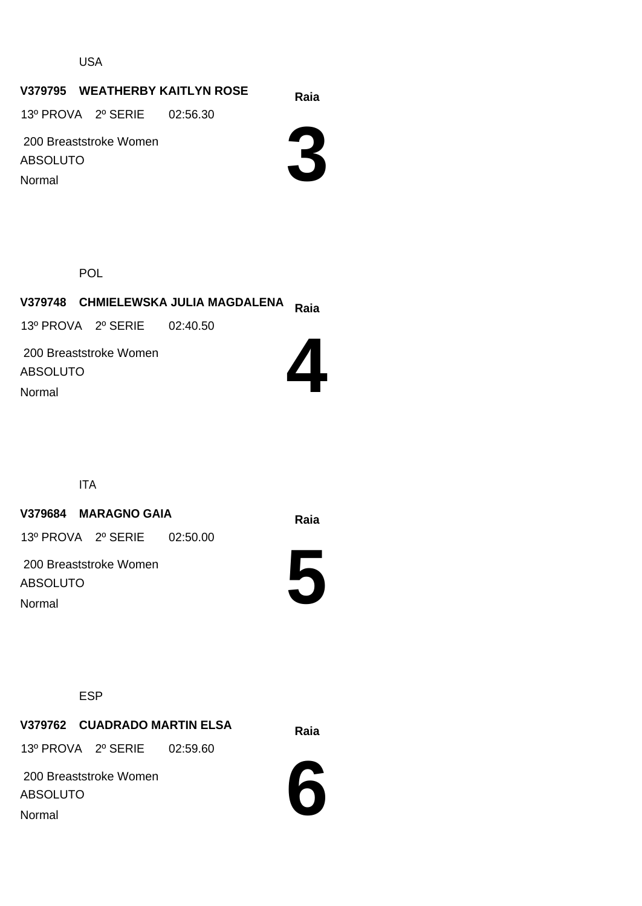USA

#### **Raia V379795 WEATHERBY KAITLYN ROSE**

13º PROVA 2º SERIE 02:56.30

 200 Breaststroke Women ABSOLUTO Normal



POL

## **Raia V379748 CHMIELEWSKA JULIA MAGDALENA** 13º PROVA 2º SERIE 02:40.50

 200 Breaststroke Women ABSOLUTO Normal



ITA

#### **Raia V379684 MARAGNO GAIA**

13º PROVA 2º SERIE 02:50.00

 200 Breaststroke Women ABSOLUTO Normal



ESP

**Raia V379762 CUADRADO MARTIN ELSA**

13º PROVA 2º SERIE 02:59.60

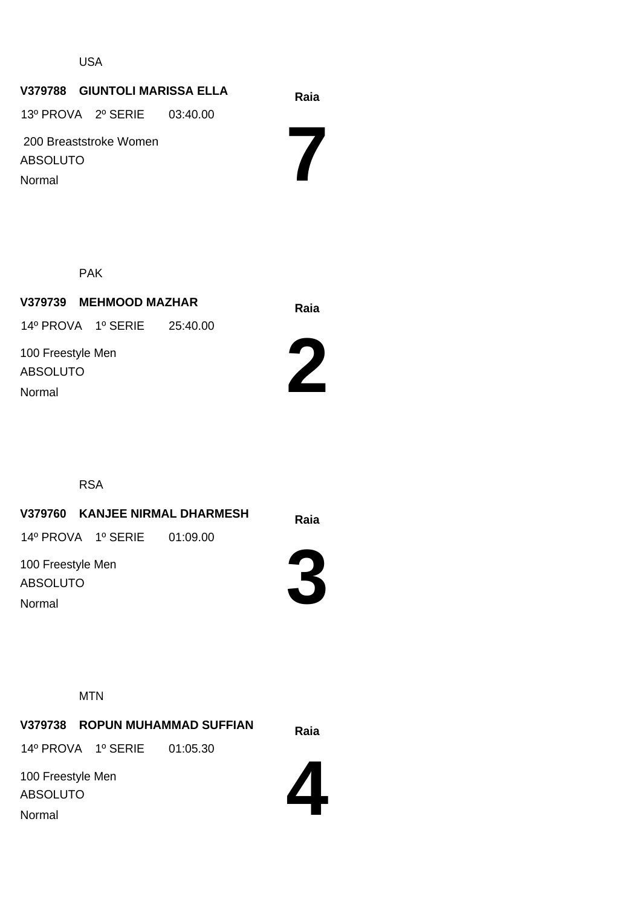#### USA

#### **Raia V379788 GIUNTOLI MARISSA ELLA**

13º PROVA 2º SERIE 03:40.00

 200 Breaststroke Women ABSOLUTO Normal

**7**

PAK

**Raia V379739 MEHMOOD MAZHAR** 100 Freestyle Men ABSOLUTO 14º PROVA 1º SERIE 25:40.00 Normal





RSA

**Raia V379760 KANJEE NIRMAL DHARMESH** 14º PROVA 1º SERIE 01:09.00

100 Freestyle Men ABSOLUTO Normal



**MTN** 

**Raia V379738 ROPUN MUHAMMAD SUFFIAN** 100 Freestyle Men 14º PROVA 1º SERIE 01:05.30

ABSOLUTO Normal

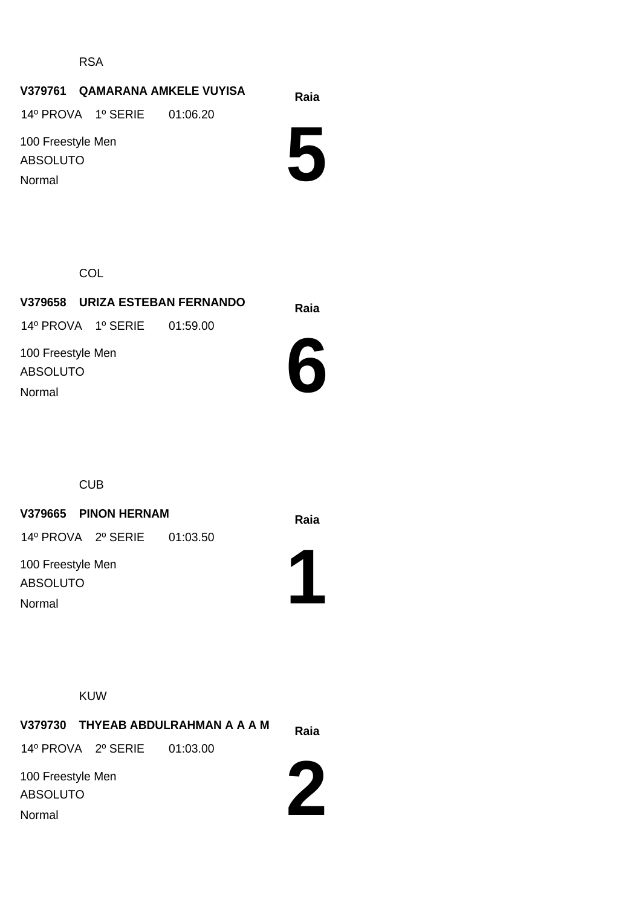RSA

### **Raia V379761 QAMARANA AMKELE VUYISA**

14º PROVA 1º SERIE 01:06.20

100 Freestyle Men ABSOLUTO Normal

**5**

**COL** 

# **Raia V379658 URIZA ESTEBAN FERNANDO**

14º PROVA 1º SERIE 01:59.00

100 Freestyle Men ABSOLUTO Normal



CUB

#### **V379665 PINON HERNAM Raia**

14º PROVA 2º SERIE 01:03.50

100 Freestyle Men ABSOLUTO Normal



KUW

| V379730 THYEAB ABDULRAHMAN A A A M   | Raia |
|--------------------------------------|------|
| 14º PROVA 2º SERIE 01:03.00          |      |
| 100 Freestyle Men<br><b>ABSOLUTO</b> |      |
| Normal                               |      |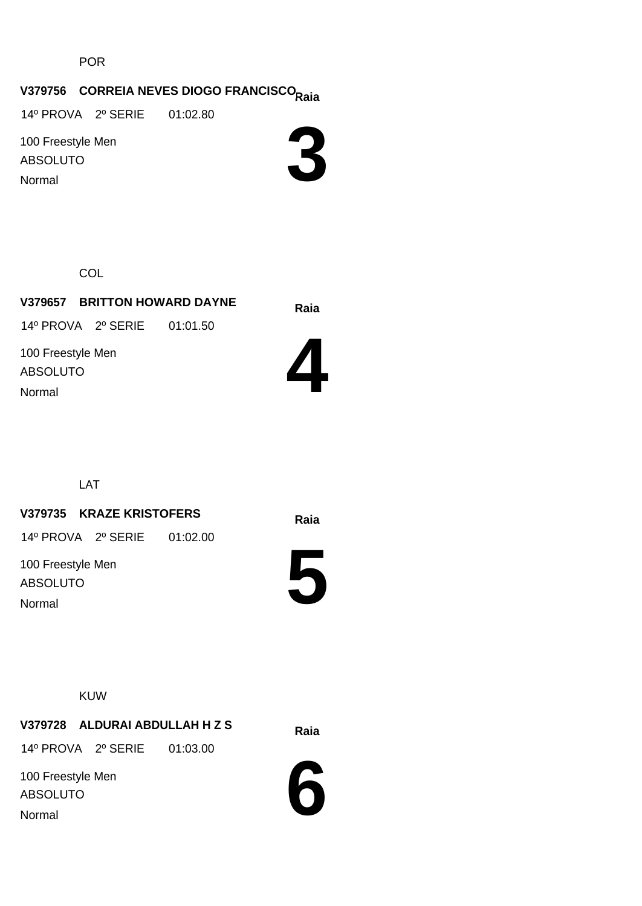POR

# **Raia V379756 CORREIA NEVES DIOGO FRANCISCO**

14º PROVA 2º SERIE 01:02.80

100 Freestyle Men ABSOLUTO Normal



**COL** 

#### **Raia V379657 BRITTON HOWARD DAYNE** 14º PROVA 2º SERIE 01:01.50

100 Freestyle Men ABSOLUTO Normal



LAT

#### **Raia V379735 KRAZE KRISTOFERS**

14º PROVA 2º SERIE 01:02.00

100 Freestyle Men ABSOLUTO Normal

**5**

#### KUW

**Raia V379728 ALDURAI ABDULLAH H Z S**

14º PROVA 2º SERIE 01:03.00

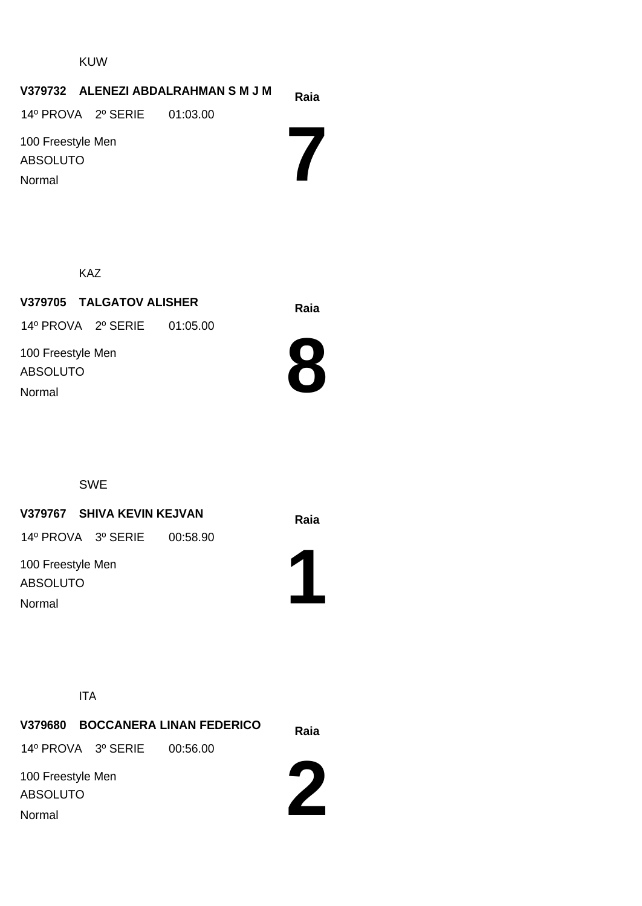#### KUW

#### **V379732** ALENEZI ABDALRAHMAN S M J M Raia

14º PROVA 2º SERIE 01:03.00

100 Freestyle Men ABSOLUTO Normal

KAZ

**Raia V379705 TALGATOV ALISHER** 100 Freestyle Men ABSOLUTO 14º PROVA 2º SERIE 01:05.00 Normal



**7**

SWE

**Raia V379767 SHIVA KEVIN KEJVAN**

14º PROVA 3º SERIE 00:58.90

100 Freestyle Men ABSOLUTO Normal



ITA

**Raia V379680 BOCCANERA LINAN FEDERICO 2** 100 Freestyle Men ABSOLUTO 14º PROVA 3º SERIE 00:56.00 Normal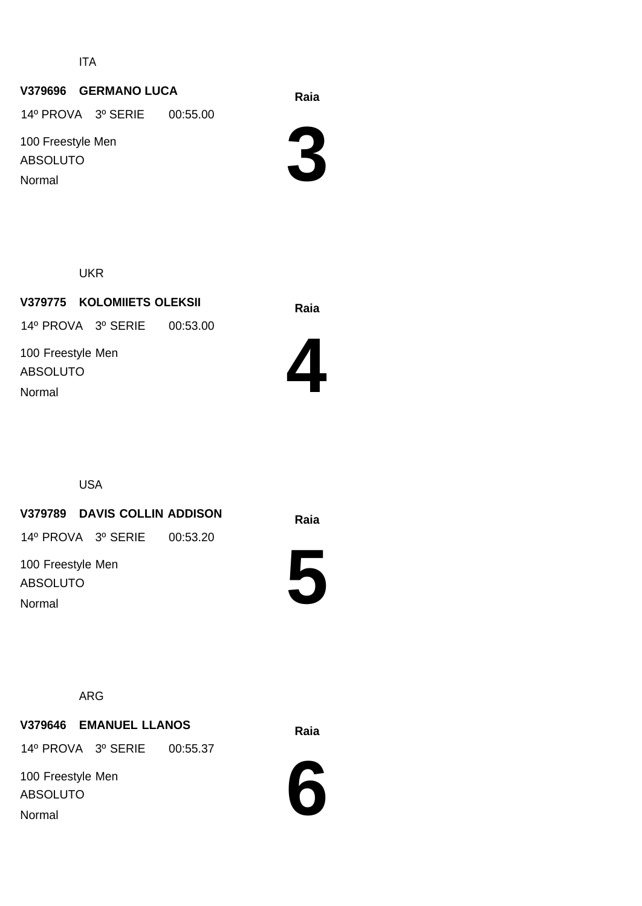ITA

### **Raia V379696 GERMANO LUCA**

14º PROVA 3º SERIE 00:55.00

100 Freestyle Men ABSOLUTO Normal

**3**

UKR

**Raia V379775 KOLOMIIETS OLEKSII** 100 Freestyle Men ABSOLUTO 14º PROVA 3º SERIE 00:53.00 Normal



USA

**Raia V379789 DAVIS COLLIN ADDISON**

14º PROVA 3º SERIE 00:53.20

100 Freestyle Men ABSOLUTO Normal



ARG

## **Raia V379646 EMANUEL LLANOS**

14º PROVA 3º SERIE 00:55.37

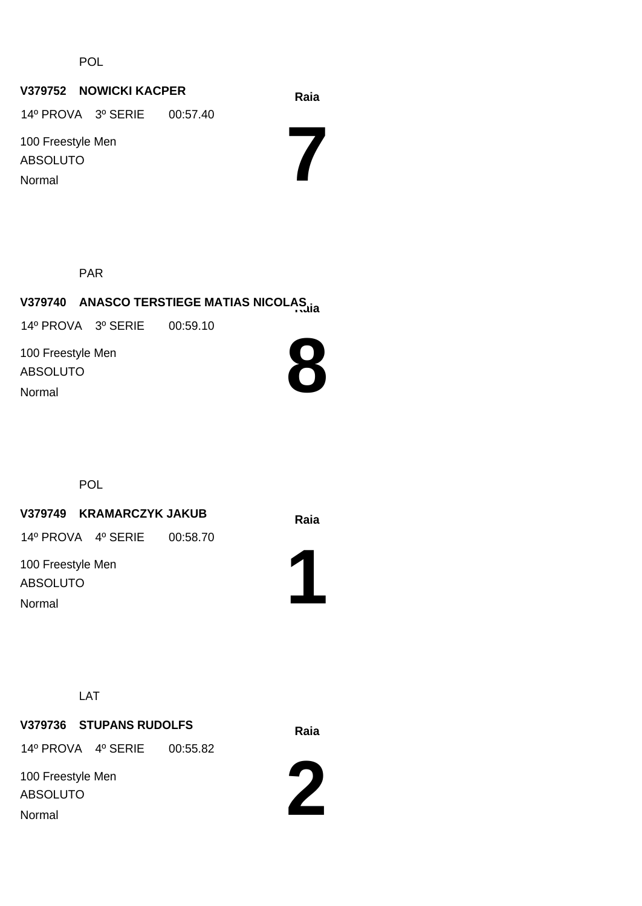POL

#### **Raia V379752 NOWICKI KACPER**

14º PROVA 3º SERIE 00:57.40

100 Freestyle Men ABSOLUTO Normal

**7**

PAR

# **Raia V379740 ANASCO TERSTIEGE MATIAS NICOLAS**

14º PROVA 3º SERIE 00:59.10

100 Freestyle Men ABSOLUTO Normal



**POL** 

#### **Raia V379749 KRAMARCZYK JAKUB**

14º PROVA 4º SERIE 00:58.70

100 Freestyle Men ABSOLUTO Normal



LAT

# **Raia V379736 STUPANS RUDOLFS** 100 Freestyle Men 14º PROVA 4º SERIE 00:55.82

ABSOLUTO

Normal

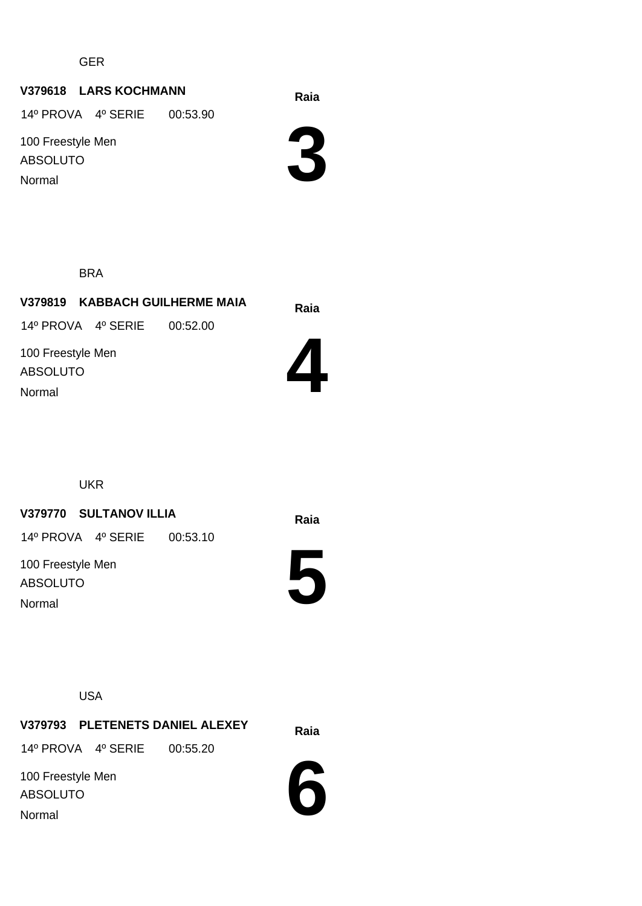GER

### **Raia V379618 LARS KOCHMANN**

14º PROVA 4º SERIE 00:53.90

100 Freestyle Men ABSOLUTO Normal

**3**

BRA

**Raia V379819 KABBACH GUILHERME MAIA** 14º PROVA 4º SERIE 00:52.00

100 Freestyle Men ABSOLUTO Normal



UKR

#### **Raia V379770 SULTANOV ILLIA**

14º PROVA 4º SERIE 00:53.10

100 Freestyle Men ABSOLUTO Normal

**5**

USA

**Raia V379793 PLETENETS DANIEL ALEXEY** 100 Freestyle Men 14º PROVA 4º SERIE 00:55.20

ABSOLUTO Normal

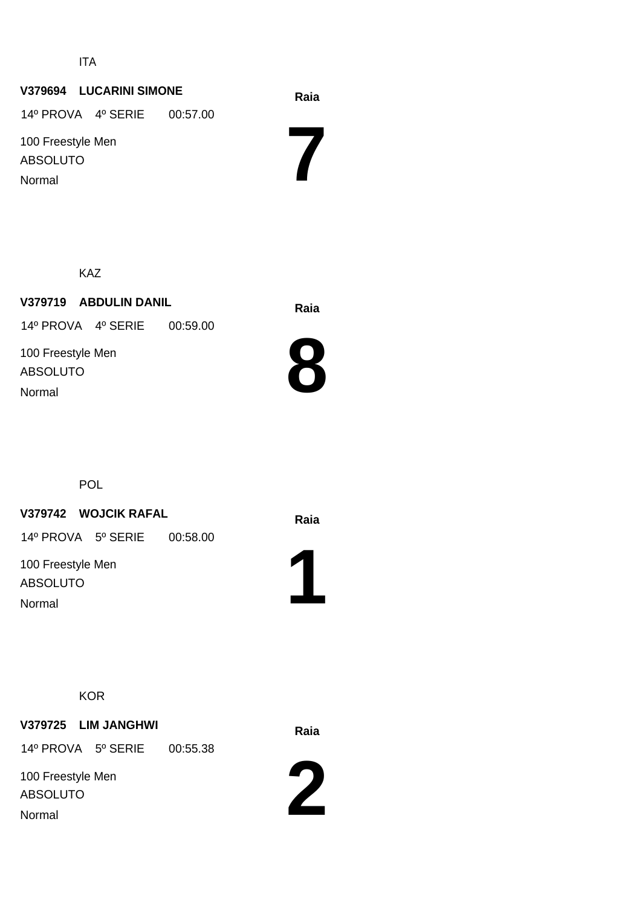ITA

#### **Raia V379694 LUCARINI SIMONE**

14º PROVA 4º SERIE 00:57.00

100 Freestyle Men ABSOLUTO Normal

KAZ

**Raia V379719 ABDULIN DANIL** 100 Freestyle Men 14º PROVA 4º SERIE 00:59.00

ABSOLUTO Normal



**7**

**POL** 

#### **Raia V379742 WOJCIK RAFAL**

14º PROVA 5º SERIE 00:58.00

100 Freestyle Men ABSOLUTO Normal



#### **KOR**

**Raia V379725 LIM JANGHWI** 14º PROVA 5º SERIE 00:55.38

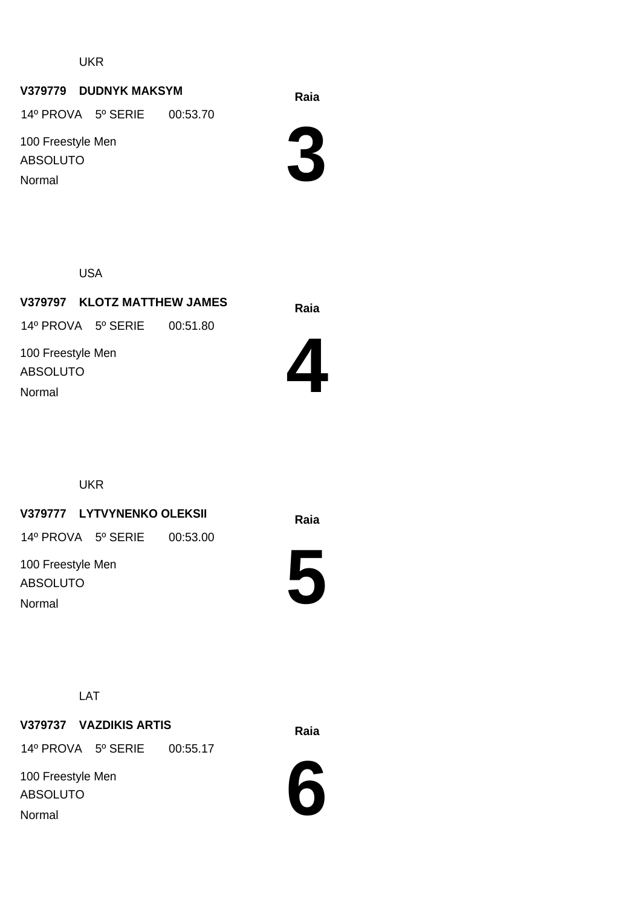UKR

### **Raia V379779 DUDNYK MAKSYM**

14º PROVA 5º SERIE 00:53.70

100 Freestyle Men ABSOLUTO Normal

**3**

USA

**Raia V379797 KLOTZ MATTHEW JAMES** 100 Freestyle Men ABSOLUTO 14º PROVA 5º SERIE 00:51.80 Normal



UKR

#### **Raia V379777 LYTVYNENKO OLEKSII**

14º PROVA 5º SERIE 00:53.00

100 Freestyle Men ABSOLUTO Normal



LAT

**Raia V379737 VAZDIKIS ARTIS** 14º PROVA 5º SERIE 00:55.17

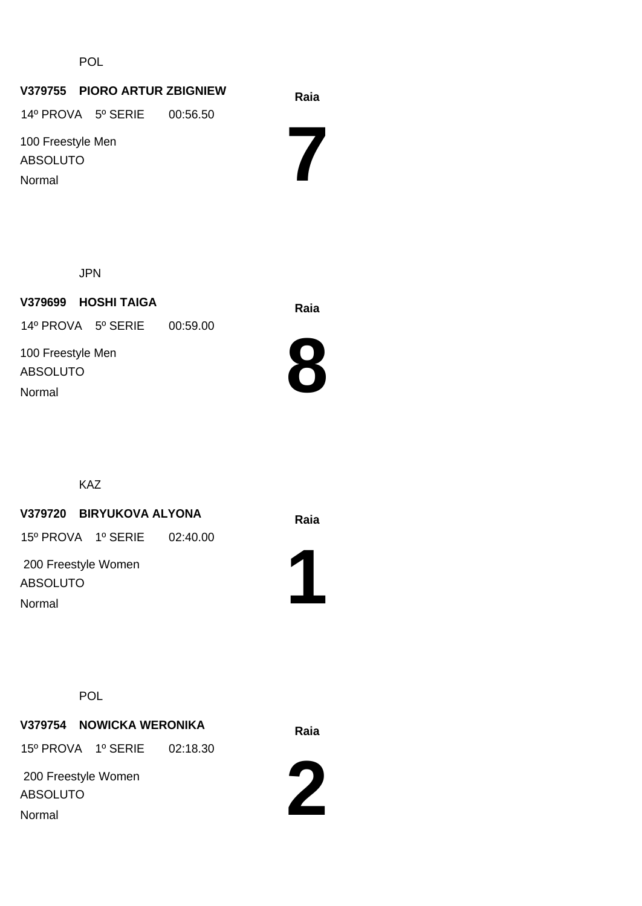POL

#### **Raia V379755 PIORO ARTUR ZBIGNIEW**

14º PROVA 5º SERIE 00:56.50

100 Freestyle Men ABSOLUTO Normal

JPN

**Raia V379699 HOSHI TAIGA** 100 Freestyle Men ABSOLUTO 14º PROVA 5º SERIE 00:59.00



**7**

KAZ

Normal

#### **Raia V379720 BIRYUKOVA ALYONA**

15º PROVA 1º SERIE 02:40.00

 200 Freestyle Women ABSOLUTO Normal



#### POL

# **Raia V379754 NOWICKA WERONIKA**

15º PROVA 1º SERIE 02:18.30

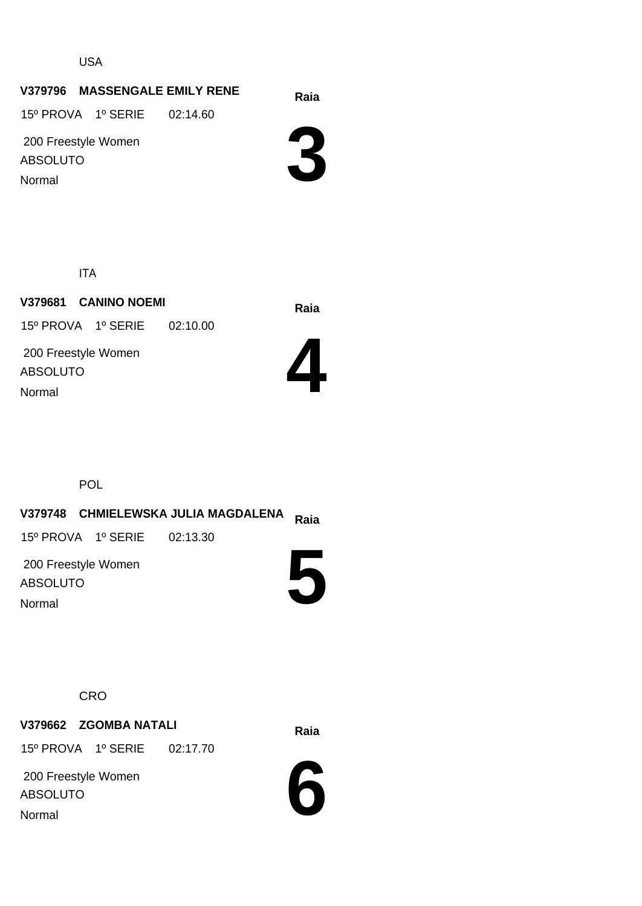USA

#### **Raia V379796 MASSENGALE EMILY RENE**

15º PROVA 1º SERIE 02:14.60

 200 Freestyle Women ABSOLUTO Normal

**3**

ITA

**Raia V379681 CANINO NOEMI** 200 Freestyle Women ABSOLUTO 15º PROVA 1º SERIE 02:10.00 Normal



POL

#### **Raia V379748 CHMIELEWSKA JULIA MAGDALENA 5** 200 Freestyle Women ABSOLUTO 15º PROVA 1º SERIE 02:13.30 Normal

**CRO** 

### **Raia V379662 ZGOMBA NATALI**

15º PROVA 1º SERIE 02:17.70

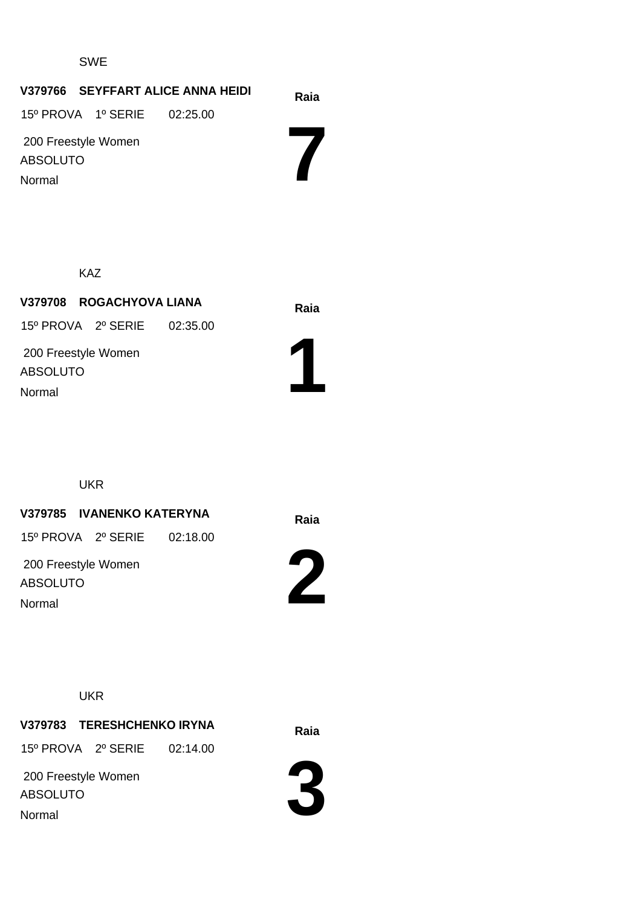#### SWE

#### **Raia V379766 SEYFFART ALICE ANNA HEIDI**

15º PROVA 1º SERIE 02:25.00

 200 Freestyle Women ABSOLUTO Normal

**7**

KAZ

**Raia V379708 ROGACHYOVA LIANA** 200 Freestyle Women ABSOLUTO 15º PROVA 2º SERIE 02:35.00 Normal



UKR

#### **Raia V379785 IVANENKO KATERYNA**

15º PROVA 2º SERIE 02:18.00

 200 Freestyle Women ABSOLUTO Normal



**UKR** 

**Raia V379783 TERESHCHENKO IRYNA**

15º PROVA 2º SERIE 02:14.00

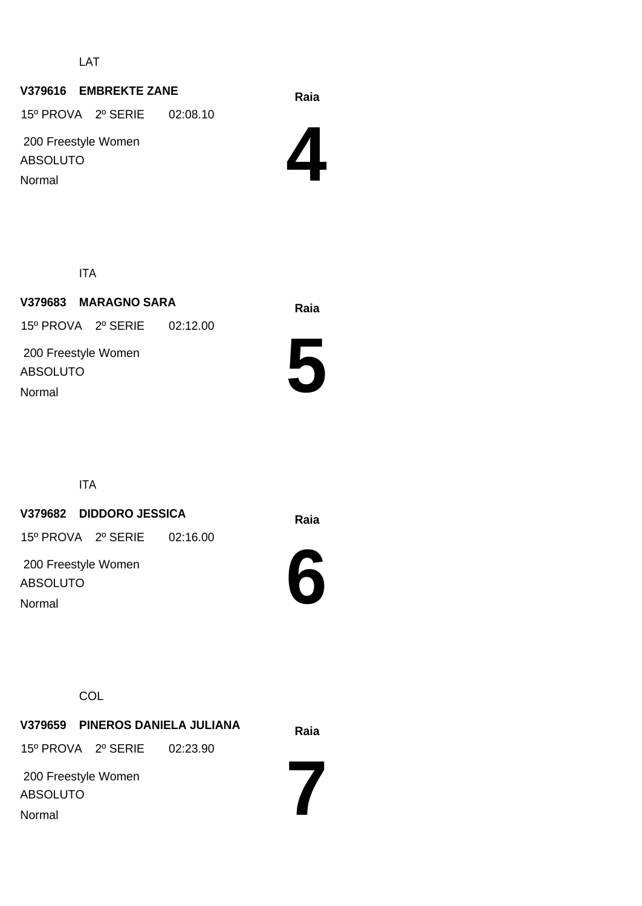LAT

#### **Raia V379616 EMBREKTE ZANE**

15º PROVA 2º SERIE 02:08.10

 200 Freestyle Women ABSOLUTO Normal

**4**

ITA

**Raia V379683 MARAGNO SARA** 200 Freestyle Women ABSOLUTO 15º PROVA 2º SERIE 02:12.00 Normal



ITA

#### **Raia V379682 DIDDORO JESSICA**

15º PROVA 2º SERIE 02:16.00

 200 Freestyle Women ABSOLUTO Normal



**COL** 

**Raia V379659 PINEROS DANIELA JULIANA** 15º PROVA 2º SERIE 02:23.90

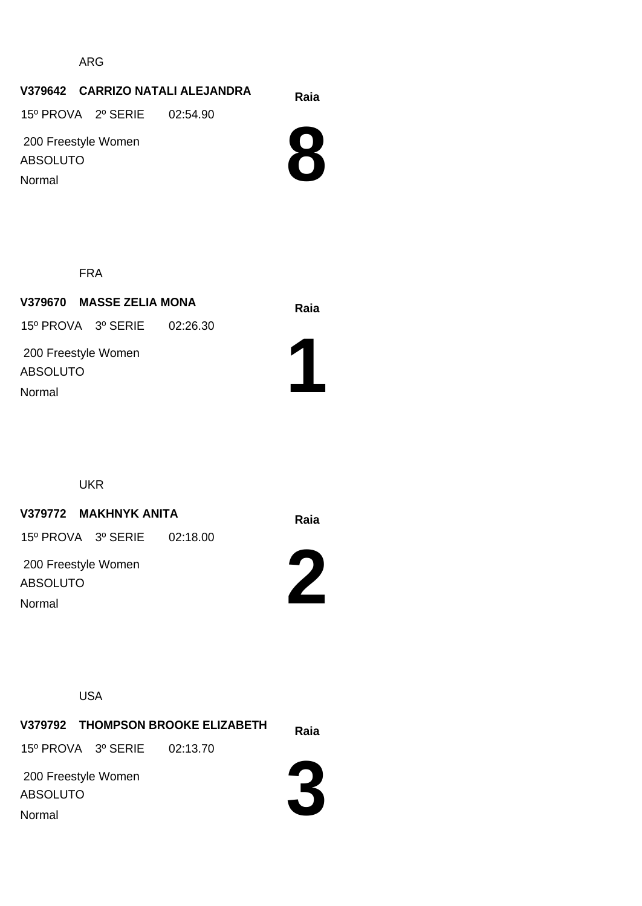ARG

#### **Raia V379642 CARRIZO NATALI ALEJANDRA**

15º PROVA 2º SERIE 02:54.90

 200 Freestyle Women ABSOLUTO Normal



FRA

**Raia V379670 MASSE ZELIA MONA** 200 Freestyle Women ABSOLUTO 15º PROVA 3º SERIE 02:26.30 Normal



UKR

#### **Raia V379772 MAKHNYK ANITA**

15º PROVA 3º SERIE 02:18.00

 200 Freestyle Women ABSOLUTO Normal



USA

**Raia V379792 THOMPSON BROOKE ELIZABETH** 200 Freestyle Women ABSOLUTO 15º PROVA 3º SERIE 02:13.70

Normal

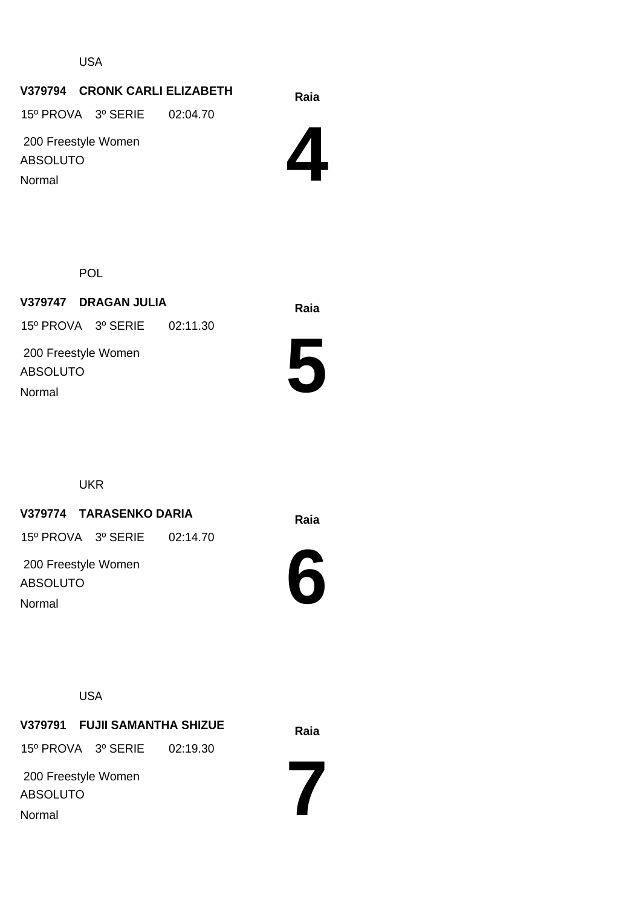USA

#### **Raia V379794 CRONK CARLI ELIZABETH**

15º PROVA 3º SERIE 02:04.70

 200 Freestyle Women ABSOLUTO Normal

**4**

POL

**Raia V379747 DRAGAN JULIA** 200 Freestyle Women ABSOLUTO 15º PROVA 3º SERIE 02:11.30 Normal



UKR

#### **Raia V379774 TARASENKO DARIA**

15º PROVA 3º SERIE 02:14.70

 200 Freestyle Women ABSOLUTO Normal



USA

**Raia V379791 FUJII SAMANTHA SHIZUE** 15º PROVA 3º SERIE 02:19.30

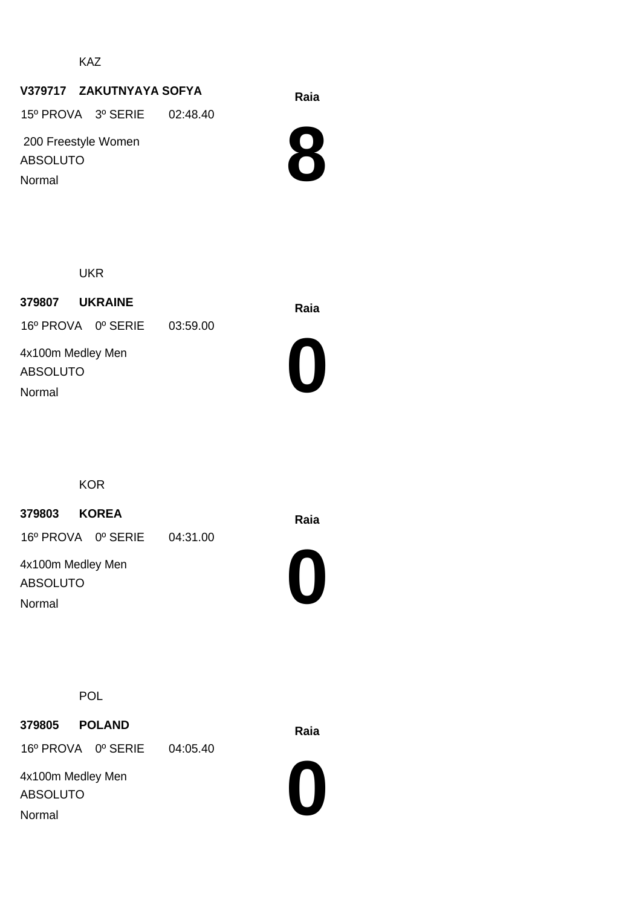KAZ

### **Raia V379717 ZAKUTNYAYA SOFYA**

15º PROVA 3º SERIE 02:48.40

 200 Freestyle Women ABSOLUTO Normal



UKR

**Raia <sup>379807</sup> UKRAINE** 16º PROVA 0º SERIE 03:59.00

4x100m Medley Men ABSOLUTO Normal



**KOR** 

**Raia <sup>379803</sup> KOREA**

16º PROVA 0º SERIE 04:31.00

4x100m Medley Men ABSOLUTO Normal



POL

**Raia <sup>379805</sup> POLAND**

16º PROVA 0º SERIE 04:05.40

4x100m Medley Men ABSOLUTO Normal



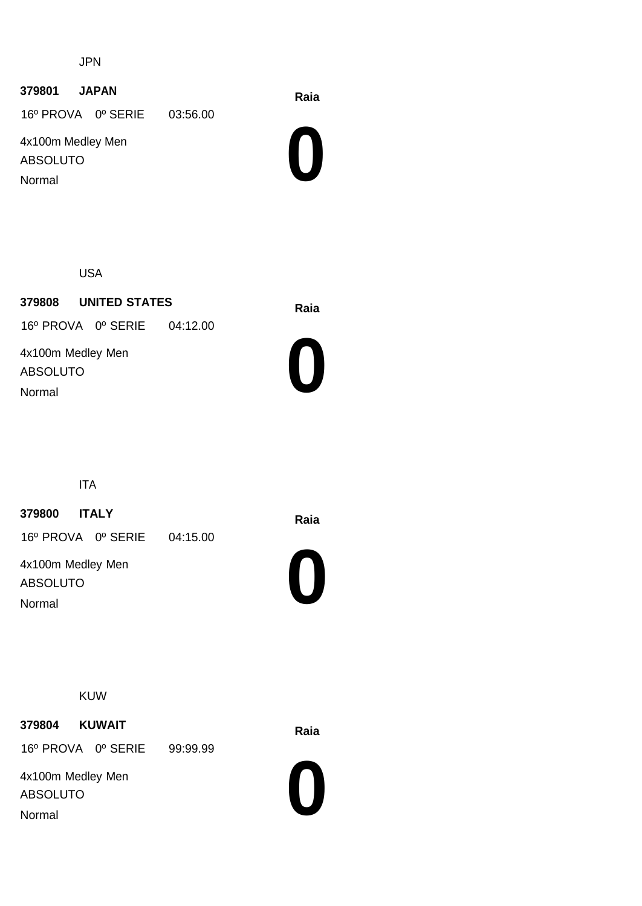JPN

**Raia <sup>379801</sup> JAPAN**

16º PROVA 0º SERIE 03:56.00

4x100m Medley Men ABSOLUTO Normal



USA

**Raia <sup>379808</sup> UNITED STATES** 4x100m Medley Men ABSOLUTO 16º PROVA 0º SERIE 04:12.00 Normal



ITA

**Raia <sup>379800</sup> ITALY**

16º PROVA 0º SERIE 04:15.00

4x100m Medley Men ABSOLUTO Normal



KUW

**Raia <sup>379804</sup> KUWAIT**

16º PROVA 0º SERIE 99:99.99

4x100m Medley Men ABSOLUTO Normal

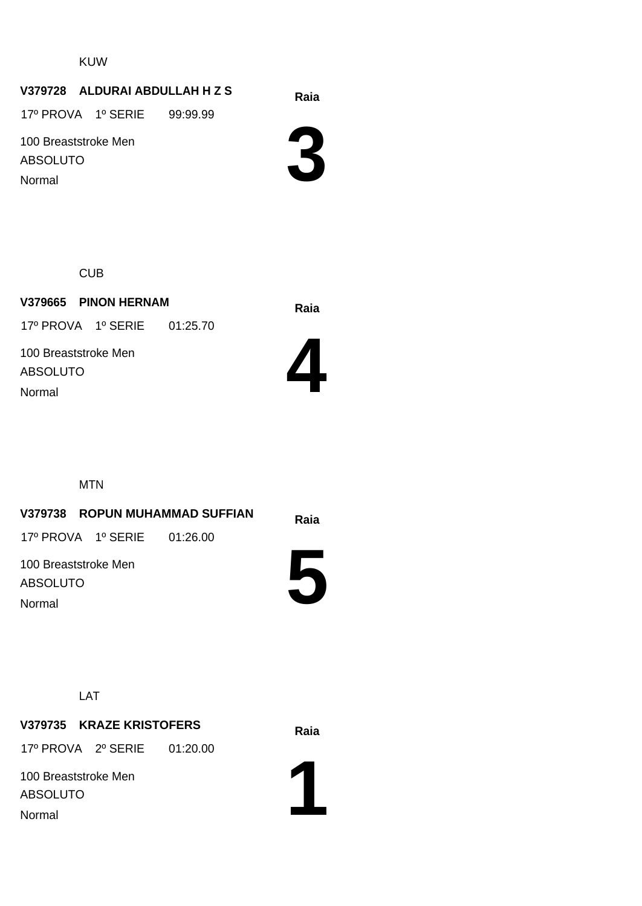KUW

#### **Raia V379728 ALDURAI ABDULLAH H Z S**

17º PROVA 1º SERIE 99:99.99

100 Breaststroke Men ABSOLUTO Normal



**CUB** 

**Raia V379665 PINON HERNAM** 100 Breaststroke Men ABSOLUTO 17º PROVA 1º SERIE 01:25.70 Normal



MTN

#### **V379738 ROPUN MUHAMMAD SUFFIAN 5** 100 Breaststroke Men ABSOLUTO 17º PROVA 1º SERIE 01:26.00 Normal

LAT

## **Raia V379735 KRAZE KRISTOFERS**

17º PROVA 2º SERIE 01:20.00

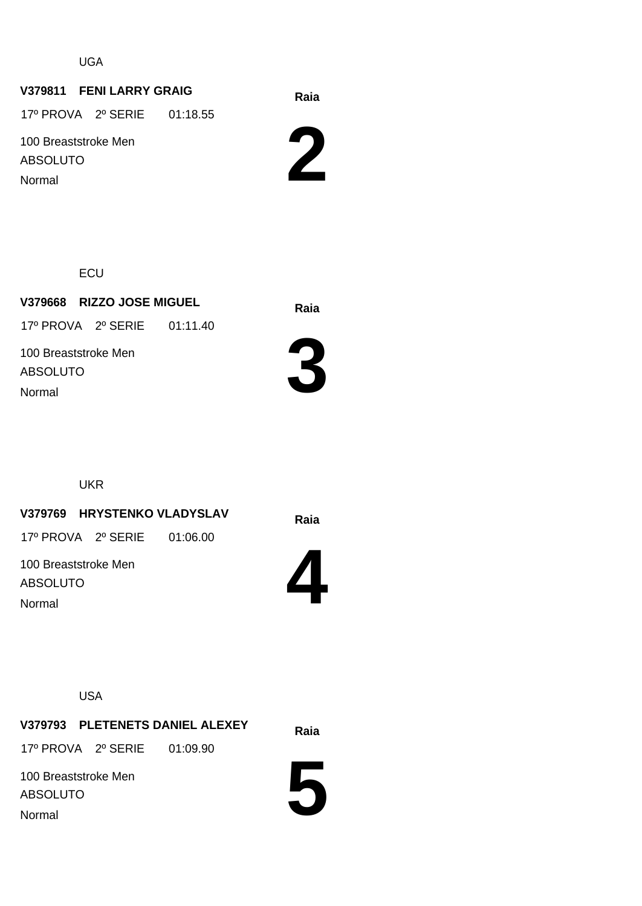UGA

#### **Raia V379811 FENI LARRY GRAIG**

17º PROVA 2º SERIE 01:18.55

100 Breaststroke Men ABSOLUTO

Normal



**ECU** 

**Raia V379668 RIZZO JOSE MIGUEL** 100 Breaststroke Men ABSOLUTO 17º PROVA 2º SERIE 01:11.40 Normal



UKR

**V379769 HRYSTENKO VLADYSLAV** Raia

17º PROVA 2º SERIE 01:06.00

**4**

100 Breaststroke Men ABSOLUTO Normal

USA

**Raia V379793 PLETENETS DANIEL ALEXEY** 17º PROVA 2º SERIE 01:09.90

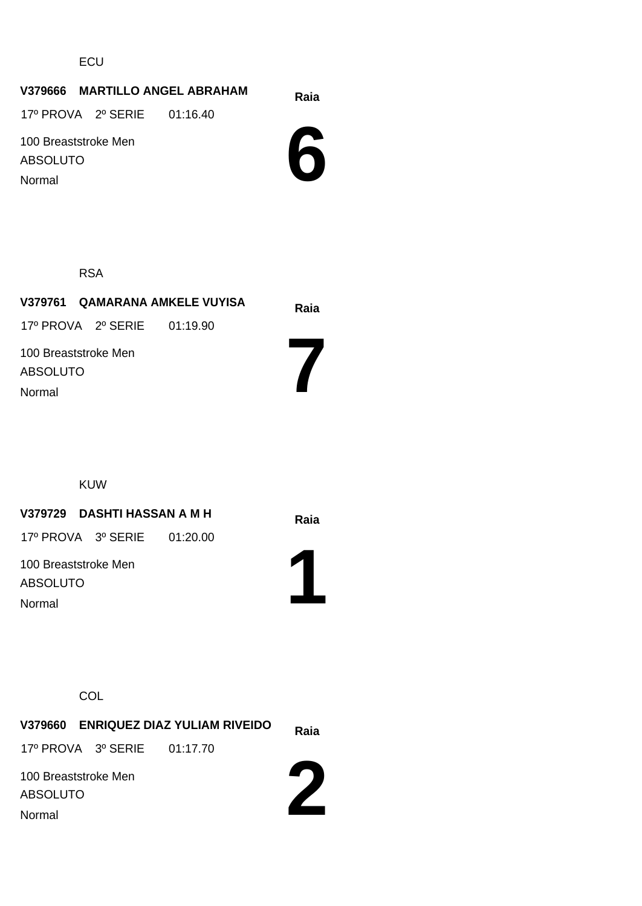ECU

### **Raia V379666 MARTILLO ANGEL ABRAHAM**

17º PROVA 2º SERIE 01:16.40

100 Breaststroke Men ABSOLUTO

Normal



RSA

|                                            |                             | V379761 QAMARANA AMKELE VUYISA | Raia |
|--------------------------------------------|-----------------------------|--------------------------------|------|
|                                            | 17º PROVA 2º SERIE 01:19.90 |                                |      |
| 100 Breaststroke Men<br>ABSOLUTO<br>Normal |                             |                                |      |

KUW

## **Raia V379729 DASHTI HASSAN A M H**

17º PROVA 3º SERIE 01:20.00

100 Breaststroke Men ABSOLUTO Normal



**COL** 

|                      |                             | V379660 ENRIQUEZ DIAZ YULIAM RIVEIDO | Raia |
|----------------------|-----------------------------|--------------------------------------|------|
|                      | 17º PROVA 3º SERIE 01:17.70 |                                      |      |
| 100 Breaststroke Men |                             |                                      |      |
| <b>ABSOLUTO</b>      |                             |                                      |      |
| Normal               |                             |                                      |      |

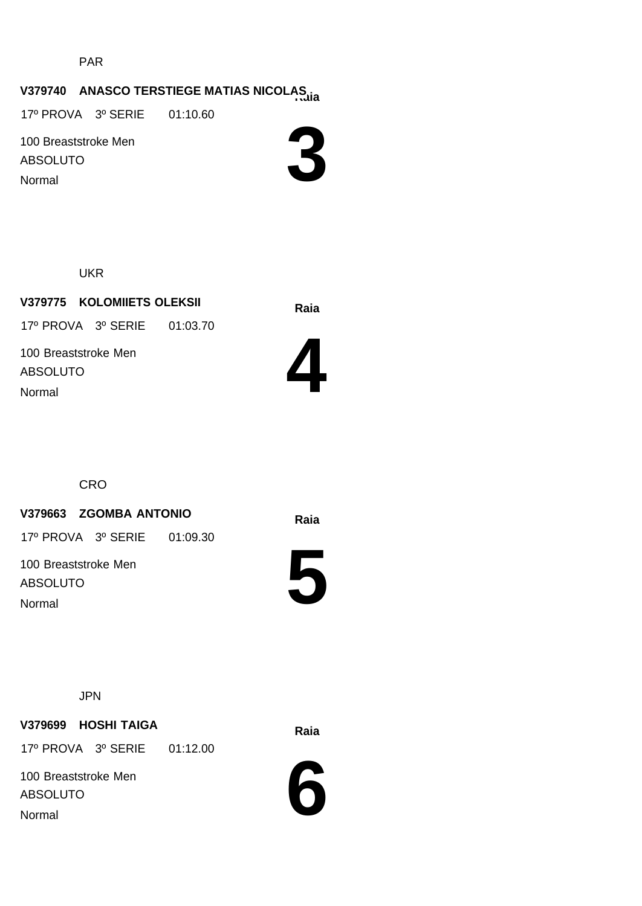PAR

# **V379740 ANASCO TERSTIEGE MATIAS NICOLAS**

17º PROVA 3º SERIE 01:10.60

100 Breaststroke Men ABSOLUTO Normal



UKR

**Raia V379775 KOLOMIIETS OLEKSII** 100 Breaststroke Men ABSOLUTO 17º PROVA 3º SERIE 01:03.70 Normal



**CRO** 

# **Raia V379663 ZGOMBA ANTONIO**

17º PROVA 3º SERIE 01:09.30

100 Breaststroke Men ABSOLUTO Normal

**5**



JPN

# **Raia V379699 HOSHI TAIGA**

17º PROVA 3º SERIE 01:12.00

100 Breaststroke Men ABSOLUTO Normal

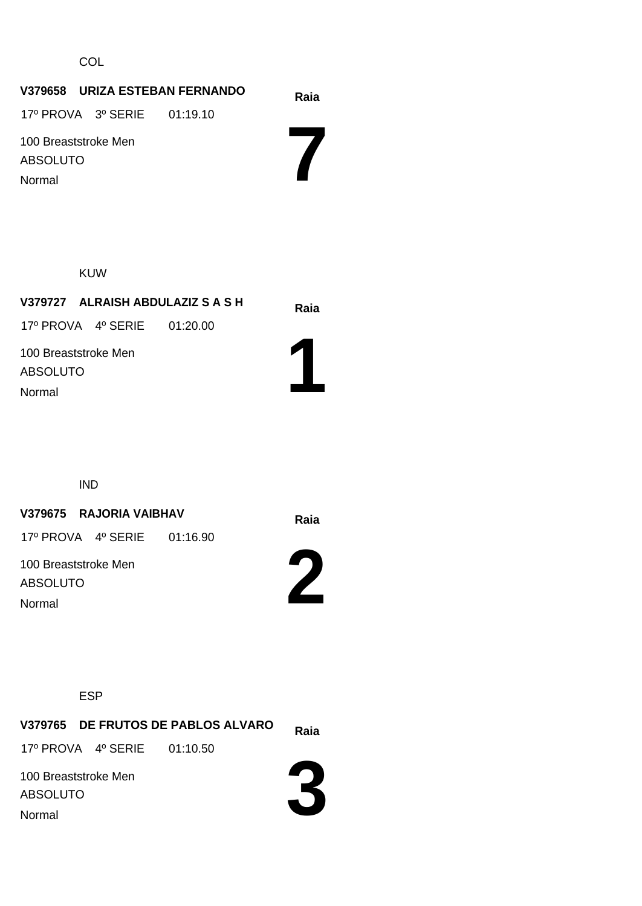**COL** 

# **Raia V379658 URIZA ESTEBAN FERNANDO**

17º PROVA 3º SERIE 01:19.10

100 Breaststroke Men ABSOLUTO Normal

**7**

KUW

| V379727 ALRAISH ABDULAZIZ S A S H |  |  | Raia |
|-----------------------------------|--|--|------|
| 17º PROVA 4º SERIE 01:20.00       |  |  |      |
| 100 Breaststroke Men              |  |  |      |
| <b>ABSOLUTO</b>                   |  |  |      |
| Normal                            |  |  |      |
|                                   |  |  |      |

IND

# **Raia V379675 RAJORIA VAIBHAV**

17º PROVA 4º SERIE 01:16.90

100 Breaststroke Men ABSOLUTO Normal



ESP

**Raia V379765 DE FRUTOS DE PABLOS ALVARO** 100 Breaststroke Men ABSOLUTO 17º PROVA 4º SERIE 01:10.50 Normal

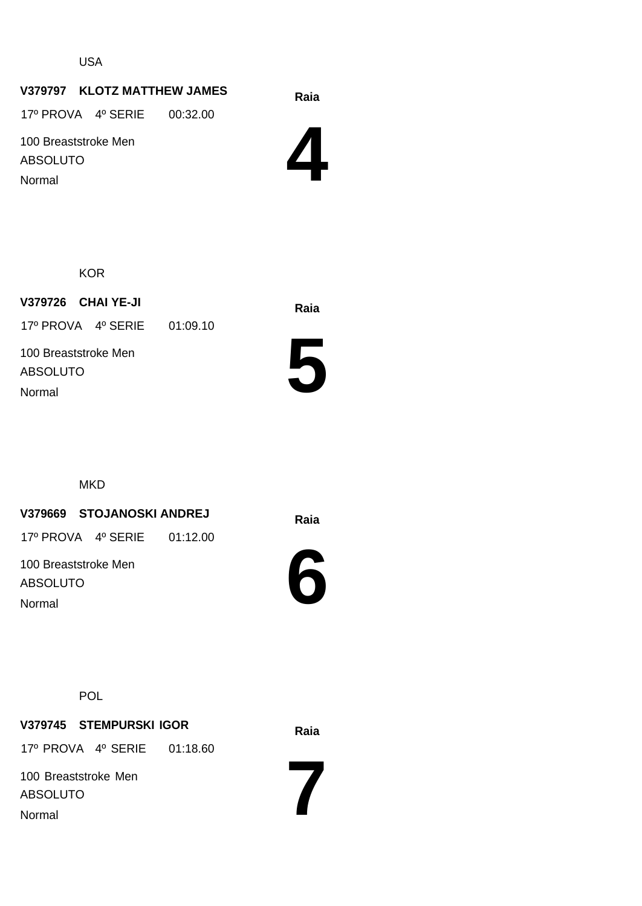USA

# **Raia V379797 KLOTZ MATTHEW JAMES**

17º PROVA 4º SERIE 00:32.00

100 Breaststroke Men ABSOLUTO Normal

**4**

**KOR** 

**Raia V379726 CHAI YE-JI** 100 Breaststroke Men ABSOLUTO 17º PROVA 4º SERIE 01:09.10 Normal



**MKD** 

# **Raia V379669 STOJANOSKI ANDREJ**

17º PROVA 4º SERIE 01:12.00

100 Breaststroke Men ABSOLUTO Normal





**Raia V379745 STEMPURSKI IGOR** 100 Breaststroke Men ABSOLUTO 17º PROVA 4º SERIE 01:18.60 Normal

**7**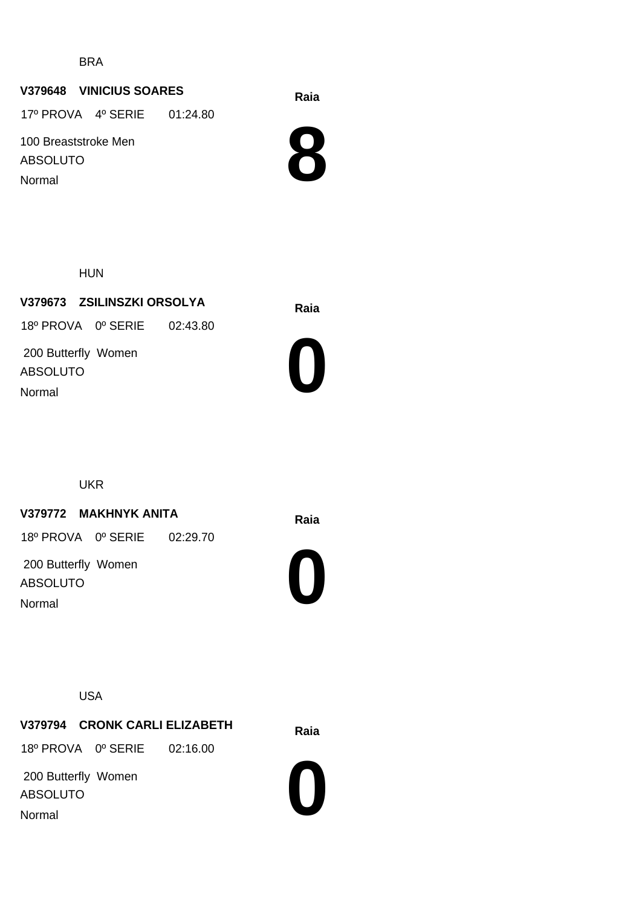BRA

#### **Raia V379648 VINICIUS SOARES**

17º PROVA 4º SERIE 01:24.80

100 Breaststroke Men ABSOLUTO

Normal



HUN

**Raia V379673 ZSILINSZKI ORSOLYA** 200 Butterfly Women ABSOLUTO 18º PROVA 0º SERIE 02:43.80 Normal



UKR

# **Raia V379772 MAKHNYK ANITA**

18º PROVA 0º SERIE 02:29.70

 200 Butterfly Women ABSOLUTO Normal

**0**

USA

**Raia V379794 CRONK CARLI ELIZABETH** 18º PROVA 0º SERIE 02:16.00

 200 Butterfly Women ABSOLUTO Normal

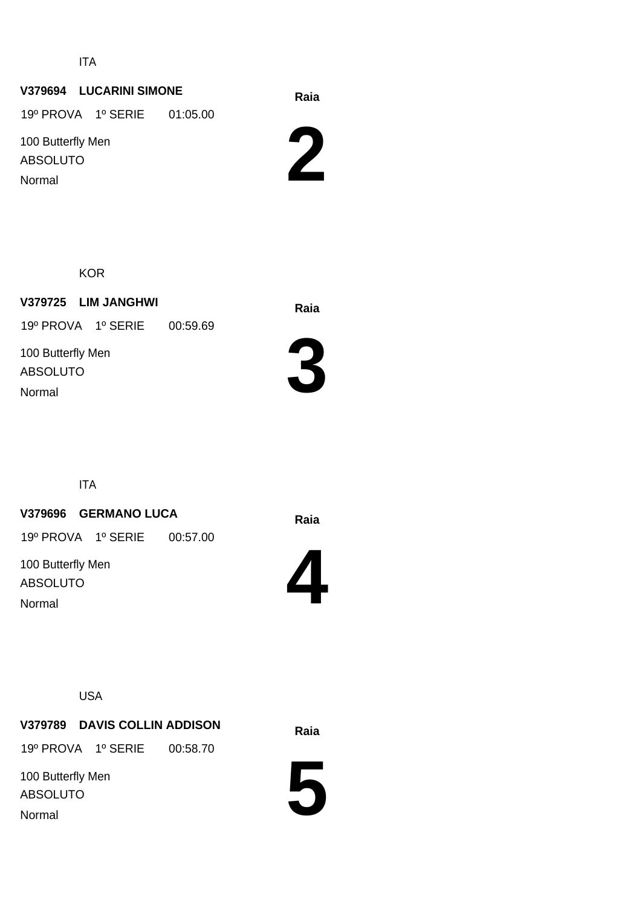ITA

# **Raia V379694 LUCARINI SIMONE**

19º PROVA 1º SERIE 01:05.00

100 Butterfly Men ABSOLUTO Normal



KOR

**Raia V379725 LIM JANGHWI** 100 Butterfly Men ABSOLUTO 19º PROVA 1º SERIE 00:59.69 Normal



ITA

# **Raia V379696 GERMANO LUCA**

19º PROVA 1º SERIE 00:57.00

100 Butterfly Men ABSOLUTO Normal



USA

**Raia V379789 DAVIS COLLIN ADDISON**

19º PROVA 1º SERIE 00:58.70

100 Butterfly Men ABSOLUTO Normal

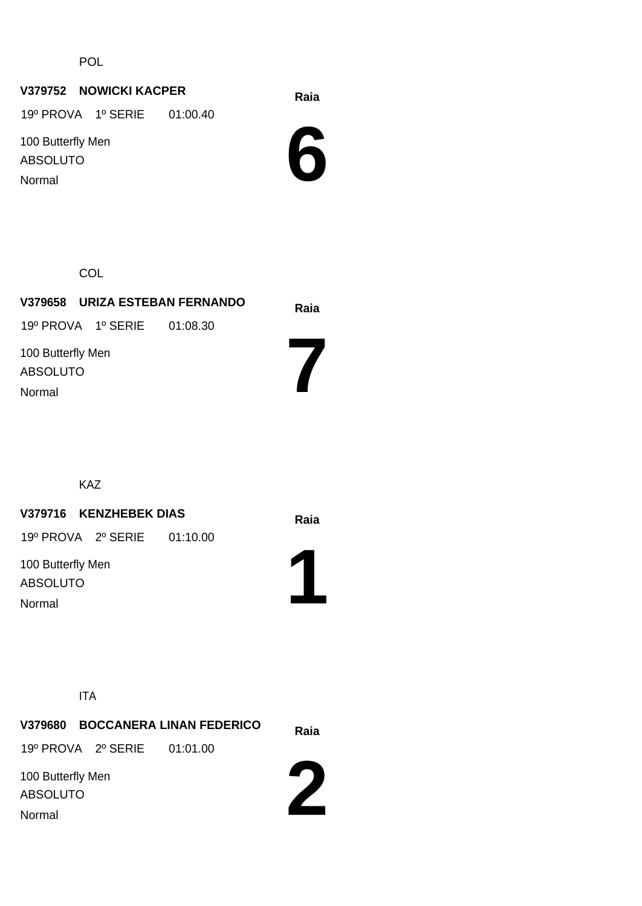POL

# **Raia V379752 NOWICKI KACPER**

19º PROVA 1º SERIE 01:00.40

100 Butterfly Men ABSOLUTO Normal

**6**

**COL** 

| V379658 URIZA ESTEBAN FERNANDO       | Raia |
|--------------------------------------|------|
| 19º PROVA 1º SERIE 01:08.30          |      |
| 100 Butterfly Men<br><b>ABSOLUTO</b> |      |
| Normal                               |      |

KAZ

# **Raia V379716 KENZHEBEK DIAS**

19º PROVA 2º SERIE 01:10.00

100 Butterfly Men ABSOLUTO Normal



ITA

|                                                |                             | V379680 BOCCANERA LINAN FEDERICO | Raia |
|------------------------------------------------|-----------------------------|----------------------------------|------|
|                                                | 19º PROVA 2º SERIE 01:01.00 |                                  |      |
| 100 Butterfly Men<br><b>ABSOLUTO</b><br>Normal |                             |                                  |      |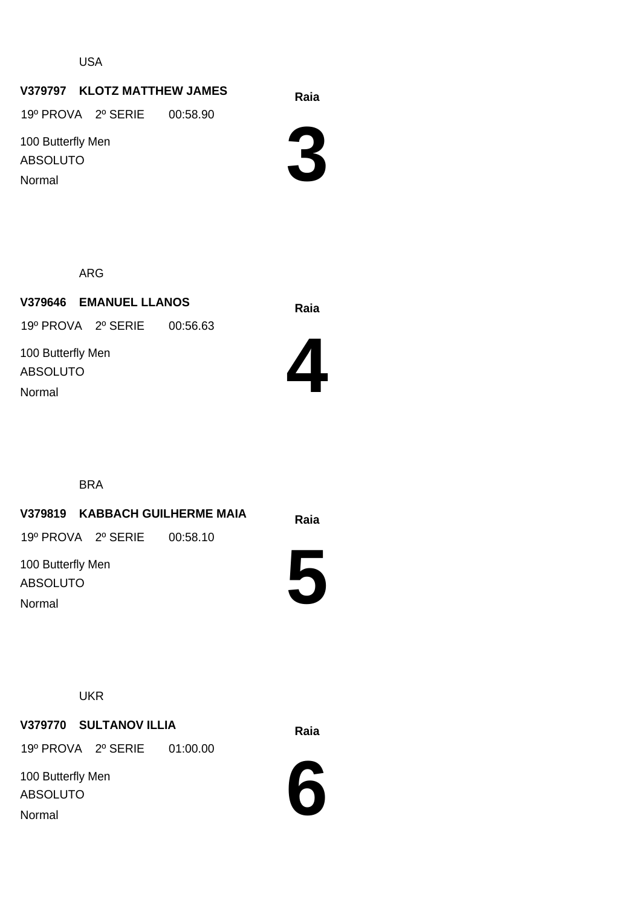USA

# **Raia V379797 KLOTZ MATTHEW JAMES**

19º PROVA 2º SERIE 00:58.90

100 Butterfly Men ABSOLUTO Normal



ARG

**Raia V379646 EMANUEL LLANOS** 100 Butterfly Men ABSOLUTO 19º PROVA 2º SERIE 00:56.63 Normal



BRA

# **Raia V379819 KABBACH GUILHERME MAIA** 100 Butterfly Men 19º PROVA 2º SERIE 00:58.10

ABSOLUTO Normal



**UKR** 

# **Raia V379770 SULTANOV ILLIA**

19º PROVA 2º SERIE 01:00.00

100 Butterfly Men ABSOLUTO Normal

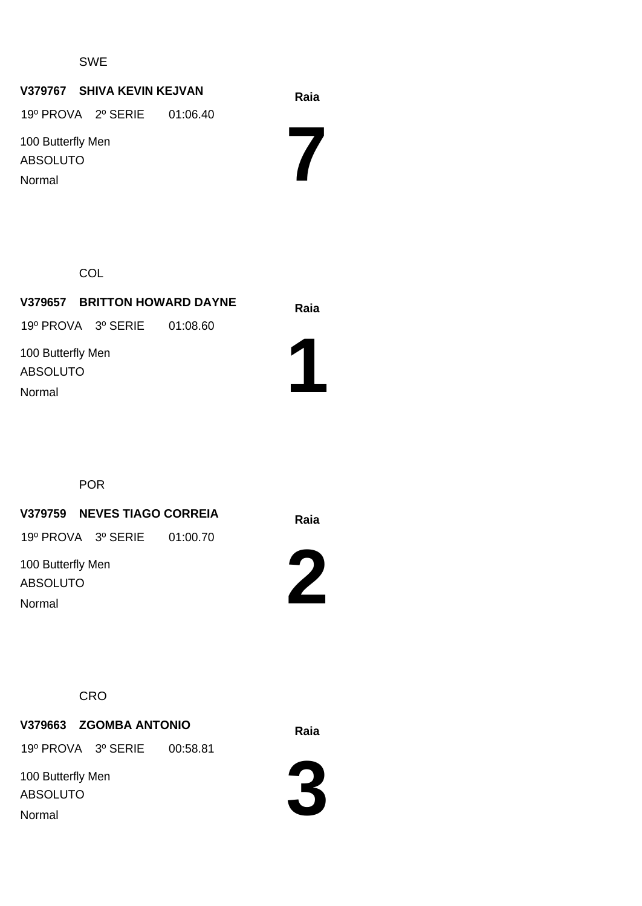#### SWE

# **Raia V379767 SHIVA KEVIN KEJVAN**

19º PROVA 2º SERIE 01:06.40

100 Butterfly Men ABSOLUTO Normal

**7**

**COL** 

**Raia V379657 BRITTON HOWARD DAYNE** 100 Butterfly Men ABSOLUTO 19º PROVA 3º SERIE 01:08.60

Normal

POR

**Raia V379759 NEVES TIAGO CORREIA**

19º PROVA 3º SERIE 01:00.70

100 Butterfly Men ABSOLUTO Normal



**1**

**CRO** 

# **Raia V379663 ZGOMBA ANTONIO**

19º PROVA 3º SERIE 00:58.81

100 Butterfly Men ABSOLUTO Normal

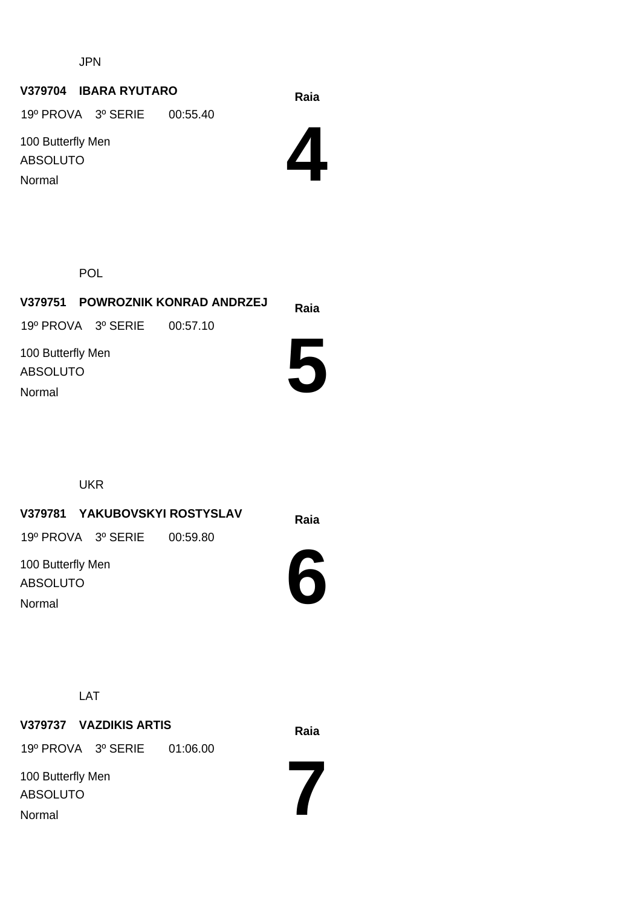JPN

# **Raia V379704 IBARA RYUTARO**

19º PROVA 3º SERIE 00:55.40

100 Butterfly Men ABSOLUTO Normal



POL

|                                         |                             | V379751 POWROZNIK KONRAD ANDRZEJ | Raia |
|-----------------------------------------|-----------------------------|----------------------------------|------|
|                                         | 19º PROVA 3º SERIE 00:57.10 |                                  |      |
| 100 Butterfly Men<br>ABSOLUTO<br>Normal |                             |                                  |      |
|                                         |                             |                                  |      |

UKR

**Raia V379781 YAKUBOVSKYI ROSTYSLAV** 19º PROVA 3º SERIE 00:59.80

100 Butterfly Men ABSOLUTO Normal



**7**

LAT

**Raia V379737 VAZDIKIS ARTIS** 100 Butterfly Men ABSOLUTO 19º PROVA 3º SERIE 01:06.00 Normal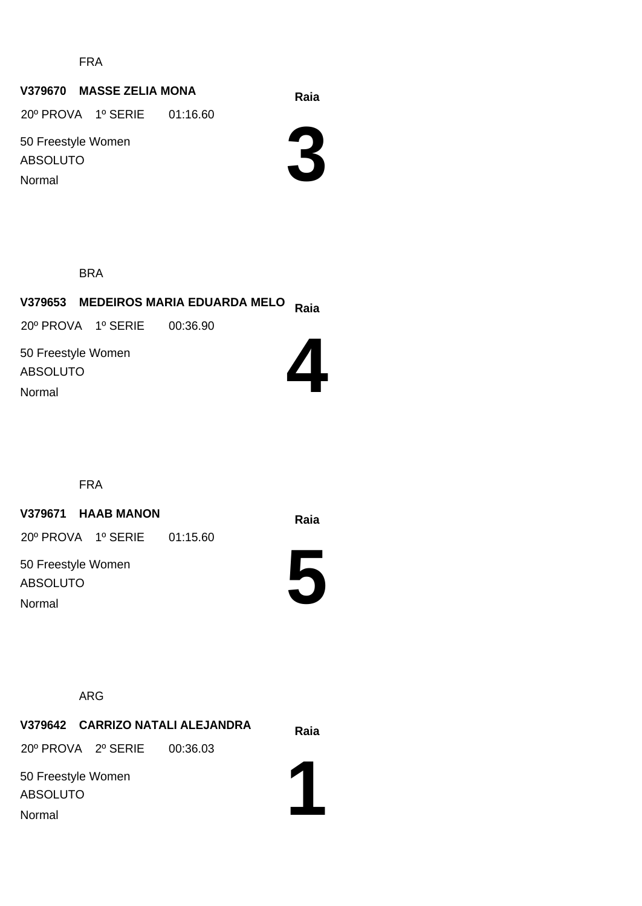FRA

#### **Raia V379670 MASSE ZELIA MONA**

20º PROVA 1º SERIE 01:16.60

50 Freestyle Women ABSOLUTO Normal

**3**

BRA

# **Raia V379653 MEDEIROS MARIA EDUARDA MELO**

20º PROVA 1º SERIE 00:36.90

50 Freestyle Women ABSOLUTO Normal



FRA

# **Raia V379671 HAAB MANON**

20º PROVA 1º SERIE 01:15.60

50 Freestyle Women ABSOLUTO Normal



ARG

**Raia V379642 CARRIZO NATALI ALEJANDRA** 20º PROVA 2º SERIE 00:36.03

50 Freestyle Women ABSOLUTO Normal

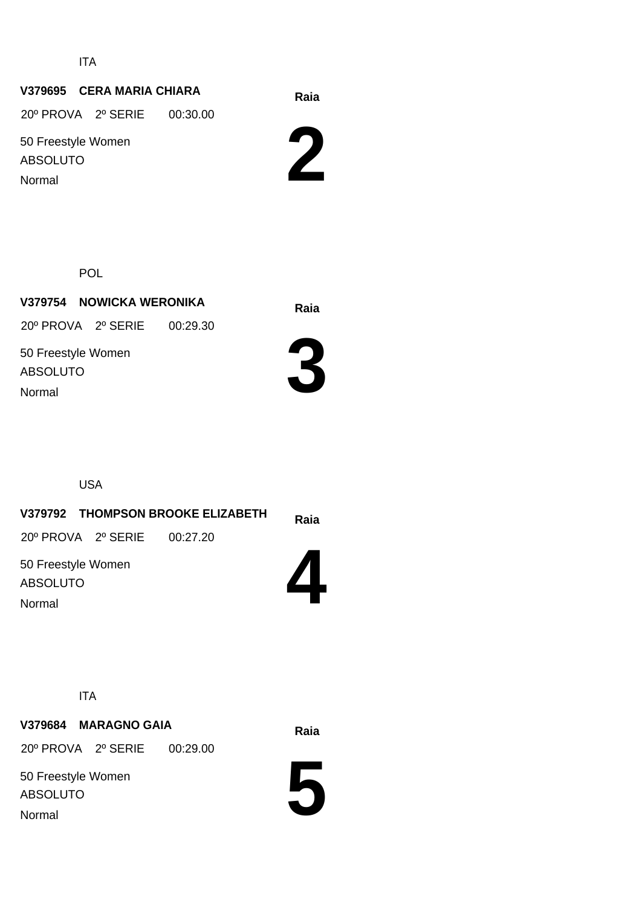ITA

# **Raia V379695 CERA MARIA CHIARA**

20º PROVA 2º SERIE 00:30.00

50 Freestyle Women ABSOLUTO Normal



POL

**Raia V379754 NOWICKA WERONIKA** 50 Freestyle Women ABSOLUTO 20º PROVA 2º SERIE 00:29.30 Normal



USA

# **Raia V379792 THOMPSON BROOKE ELIZABETH 4** 50 Freestyle Women ABSOLUTO 20º PROVA 2º SERIE 00:27.20 Normal

ITA

**Raia V379684 MARAGNO GAIA** 20º PROVA 2º SERIE 00:29.00

50 Freestyle Women ABSOLUTO Normal

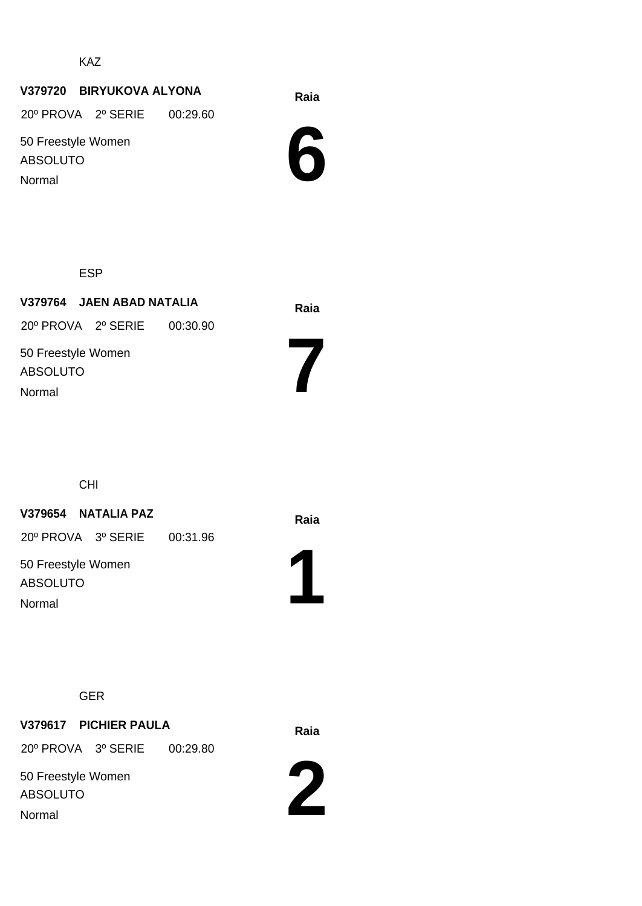KAZ

# **Raia V379720 BIRYUKOVA ALYONA**

20º PROVA 2º SERIE 00:29.60

50 Freestyle Women ABSOLUTO Normal

**6**

ESP

**Raia V379764 JAEN ABAD NATALIA** 50 Freestyle Women ABSOLUTO 20º PROVA 2º SERIE 00:30.90 Normal

CHI

# **Raia V379654 NATALIA PAZ**

20º PROVA 3º SERIE 00:31.96

50 Freestyle Women ABSOLUTO Normal



**7**

#### GER

# **Raia V379617 PICHIER PAULA** 50 Freestyle Women 20º PROVA 3º SERIE 00:29.80

ABSOLUTO Normal

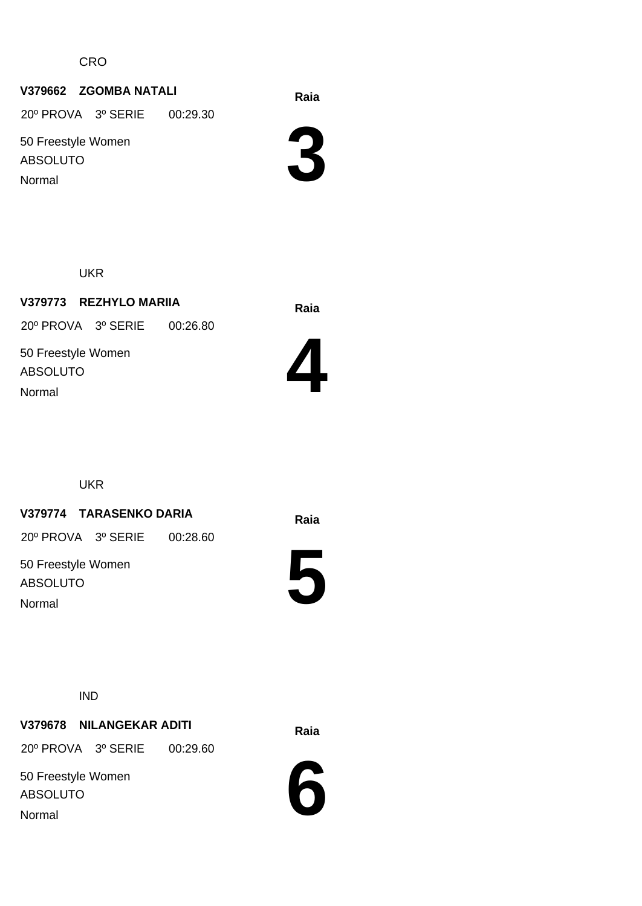**CRO** 

# **Raia V379662 ZGOMBA NATALI**

20º PROVA 3º SERIE 00:29.30

50 Freestyle Women ABSOLUTO

Normal



UKR

**Raia V379773 REZHYLO MARIIA** 50 Freestyle Women ABSOLUTO 20º PROVA 3º SERIE 00:26.80 Normal



UKR

# **Raia V379774 TARASENKO DARIA**

20º PROVA 3º SERIE 00:28.60

50 Freestyle Women ABSOLUTO Normal



IND

# **Raia V379678 NILANGEKAR ADITI**

20º PROVA 3º SERIE 00:29.60

50 Freestyle Women ABSOLUTO Normal

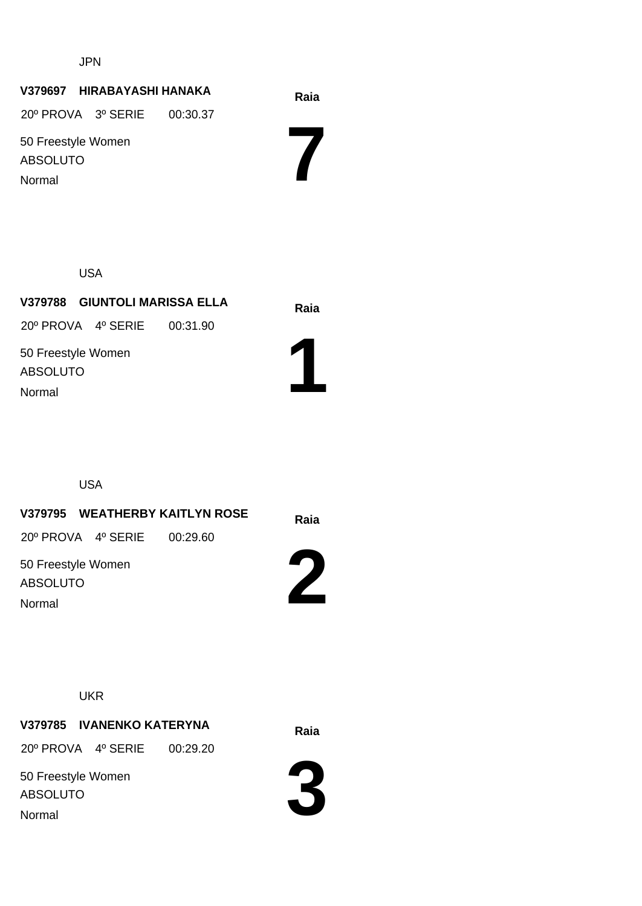JPN

# **Raia V379697 HIRABAYASHI HANAKA**

20º PROVA 3º SERIE 00:30.37

50 Freestyle Women ABSOLUTO Normal

**7**

**1**

USA

**Raia V379788 GIUNTOLI MARISSA ELLA** 50 Freestyle Women ABSOLUTO 20º PROVA 4º SERIE 00:31.90 Normal

USA

**Raia V379795 WEATHERBY KAITLYN ROSE 2** 50 Freestyle Women ABSOLUTO 20º PROVA 4º SERIE 00:29.60

Normal

**UKR** 

**Raia V379785 IVANENKO KATERYNA** 20º PROVA 4º SERIE 00:29.20

50 Freestyle Women ABSOLUTO Normal

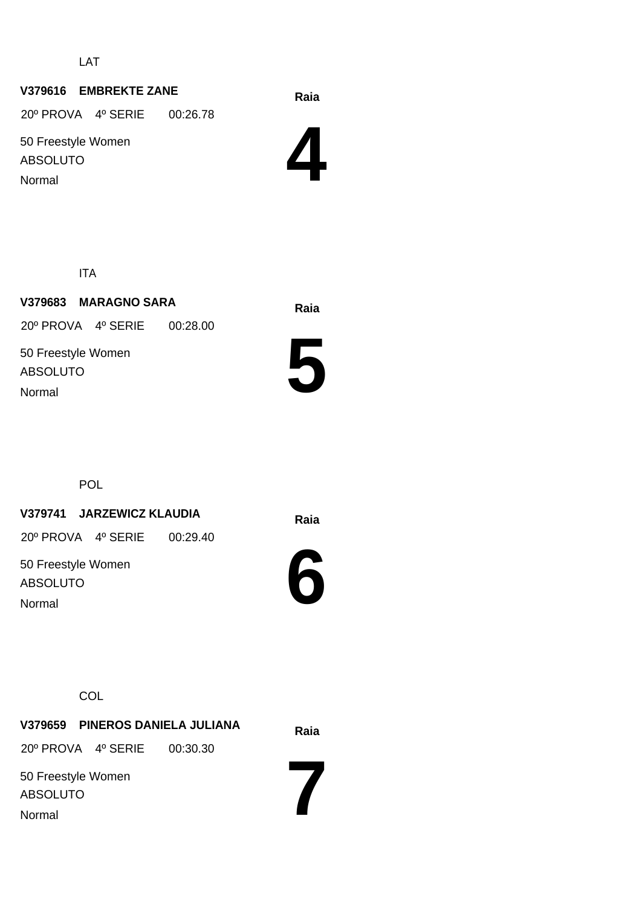LAT

# **Raia V379616 EMBREKTE ZANE**

20º PROVA 4º SERIE 00:26.78

50 Freestyle Women ABSOLUTO Normal



ITA

**Raia V379683 MARAGNO SARA** 50 Freestyle Women ABSOLUTO 20º PROVA 4º SERIE 00:28.00 Normal



**POL** 

# **Raia V379741 JARZEWICZ KLAUDIA**

20º PROVA 4º SERIE 00:29.40

50 Freestyle Women ABSOLUTO Normal



**7**

**COL** 

**Raia V379659 PINEROS DANIELA JULIANA** 50 Freestyle Women ABSOLUTO 20º PROVA 4º SERIE 00:30.30 Normal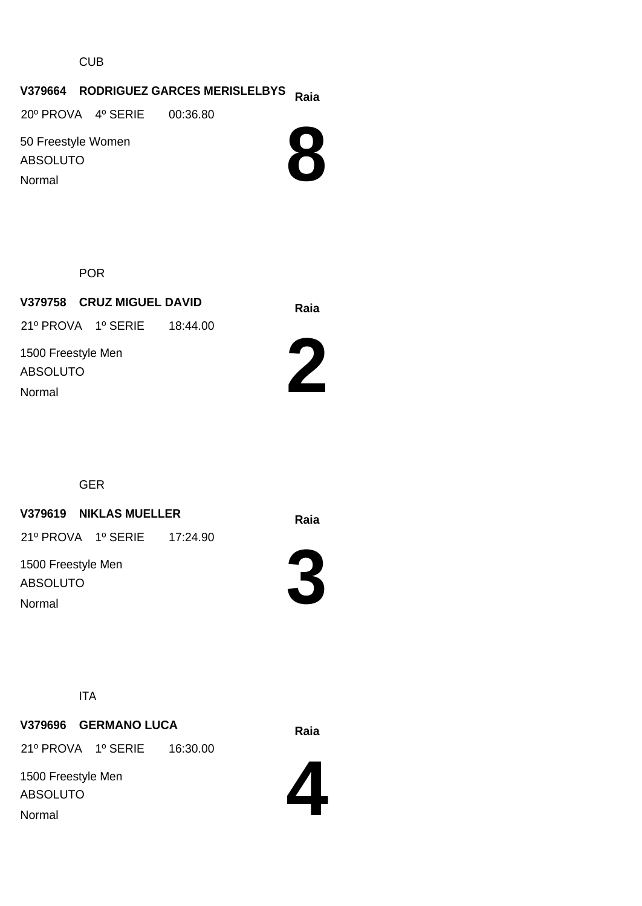CUB

# **Raia V379664 RODRIGUEZ GARCES MERISLELBYS**

20º PROVA 4º SERIE 00:36.80

50 Freestyle Women ABSOLUTO Normal



POR

**Raia V379758 CRUZ MIGUEL DAVID** 1500 Freestyle Men ABSOLUTO 21º PROVA 1º SERIE 18:44.00 Normal



GER

# **Raia V379619 NIKLAS MUELLER**

21º PROVA 1º SERIE 17:24.90

1500 Freestyle Men ABSOLUTO Normal



ITA

# **Raia V379696 GERMANO LUCA**

21º PROVA 1º SERIE 16:30.00

1500 Freestyle Men ABSOLUTO Normal

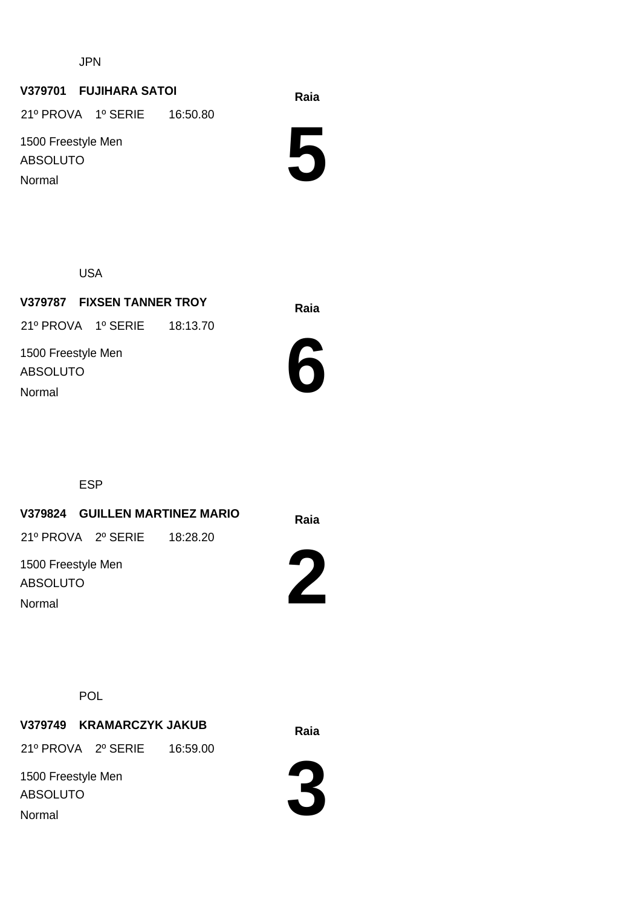JPN

#### **Raia V379701 FUJIHARA SATOI**

21º PROVA 1º SERIE 16:50.80

1500 Freestyle Men ABSOLUTO Normal

**5**

USA

**Raia V379787 FIXSEN TANNER TROY** 1500 Freestyle Men ABSOLUTO 21º PROVA 1º SERIE 18:13.70 Normal



ESP

**Raia V379824 GUILLEN MARTINEZ MARIO**

21º PROVA 2º SERIE 18:28.20

1500 Freestyle Men ABSOLUTO Normal



POL

**Raia V379749 KRAMARCZYK JAKUB**

21º PROVA 2º SERIE 16:59.00

1500 Freestyle Men ABSOLUTO Normal

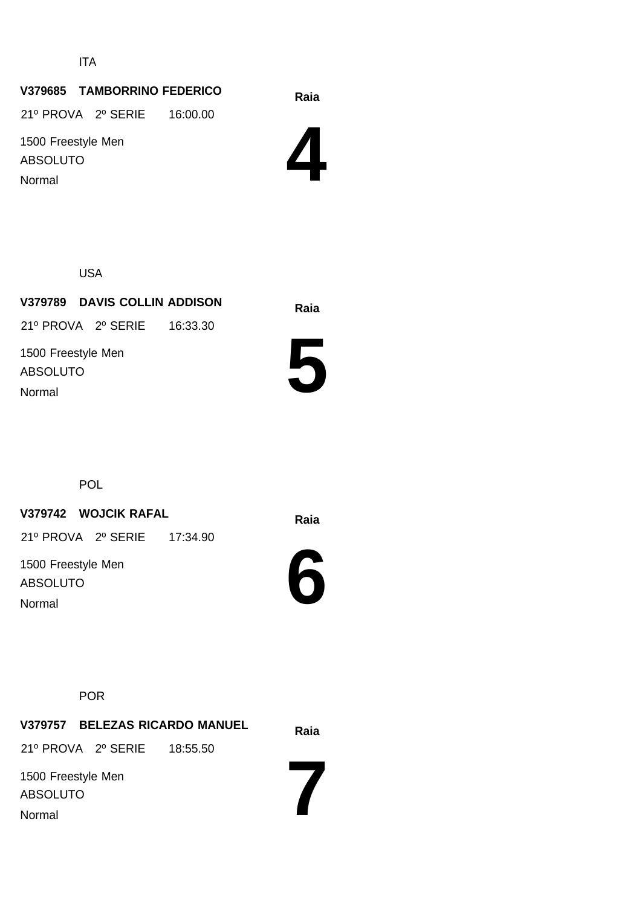ITA

#### **Raia V379685 TAMBORRINO FEDERICO**

21º PROVA 2º SERIE 16:00.00

1500 Freestyle Men ABSOLUTO Normal

**4**

USA

# **Raia V379789 DAVIS COLLIN ADDISON** 1500 Freestyle Men ABSOLUTO 21º PROVA 2º SERIE 16:33.30 Normal



POL

# **Raia V379742 WOJCIK RAFAL**

21º PROVA 2º SERIE 17:34.90

1500 Freestyle Men ABSOLUTO Normal

**6**

POR

**Raia V379757 BELEZAS RICARDO MANUEL 7** 1500 Freestyle Men ABSOLUTO 21º PROVA 2º SERIE 18:55.50 Normal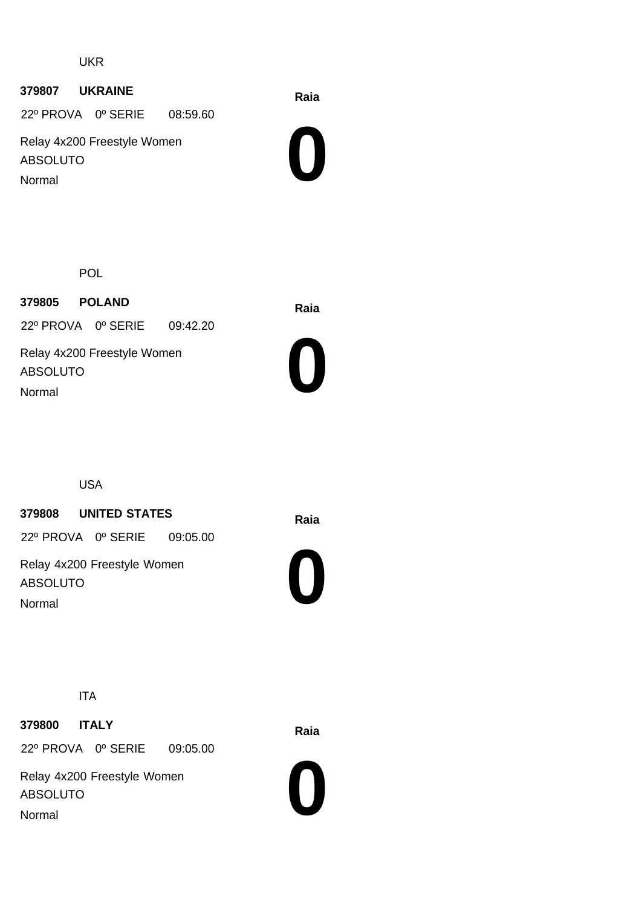#### UKR

#### **Raia <sup>379807</sup> UKRAINE**

22º PROVA 0º SERIE 08:59.60

Relay 4x200 Freestyle Women ABSOLUTO Normal



POL

**Raia <sup>379805</sup> POLAND** Relay 4x200 Freestyle Women ABSOLUTO 22º PROVA 0º SERIE 09:42.20 Normal



USA

# **Raia <sup>379808</sup> UNITED STATES**

22º PROVA 0º SERIE 09:05.00

Relay 4x200 Freestyle Women ABSOLUTO Normal



ITA

**Raia <sup>379800</sup> ITALY** 22º PROVA 0º SERIE 09:05.00

Relay 4x200 Freestyle Women ABSOLUTO Normal

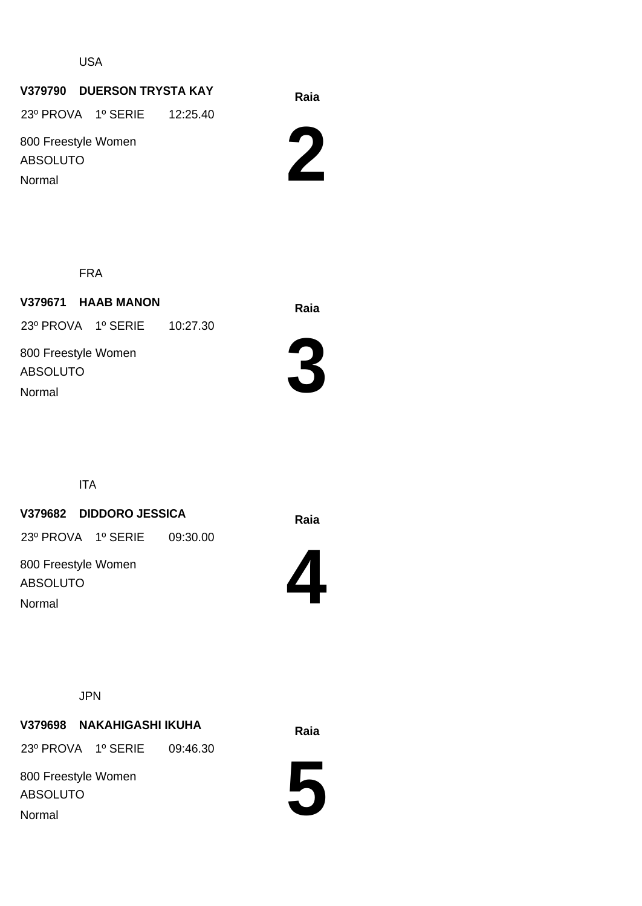USA

# **Raia V379790 DUERSON TRYSTA KAY**

23º PROVA 1º SERIE 12:25.40

800 Freestyle Women ABSOLUTO Normal



FRA

**Raia V379671 HAAB MANON** 23º PROVA 1º SERIE 10:27.30

800 Freestyle Women ABSOLUTO Normal



ITA

# **Raia V379682 DIDDORO JESSICA**

23º PROVA 1º SERIE 09:30.00

800 Freestyle Women ABSOLUTO Normal



JPN

# **Raia V379698 NAKAHIGASHI IKUHA**

23º PROVA 1º SERIE 09:46.30

800 Freestyle Women ABSOLUTO Normal

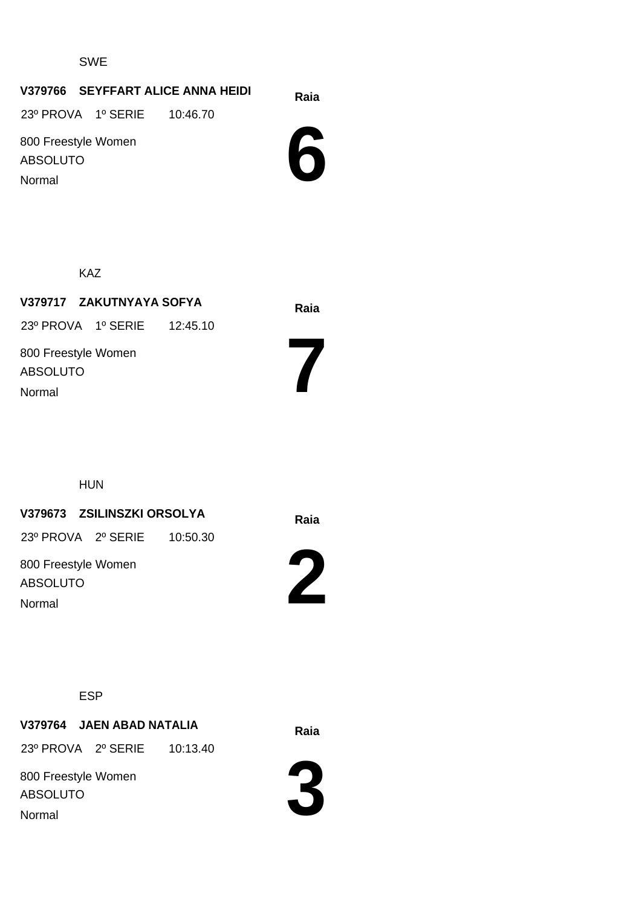SWE

#### **Raia V379766 SEYFFART ALICE ANNA HEIDI**

23º PROVA 1º SERIE 10:46.70

800 Freestyle Women ABSOLUTO Normal

**6**

KAZ

**Raia V379717 ZAKUTNYAYA SOFYA** 800 Freestyle Women ABSOLUTO 23º PROVA 1º SERIE 12:45.10 Normal

HUN

# **Raia V379673 ZSILINSZKI ORSOLYA**

23º PROVA 2º SERIE 10:50.30

800 Freestyle Women ABSOLUTO Normal



**7**

ESP

# **Raia V379764 JAEN ABAD NATALIA**

23º PROVA 2º SERIE 10:13.40

800 Freestyle Women ABSOLUTO Normal

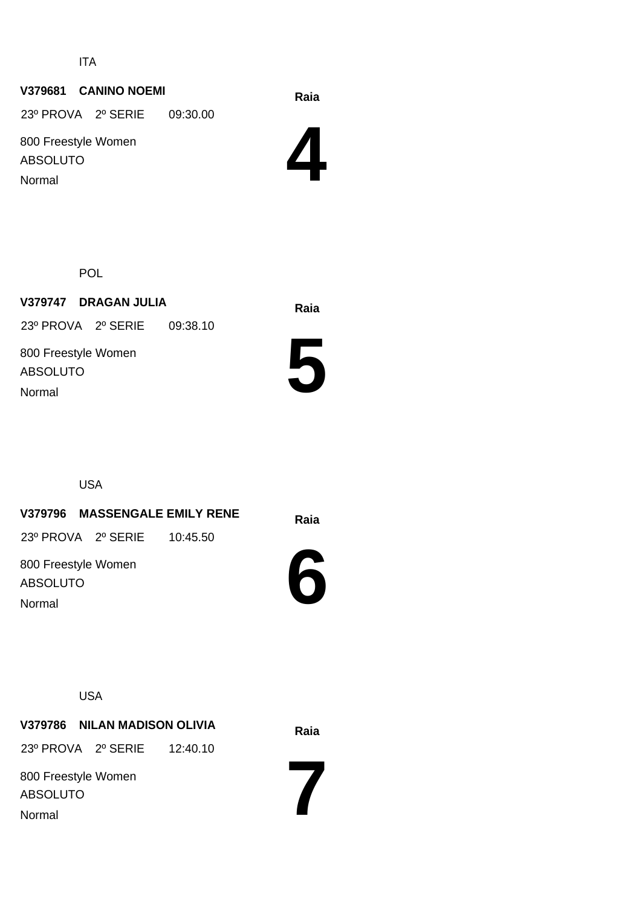ITA

# **Raia V379681 CANINO NOEMI**

23º PROVA 2º SERIE 09:30.00

800 Freestyle Women ABSOLUTO Normal

**4**

POL

**Raia V379747 DRAGAN JULIA** 800 Freestyle Women ABSOLUTO 23º PROVA 2º SERIE 09:38.10

Normal



USA

**Raia V379796 MASSENGALE EMILY RENE**

23º PROVA 2º SERIE 10:45.50

800 Freestyle Women ABSOLUTO Normal



USA

**Raia V379786 NILAN MADISON OLIVIA** 23º PROVA 2º SERIE 12:40.10

800 Freestyle Women ABSOLUTO Normal

**7**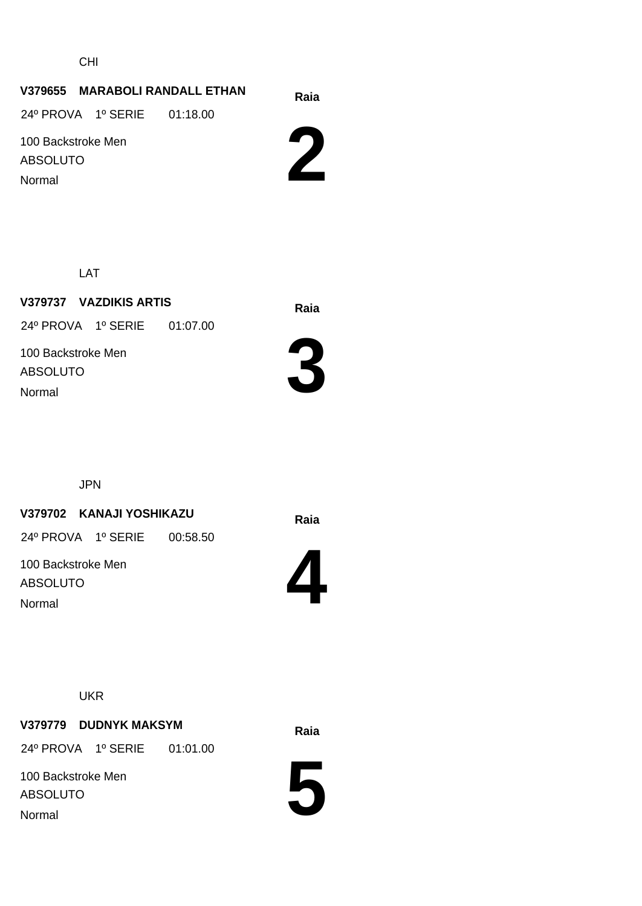CHI

# **Raia V379655 MARABOLI RANDALL ETHAN**

24º PROVA 1º SERIE 01:18.00

100 Backstroke Men ABSOLUTO Normal



LAT

**Raia V379737 VAZDIKIS ARTIS** 100 Backstroke Men ABSOLUTO 24º PROVA 1º SERIE 01:07.00 Normal



JPN

# **Raia V379702 KANAJI YOSHIKAZU**

24º PROVA 1º SERIE 00:58.50

100 Backstroke Men ABSOLUTO Normal



**UKR** 

# **Raia V379779 DUDNYK MAKSYM**

24º PROVA 1º SERIE 01:01.00

100 Backstroke Men ABSOLUTO Normal

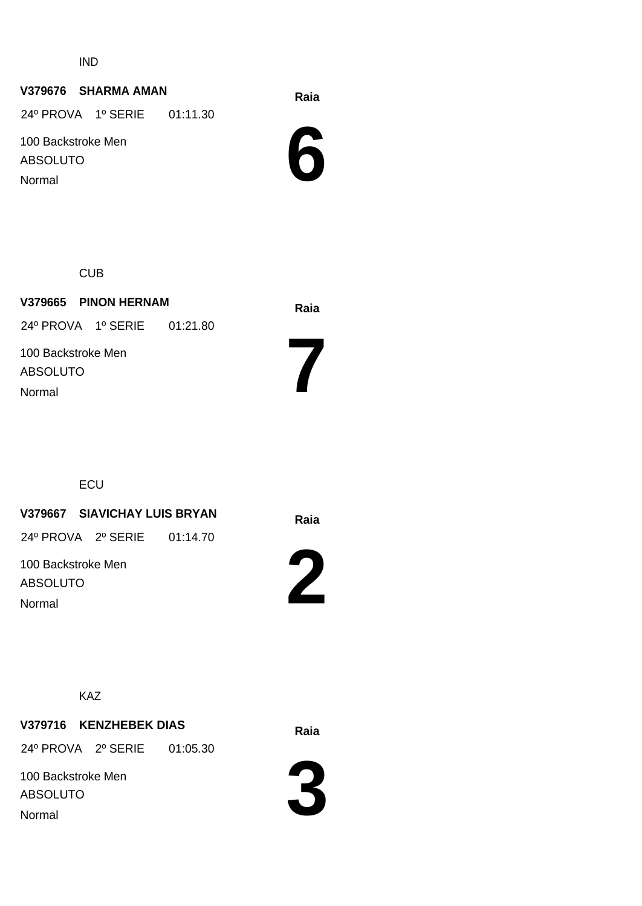IND

# **Raia V379676 SHARMA AMAN**

24º PROVA 1º SERIE 01:11.30

100 Backstroke Men ABSOLUTO

Normal



CUB

| V379665 PINON HERNAM           | Raia |
|--------------------------------|------|
| 24º PROVA 1º SERIE 01:21.80    |      |
| 100 Backstroke Men<br>ABSOLUTO |      |
| Normal                         |      |

ECU

# **Raia V379667 SIAVICHAY LUIS BRYAN**

24º PROVA 2º SERIE 01:14.70

100 Backstroke Men ABSOLUTO Normal



**7**

KAZ

# **Raia V379716 KENZHEBEK DIAS**

24º PROVA 2º SERIE 01:05.30

100 Backstroke Men ABSOLUTO Normal



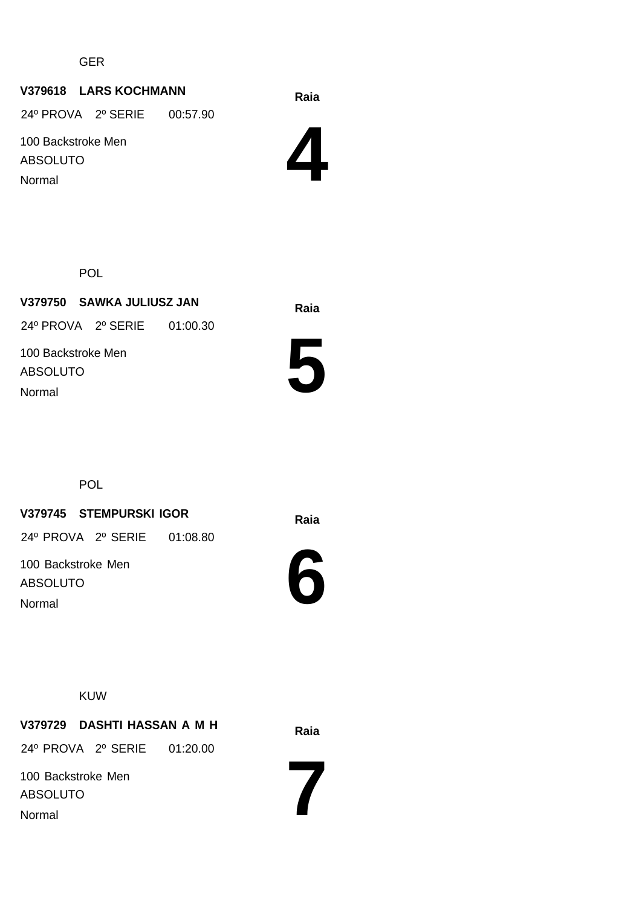GER

# **Raia V379618 LARS KOCHMANN**

24º PROVA 2º SERIE 00:57.90

100 Backstroke Men ABSOLUTO Normal



POL

**Raia V379750 SAWKA JULIUSZ JAN** 100 Backstroke Men ABSOLUTO 24º PROVA 2º SERIE 01:00.30 Normal



**POL** 

# **Raia V379745 STEMPURSKI IGOR**

24º PROVA 2º SERIE 01:08.80

100 Backstroke Men ABSOLUTO Normal



KUW

**Raia V379729 DASHTI HASSAN A M H** 24º PROVA 2º SERIE 01:20.00

100 Backstroke Men ABSOLUTO Normal

**7**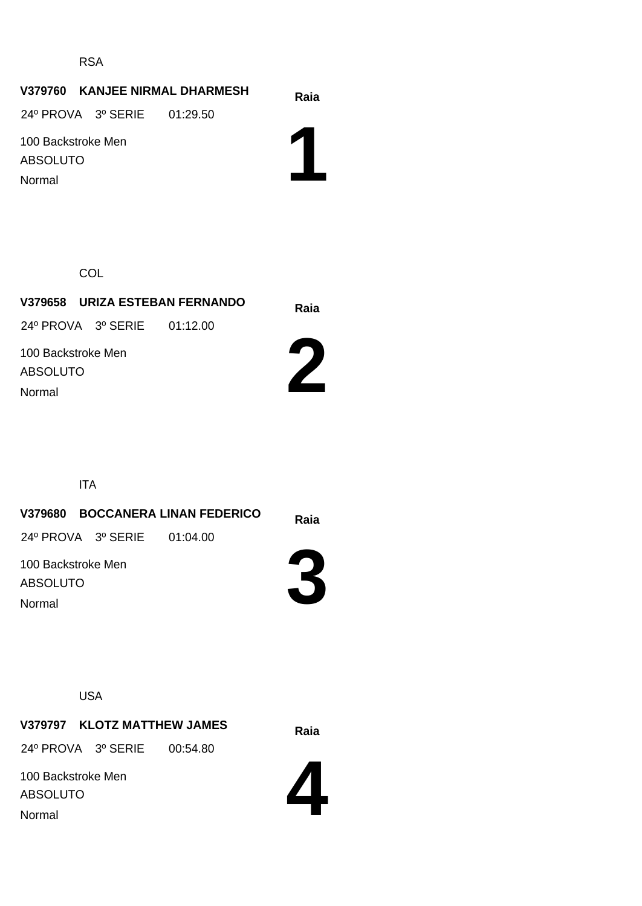RSA

#### **Raia V379760 KANJEE NIRMAL DHARMESH**

24º PROVA 3º SERIE 01:29.50

100 Backstroke Men ABSOLUTO Normal

**1**

**COL** 

**Raia V379658 URIZA ESTEBAN FERNANDO** 24º PROVA 3º SERIE 01:12.00

100 Backstroke Men ABSOLUTO Normal



ITA

**Raia V379680 BOCCANERA LINAN FEDERICO 3** 100 Backstroke Men ABSOLUTO 24º PROVA 3º SERIE 01:04.00 Normal

USA

**Raia V379797 KLOTZ MATTHEW JAMES** 24º PROVA 3º SERIE 00:54.80

100 Backstroke Men ABSOLUTO Normal

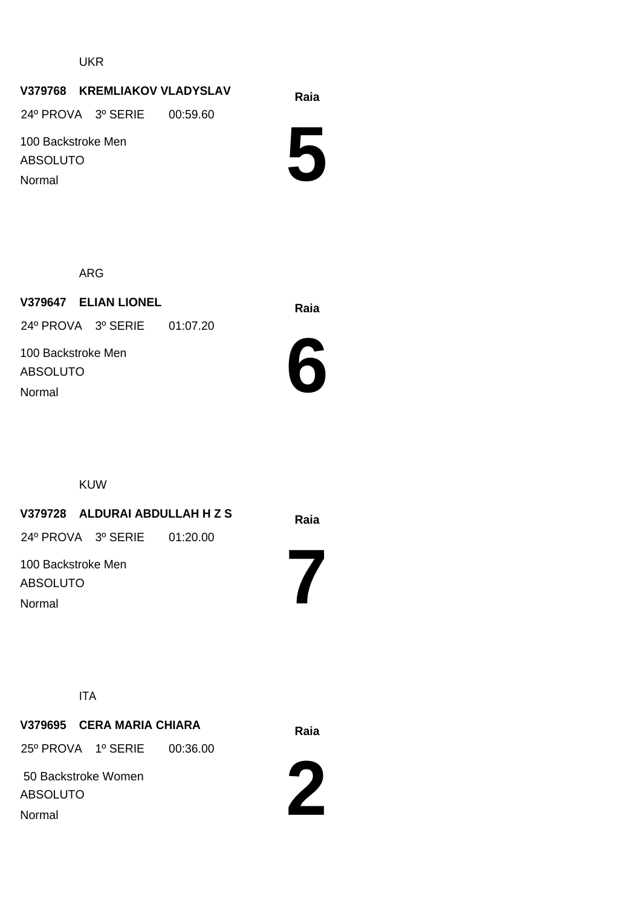UKR

#### **Raia V379768 KREMLIAKOV VLADYSLAV**

24º PROVA 3º SERIE 00:59.60

100 Backstroke Men ABSOLUTO Normal

**5**

ARG

**Raia V379647 ELIAN LIONEL** 100 Backstroke Men ABSOLUTO 24º PROVA 3º SERIE 01:07.20 Normal



KUW

# **Raia V379728 ALDURAI ABDULLAH H Z S**

24º PROVA 3º SERIE 01:20.00

100 Backstroke Men ABSOLUTO Normal

ITA

# **Raia V379695 CERA MARIA CHIARA**

25º PROVA 1º SERIE 00:36.00

 50 Backstroke Women ABSOLUTO Normal



**7**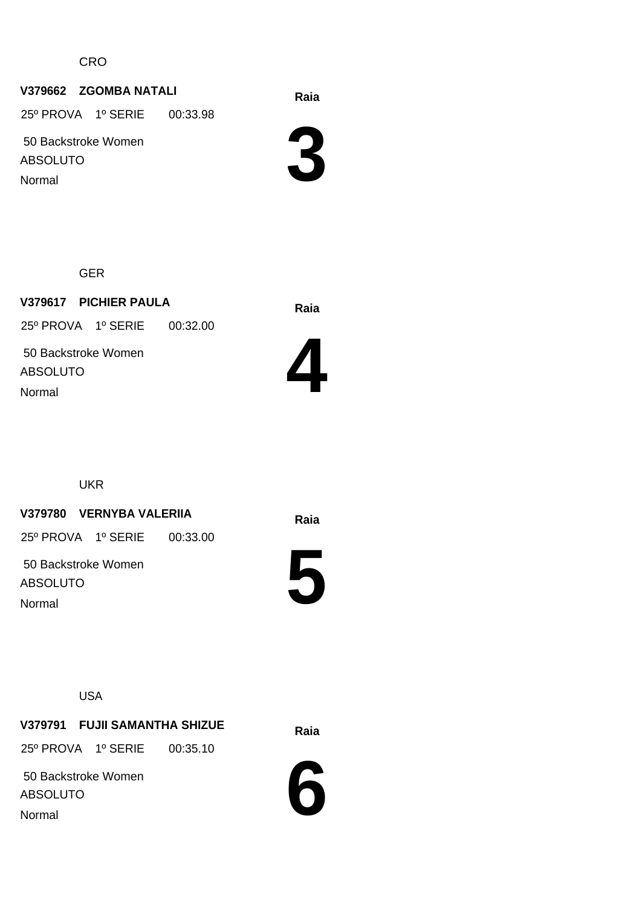CRO

# **Raia V379662 ZGOMBA NATALI**

25º PROVA 1º SERIE 00:33.98

 50 Backstroke Women ABSOLUTO

Normal

Normal



GER

**Raia V379617 PICHIER PAULA** 50 Backstroke Women ABSOLUTO 25º PROVA 1º SERIE 00:32.00



UKR

# **Raia V379780 VERNYBA VALERIIA**

25º PROVA 1º SERIE 00:33.00

 50 Backstroke Women ABSOLUTO Normal



USA

**Raia V379791 FUJII SAMANTHA SHIZUE**

25º PROVA 1º SERIE 00:35.10

 50 Backstroke Women ABSOLUTO Normal

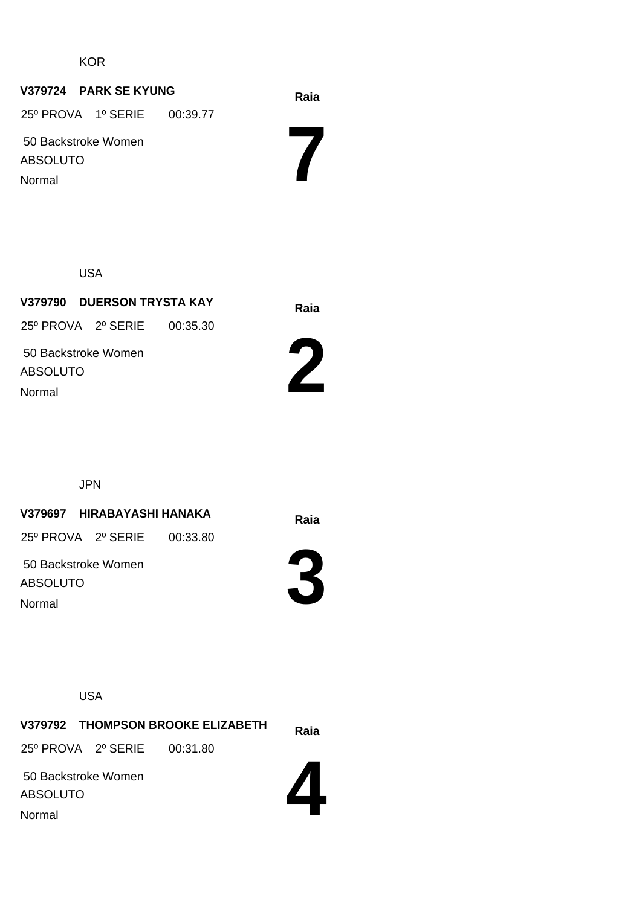**KOR** 

#### **Raia V379724 PARK SE KYUNG**

 50 Backstroke Women 25º PROVA 1º SERIE 00:39.77

ABSOLUTO Normal

USA

**Raia V379790 DUERSON TRYSTA KAY** 50 Backstroke Women ABSOLUTO 25º PROVA 2º SERIE 00:35.30 Normal



**7**

JPN

**Raia V379697 HIRABAYASHI HANAKA**

25º PROVA 2º SERIE 00:33.80

 50 Backstroke Women ABSOLUTO Normal



USA

**Raia V379792 THOMPSON BROOKE ELIZABETH** 50 Backstroke Women 25º PROVA 2º SERIE 00:31.80

ABSOLUTO Normal

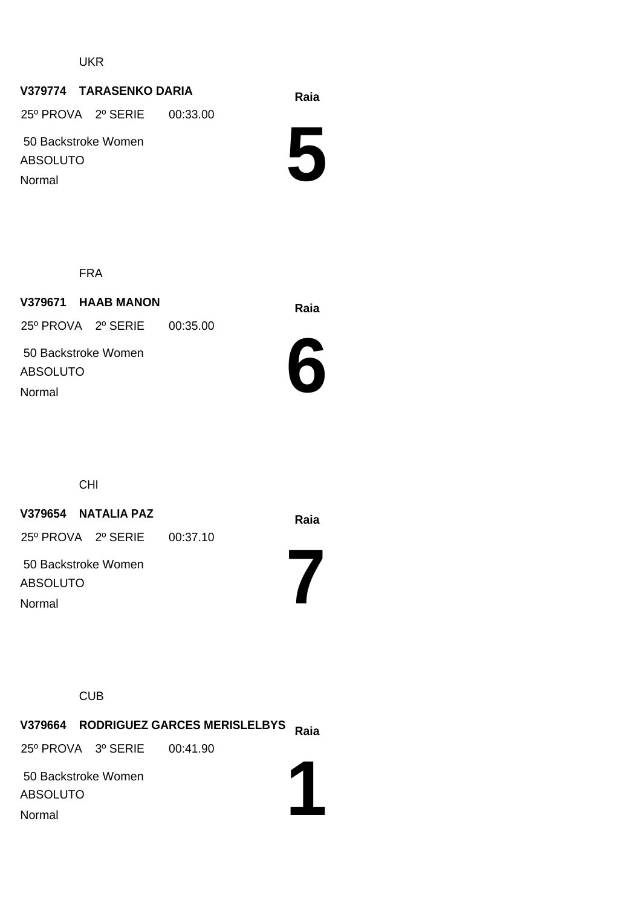UKR

# **Raia V379774 TARASENKO DARIA**

25º PROVA 2º SERIE 00:33.00

 50 Backstroke Women ABSOLUTO Normal

**5**

FRA

**Raia V379671 HAAB MANON** 50 Backstroke Women ABSOLUTO 25º PROVA 2º SERIE 00:35.00 Normal



**7**

CHI

# **Raia V379654 NATALIA PAZ**

25º PROVA 2º SERIE 00:37.10

 50 Backstroke Women ABSOLUTO Normal

**CUB** 

**Raia V379664 RODRIGUEZ GARCES MERISLELBYS 1** 50 Backstroke Women ABSOLUTO 25º PROVA 3º SERIE 00:41.90 Normal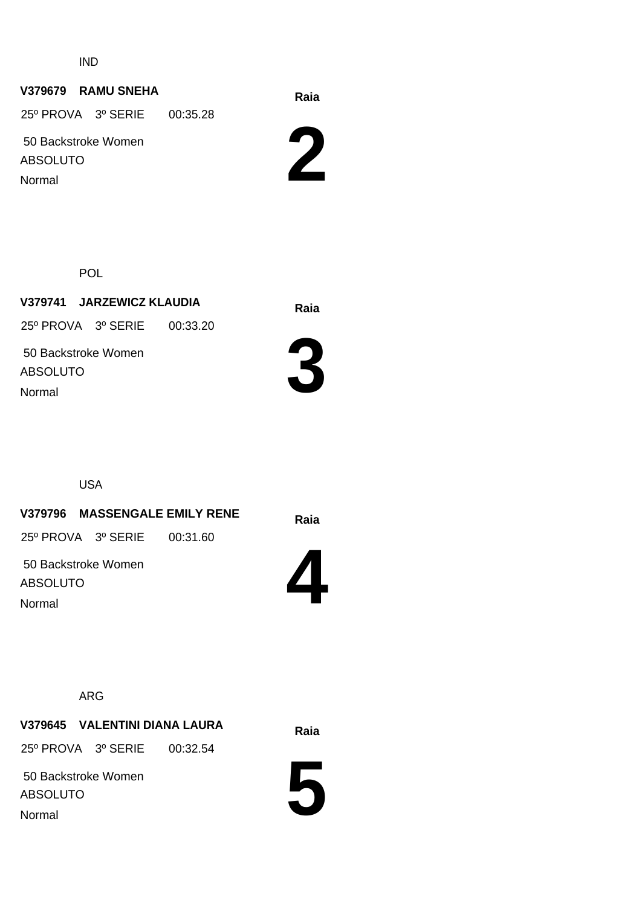IND

# **Raia V379679 RAMU SNEHA**

 50 Backstroke Women ABSOLUTO 25º PROVA 3º SERIE 00:35.28 Normal



POL

**Raia V379741 JARZEWICZ KLAUDIA** 50 Backstroke Women ABSOLUTO 25º PROVA 3º SERIE 00:33.20



USA

Normal

**Raia V379796 MASSENGALE EMILY RENE**

25º PROVA 3º SERIE 00:31.60

**4**

 50 Backstroke Women ABSOLUTO Normal

ARG

**Raia V379645 VALENTINI DIANA LAURA**

25º PROVA 3º SERIE 00:32.54

 50 Backstroke Women ABSOLUTO Normal

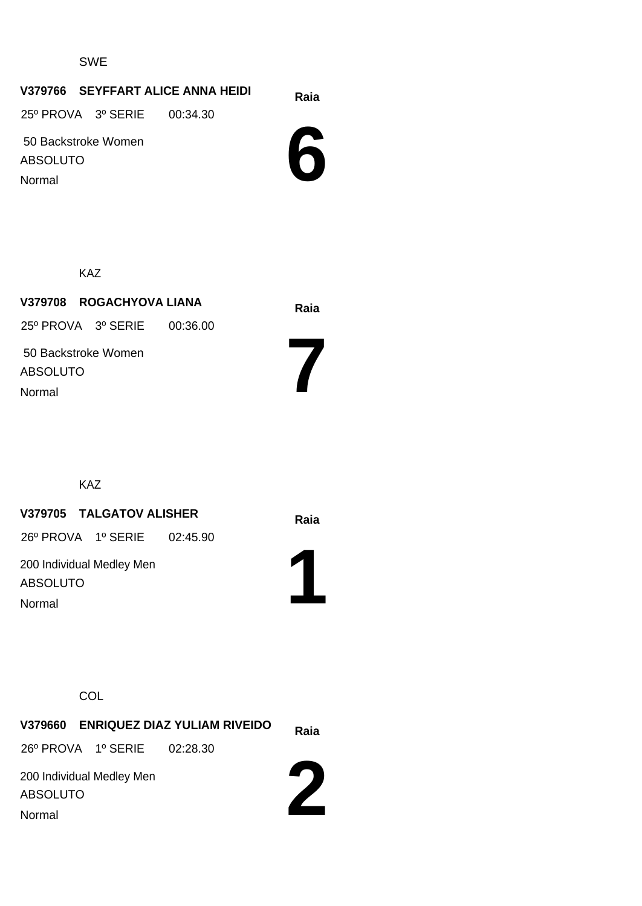#### SWE

# **Raia V379766 SEYFFART ALICE ANNA HEIDI**

25º PROVA 3º SERIE 00:34.30

 50 Backstroke Women ABSOLUTO Normal



KAZ

**Raia V379708 ROGACHYOVA LIANA** 50 Backstroke Women ABSOLUTO 25º PROVA 3º SERIE 00:36.00 Normal

KAZ

# **Raia V379705 TALGATOV ALISHER**

26º PROVA 1º SERIE 02:45.90

200 Individual Medley Men ABSOLUTO Normal



**7**

#### **COL**

|                             | V379660 ENRIQUEZ DIAZ YULIAM RIVEIDO | Raia |
|-----------------------------|--------------------------------------|------|
| 26º PROVA 1º SERIE 02:28.30 |                                      |      |
| 200 Individual Medley Men   |                                      |      |
| <b>ABSOLUTO</b>             |                                      |      |
| Normal                      |                                      |      |

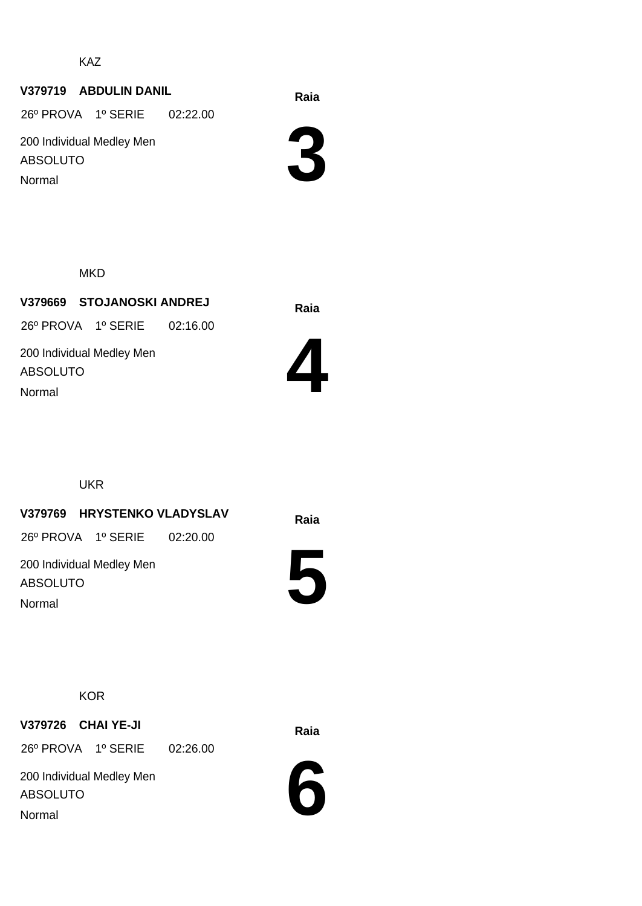KAZ

#### **Raia V379719 ABDULIN DANIL**

26º PROVA 1º SERIE 02:22.00

200 Individual Medley Men ABSOLUTO Normal

**3**

**MKD** 

**Raia V379669 STOJANOSKI ANDREJ** 200 Individual Medley Men ABSOLUTO 26º PROVA 1º SERIE 02:16.00 Normal



UKR

**Raia V379769 HRYSTENKO VLADYSLAV**

26º PROVA 1º SERIE 02:20.00

200 Individual Medley Men ABSOLUTO Normal



**KOR** 

**Raia V379726 CHAI YE-JI**

26º PROVA 1º SERIE 02:26.00

200 Individual Medley Men ABSOLUTO Normal

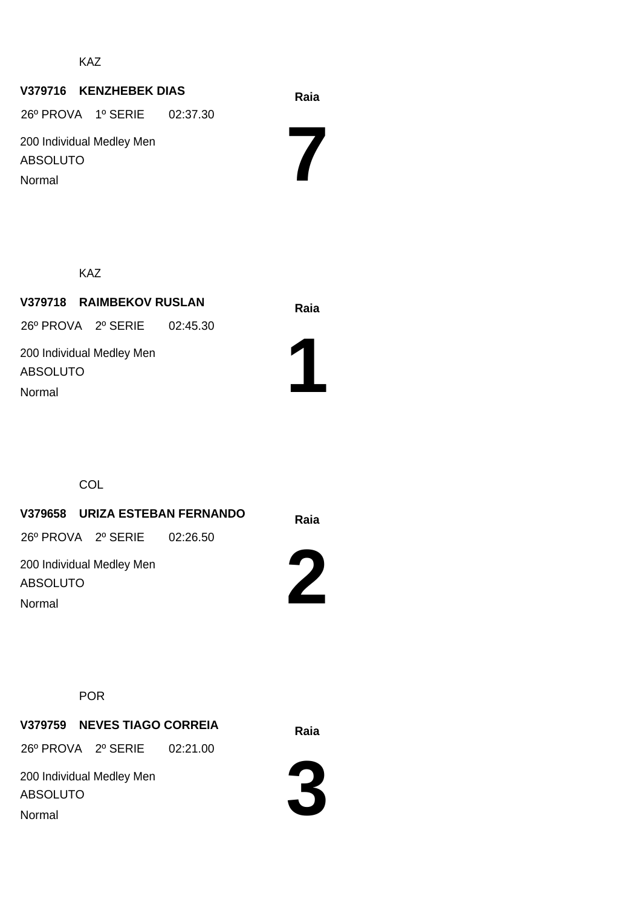KAZ

# **Raia V379716 KENZHEBEK DIAS**

26º PROVA 1º SERIE 02:37.30

200 Individual Medley Men ABSOLUTO Normal

**7**

KAZ

**Raia V379718 RAIMBEKOV RUSLAN** 200 Individual Medley Men ABSOLUTO 26º PROVA 2º SERIE 02:45.30 Normal



**COL** 

**Raia V379658 URIZA ESTEBAN FERNANDO** 200 Individual Medley Men ABSOLUTO 26º PROVA 2º SERIE 02:26.50

Normal

POR

**Raia V379759 NEVES TIAGO CORREIA**

26º PROVA 2º SERIE 02:21.00

200 Individual Medley Men ABSOLUTO Normal



**2**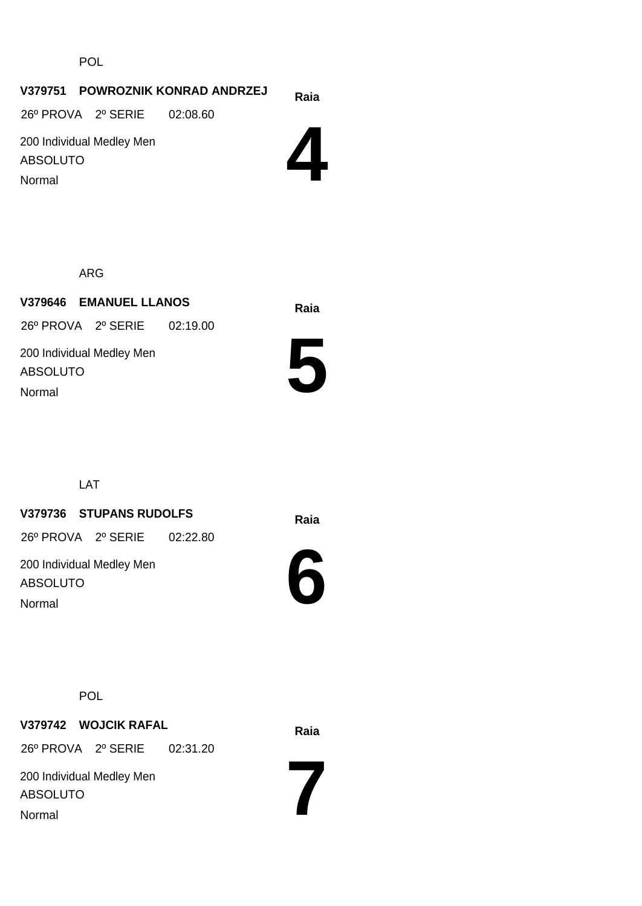POL

# **Raia V379751 POWROZNIK KONRAD ANDRZEJ**

26º PROVA 2º SERIE 02:08.60

200 Individual Medley Men ABSOLUTO Normal



ARG

**Raia V379646 EMANUEL LLANOS** 200 Individual Medley Men ABSOLUTO 26º PROVA 2º SERIE 02:19.00 Normal



LAT

# **Raia V379736 STUPANS RUDOLFS**

26º PROVA 2º SERIE 02:22.80

200 Individual Medley Men ABSOLUTO Normal



POL

**Raia V379742 WOJCIK RAFAL** 26º PROVA 2º SERIE 02:31.20

200 Individual Medley Men ABSOLUTO Normal

**7**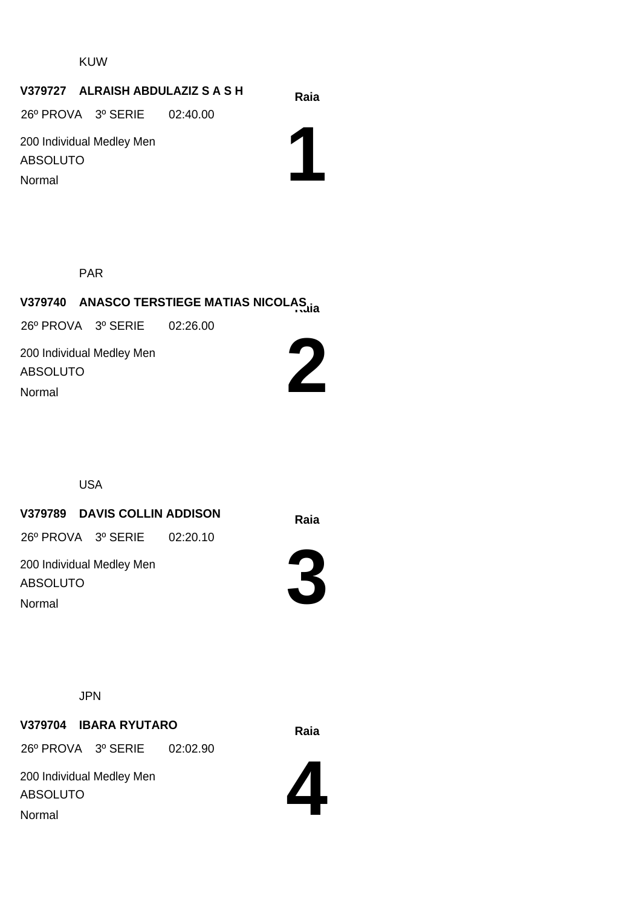#### KUW

#### **Raia V379727 ALRAISH ABDULAZIZ S A S H**

26º PROVA 3º SERIE 02:40.00

200 Individual Medley Men ABSOLUTO Normal

**1**

PAR

# **Raia V379740 ANASCO TERSTIEGE MATIAS NICOLAS**

26º PROVA 3º SERIE 02:26.00

200 Individual Medley Men ABSOLUTO Normal



USA

#### **Raia V379789 DAVIS COLLIN ADDISON**

26º PROVA 3º SERIE 02:20.10

200 Individual Medley Men ABSOLUTO Normal



JPN

#### **Raia V379704 IBARA RYUTARO**

26º PROVA 3º SERIE 02:02.90

200 Individual Medley Men ABSOLUTO Normal

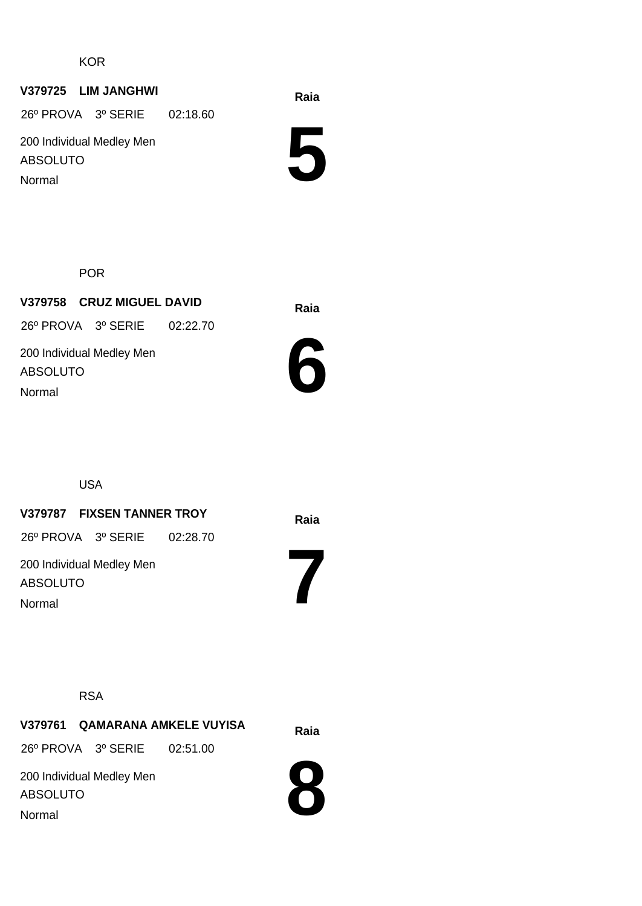**KOR** 

#### **Raia V379725 LIM JANGHWI**

26º PROVA 3º SERIE 02:18.60

200 Individual Medley Men ABSOLUTO Normal

**5**

POR

**Raia V379758 CRUZ MIGUEL DAVID** 200 Individual Medley Men ABSOLUTO 26º PROVA 3º SERIE 02:22.70 Normal



USA

#### **Raia V379787 FIXSEN TANNER TROY**

26º PROVA 3º SERIE 02:28.70

200 Individual Medley Men ABSOLUTO Normal

RSA

**Raia V379761 QAMARANA AMKELE VUYISA** 26º PROVA 3º SERIE 02:51.00

200 Individual Medley Men ABSOLUTO Normal



**7**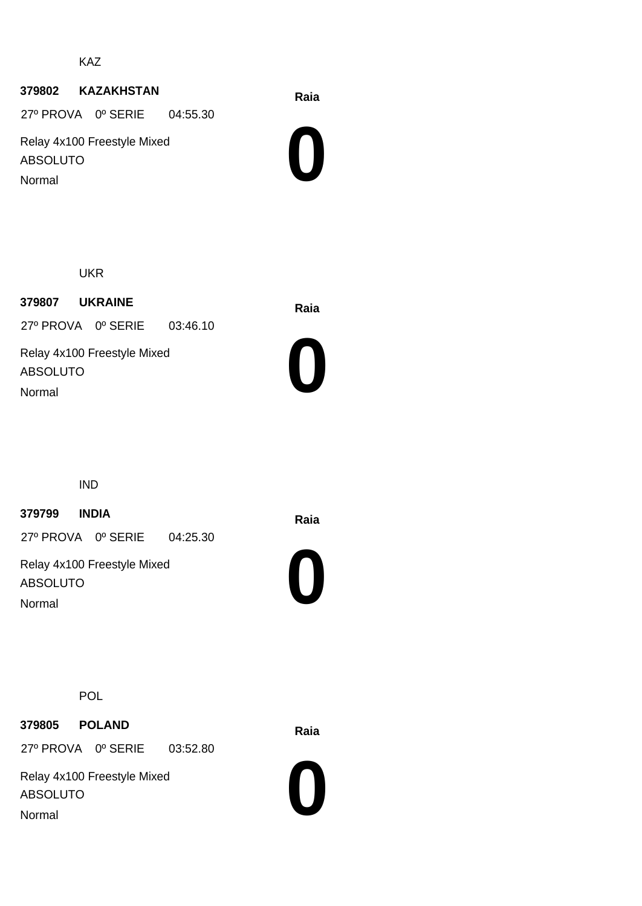KAZ

#### **Raia <sup>379802</sup> KAZAKHSTAN**

27º PROVA 0º SERIE 04:55.30

Relay 4x100 Freestyle Mixed ABSOLUTO Normal



UKR

**Raia <sup>379807</sup> UKRAINE** 27º PROVA 0º SERIE 03:46.10

Relay 4x100 Freestyle Mixed ABSOLUTO Normal



IND

## **Raia <sup>379799</sup> INDIA**

27º PROVA 0º SERIE 04:25.30

Relay 4x100 Freestyle Mixed ABSOLUTO Normal



POL

**Raia <sup>379805</sup> POLAND**

27º PROVA 0º SERIE 03:52.80

Relay 4x100 Freestyle Mixed ABSOLUTO Normal

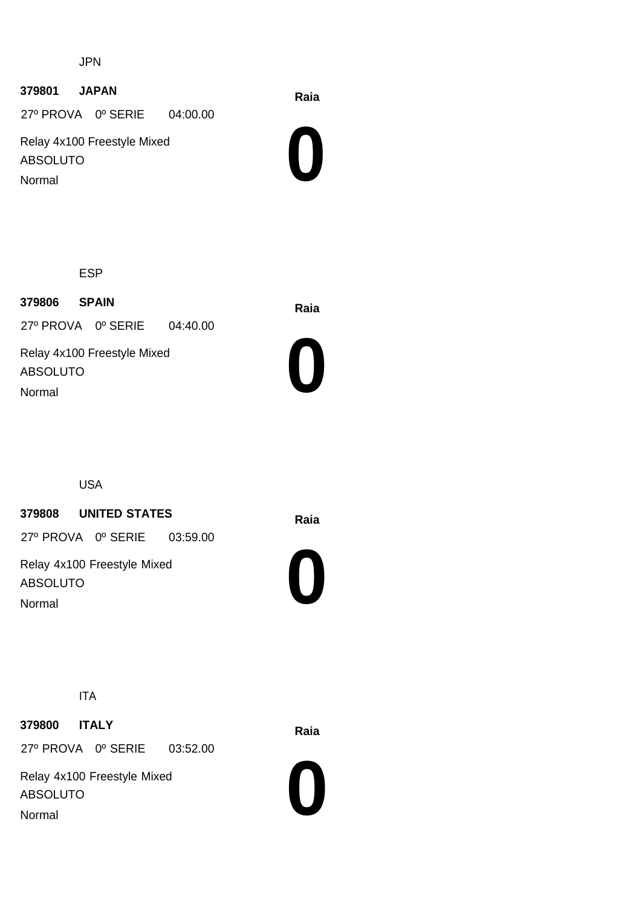JPN

## **Raia <sup>379801</sup> JAPAN**

27º PROVA 0º SERIE 04:00.00

Relay 4x100 Freestyle Mixed ABSOLUTO Normal



ESP

**Raia <sup>379806</sup> SPAIN** 27º PROVA 0º SERIE 04:40.00

Relay 4x100 Freestyle Mixed ABSOLUTO Normal



USA

### **Raia <sup>379808</sup> UNITED STATES**

27º PROVA 0º SERIE 03:59.00

Relay 4x100 Freestyle Mixed ABSOLUTO Normal



ITA

**Raia <sup>379800</sup> ITALY** 27º PROVA 0º SERIE 03:52.00

Relay 4x100 Freestyle Mixed ABSOLUTO Normal

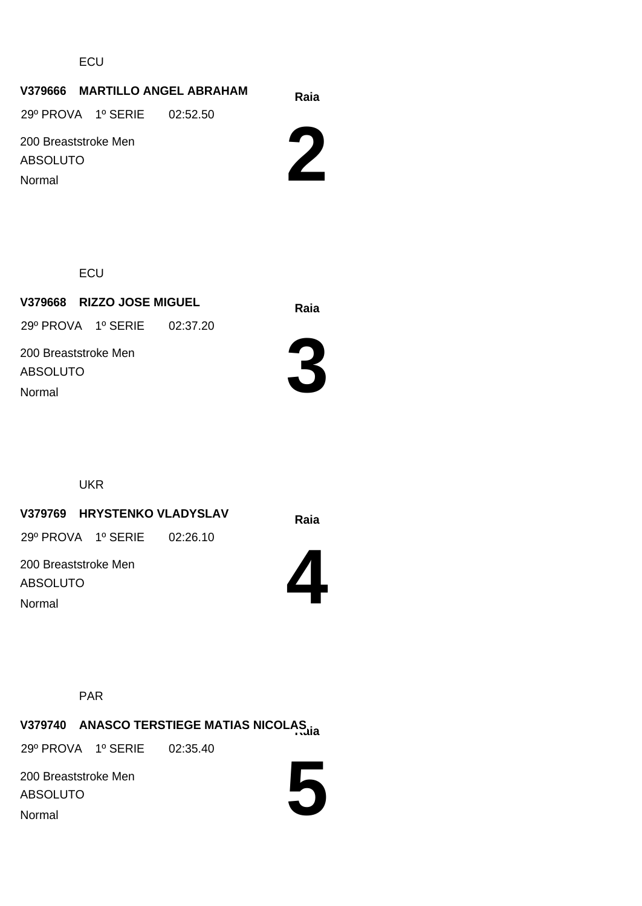**ECU** 

# **Raia V379666 MARTILLO ANGEL ABRAHAM**

29º PROVA 1º SERIE 02:52.50

200 Breaststroke Men ABSOLUTO

Normal



**ECU** 

**Raia V379668 RIZZO JOSE MIGUEL** 200 Breaststroke Men ABSOLUTO 29º PROVA 1º SERIE 02:37.20 Normal



UKR

**Raia V379769 HRYSTENKO VLADYSLAV**

29º PROVA 1º SERIE 02:26.10

200 Breaststroke Men ABSOLUTO Normal



PAR

**Raia V379740 ANASCO TERSTIEGE MATIAS NICOLAS**

29º PROVA 1º SERIE 02:35.40

200 Breaststroke Men ABSOLUTO Normal

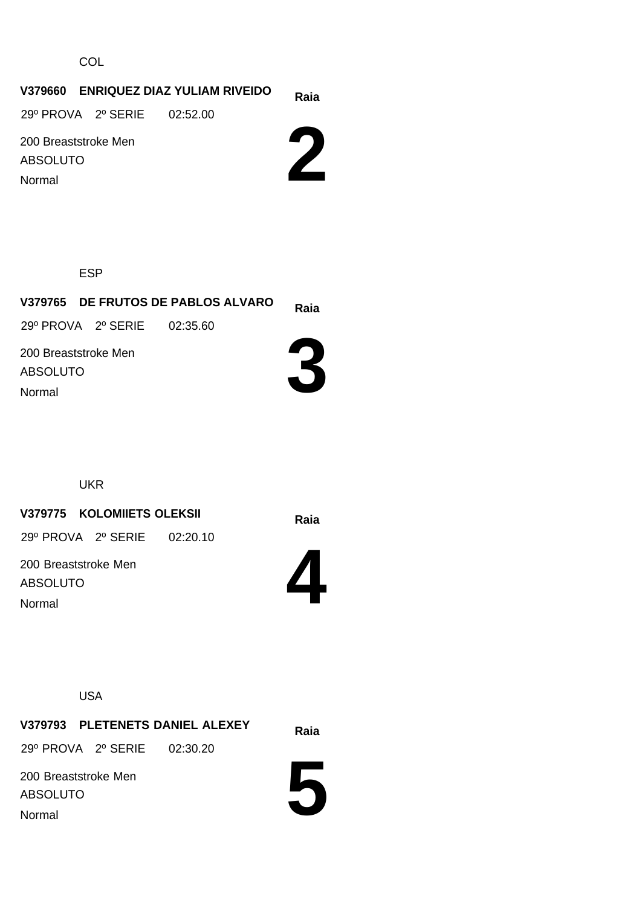**COL** 

#### **Raia V379660 ENRIQUEZ DIAZ YULIAM RIVEIDO**

29º PROVA 2º SERIE 02:52.00

200 Breaststroke Men ABSOLUTO

Normal

**2**

ESP

**Raia V379765 DE FRUTOS DE PABLOS ALVARO 3** 200 Breaststroke Men ABSOLUTO 29º PROVA 2º SERIE 02:35.60 Normal

UKR

**Raia V379775 KOLOMIIETS OLEKSII**

29º PROVA 2º SERIE 02:20.10

200 Breaststroke Men ABSOLUTO Normal



USA

**Raia V379793 PLETENETS DANIEL ALEXEY** 200 Breaststroke Men 29º PROVA 2º SERIE 02:30.20

ABSOLUTO Normal

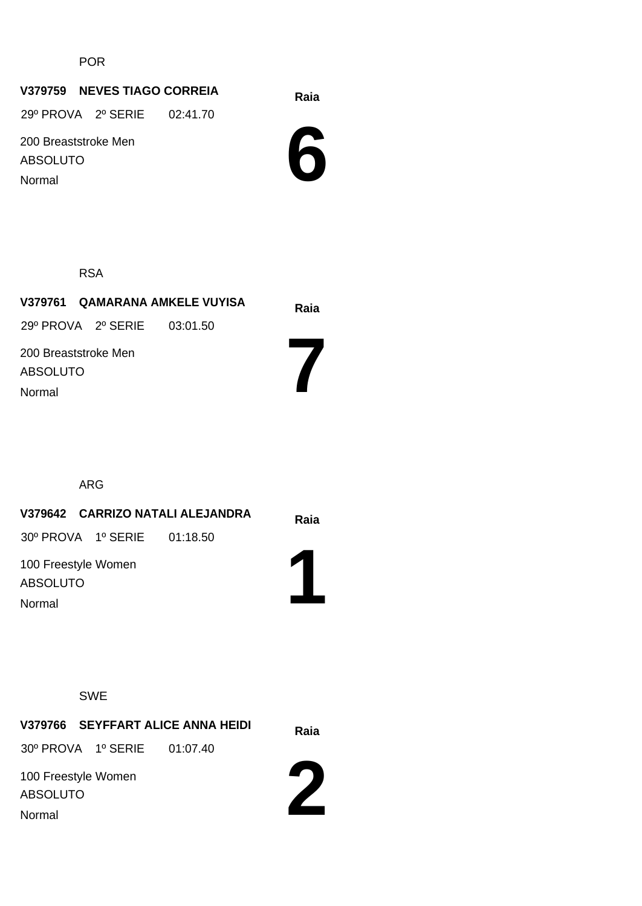POR

### **Raia V379759 NEVES TIAGO CORREIA**

29º PROVA 2º SERIE 02:41.70

200 Breaststroke Men ABSOLUTO

Normal



RSA

|                           |                             | V379761 QAMARANA AMKELE VUYISA | Raia |
|---------------------------|-----------------------------|--------------------------------|------|
|                           | 29º PROVA 2º SERIE 03:01.50 |                                |      |
| <b>ABSOLUTO</b><br>Normal | 200 Breaststroke Men        |                                |      |

ARG

|                                        |                             | V379642 CARRIZO NATALI ALEJANDRA | Raia                  |
|----------------------------------------|-----------------------------|----------------------------------|-----------------------|
|                                        | 30° PROVA 1º SERIE 01:18.50 |                                  |                       |
| 100 Freestyle Women<br><b>ABSOLUTO</b> |                             |                                  | $\blacktriangleright$ |
| Normal                                 |                             |                                  |                       |

#### SWE

**Raia V379766 SEYFFART ALICE ANNA HEIDI** 100 Freestyle Women ABSOLUTO 30º PROVA 1º SERIE 01:07.40 Normal

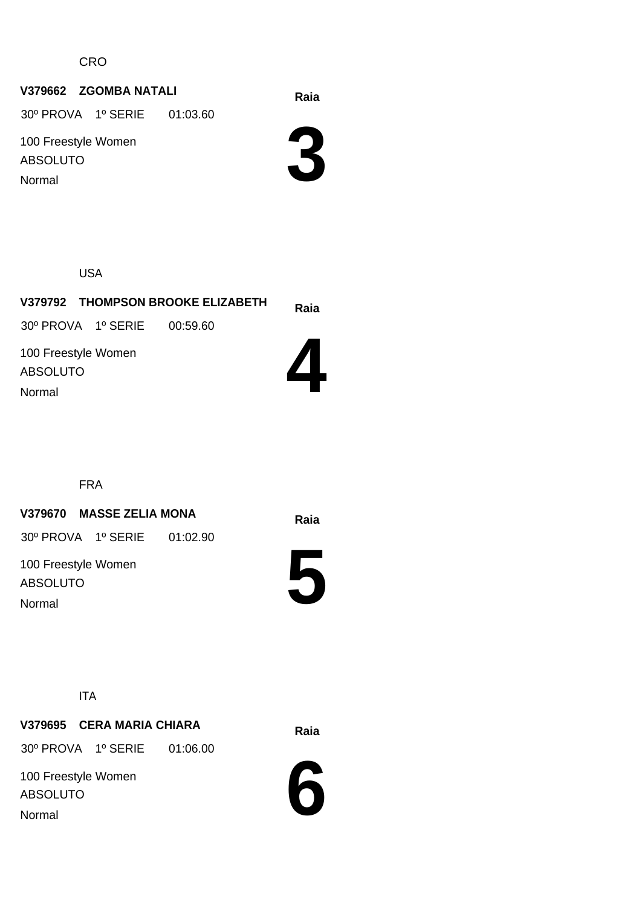CRO

### **Raia V379662 ZGOMBA NATALI**

30º PROVA 1º SERIE 01:03.60

100 Freestyle Women ABSOLUTO Normal

**3**

USA

|                                        | V379792 THOMPSON BROOKE ELIZABETH | Raia |
|----------------------------------------|-----------------------------------|------|
| 30° PROVA 1° SERIE 00:59.60            |                                   |      |
| 100 Freestyle Women<br><b>ABSOLUTO</b> |                                   |      |
| Normal                                 |                                   |      |

FRA

### **Raia V379670 MASSE ZELIA MONA**

30º PROVA 1º SERIE 01:02.90

100 Freestyle Women ABSOLUTO Normal



ITA

### **Raia V379695 CERA MARIA CHIARA**

30º PROVA 1º SERIE 01:06.00

100 Freestyle Women ABSOLUTO Normal

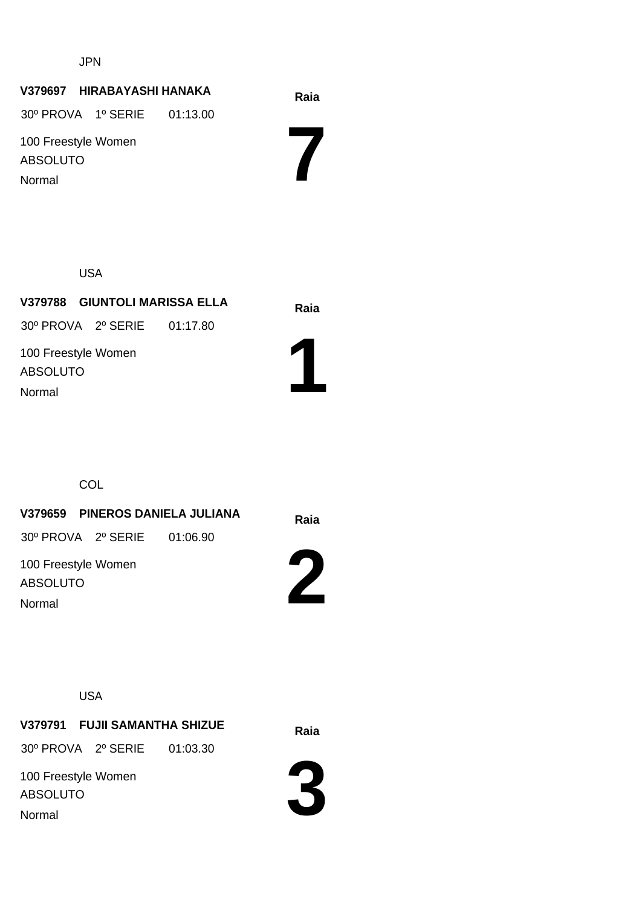JPN

## **Raia V379697 HIRABAYASHI HANAKA** 100 Freestyle Women ABSOLUTO 30º PROVA 1º SERIE 01:13.00 Normal

USA

**Raia V379788 GIUNTOLI MARISSA ELLA** 100 Freestyle Women ABSOLUTO 30º PROVA 2º SERIE 01:17.80 Normal

**COL** 

**Raia V379659 PINEROS DANIELA JULIANA** 30º PROVA 2º SERIE 01:06.90

100 Freestyle Women ABSOLUTO Normal

**2**

**1**

**7**

USA

**Raia V379791 FUJII SAMANTHA SHIZUE** 30º PROVA 2º SERIE 01:03.30

100 Freestyle Women ABSOLUTO Normal

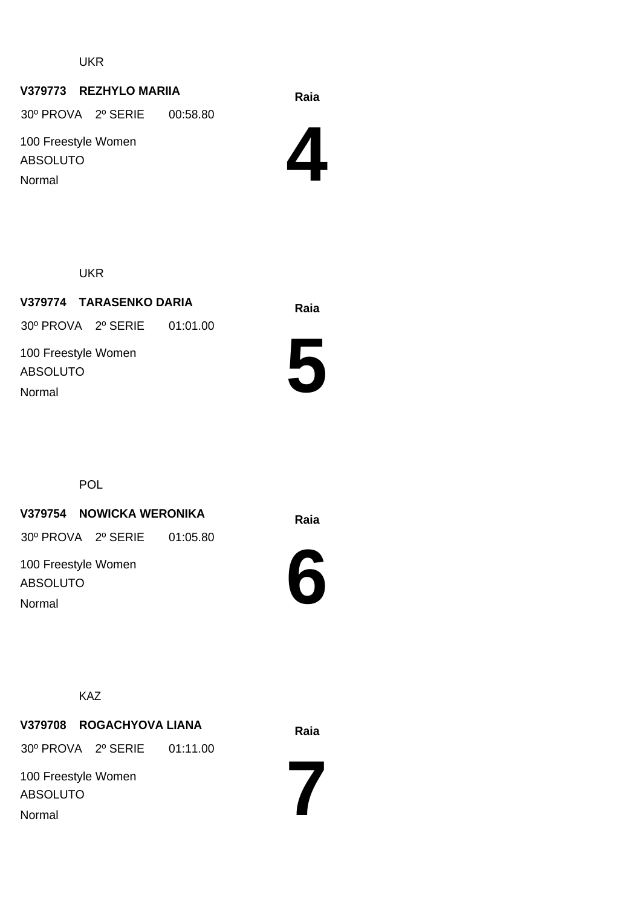UKR

#### **Raia V379773 REZHYLO MARIIA**

30º PROVA 2º SERIE 00:58.80

100 Freestyle Women ABSOLUTO Normal

**4**

UKR

**Raia V379774 TARASENKO DARIA** 100 Freestyle Women ABSOLUTO 30º PROVA 2º SERIE 01:01.00 Normal



POL

#### **Raia V379754 NOWICKA WERONIKA**

30º PROVA 2º SERIE 01:05.80

100 Freestyle Women ABSOLUTO Normal



KAZ

#### **Raia V379708 ROGACHYOVA LIANA**

30º PROVA 2º SERIE 01:11.00

100 Freestyle Women ABSOLUTO Normal

**7**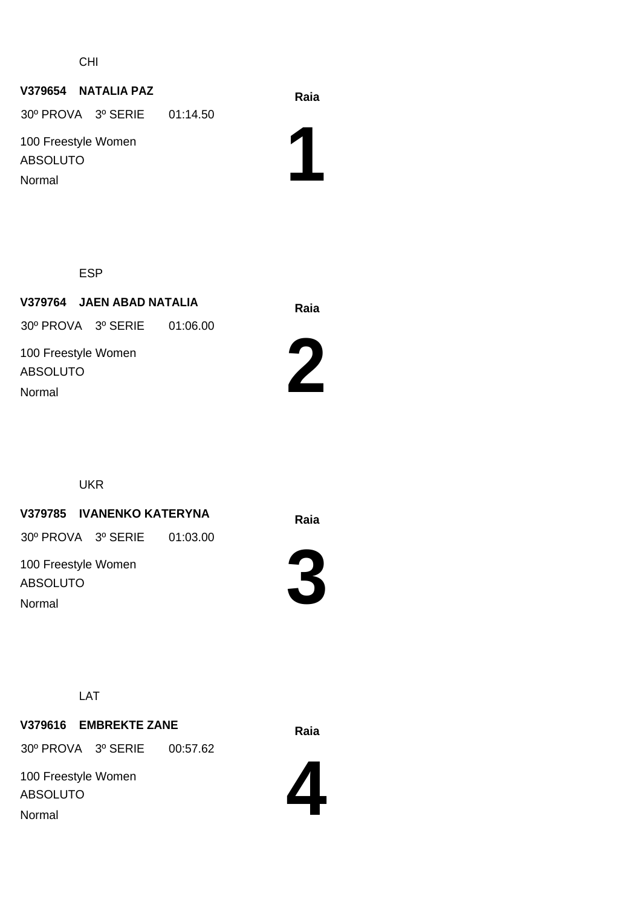CHI

#### **Raia V379654 NATALIA PAZ**

30º PROVA 3º SERIE 01:14.50

100 Freestyle Women ABSOLUTO Normal

**1**

ESP

**Raia V379764 JAEN ABAD NATALIA** 100 Freestyle Women ABSOLUTO 30º PROVA 3º SERIE 01:06.00 Normal



UKR

#### **Raia V379785 IVANENKO KATERYNA**

30º PROVA 3º SERIE 01:03.00

100 Freestyle Women ABSOLUTO Normal



LAT

# **Raia V379616 EMBREKTE ZANE**

30º PROVA 3º SERIE 00:57.62

100 Freestyle Women ABSOLUTO Normal

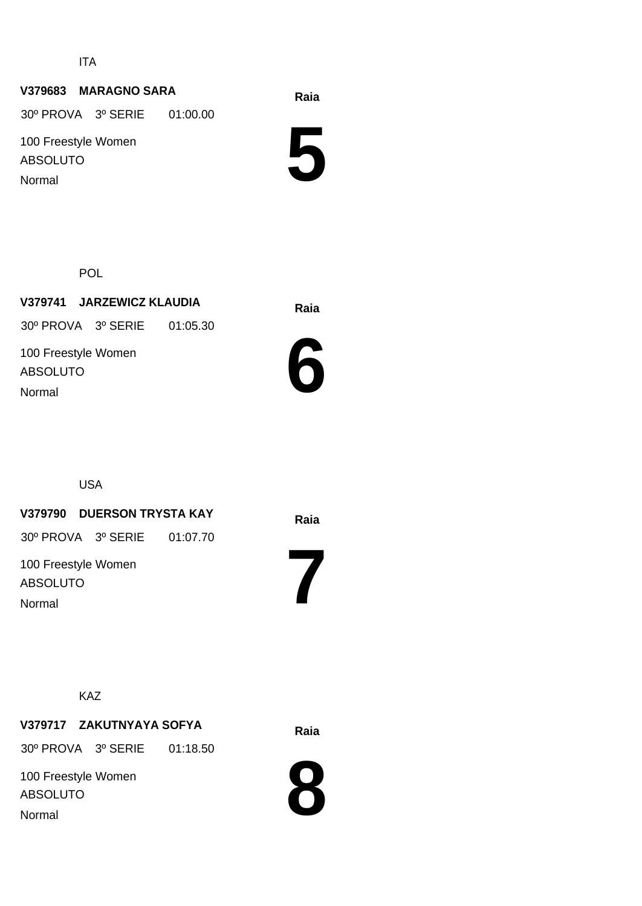ITA

#### **Raia V379683 MARAGNO SARA**

30º PROVA 3º SERIE 01:00.00

100 Freestyle Women ABSOLUTO Normal

**5**

POL

**Raia V379741 JARZEWICZ KLAUDIA** 100 Freestyle Women ABSOLUTO 30º PROVA 3º SERIE 01:05.30 Normal



USA

#### **Raia V379790 DUERSON TRYSTA KAY**

30º PROVA 3º SERIE 01:07.70

100 Freestyle Women ABSOLUTO Normal

**7**

#### KAZ

### **Raia V379717 ZAKUTNYAYA SOFYA**

30º PROVA 3º SERIE 01:18.50

100 Freestyle Women ABSOLUTO Normal

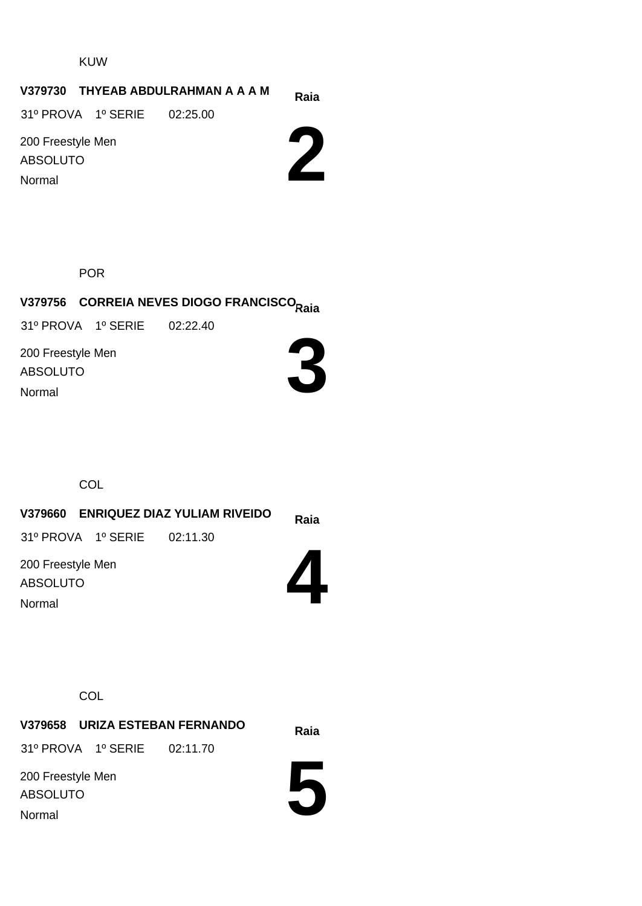KUW

#### **Raia V379730 THYEAB ABDULRAHMAN A A A M**

31º PROVA 1º SERIE 02:25.00

200 Freestyle Men ABSOLUTO Normal



POR

# **Raia V379756 CORREIA NEVES DIOGO FRANCISCO**

31º PROVA 1º SERIE 02:22.40

200 Freestyle Men ABSOLUTO Normal



**COL** 

**Raia V379660 ENRIQUEZ DIAZ YULIAM RIVEIDO 4** 200 Freestyle Men ABSOLUTO 31º PROVA 1º SERIE 02:11.30 Normal

**COL** 

**Raia V379658 URIZA ESTEBAN FERNANDO** 31º PROVA 1º SERIE 02:11.70

200 Freestyle Men ABSOLUTO Normal

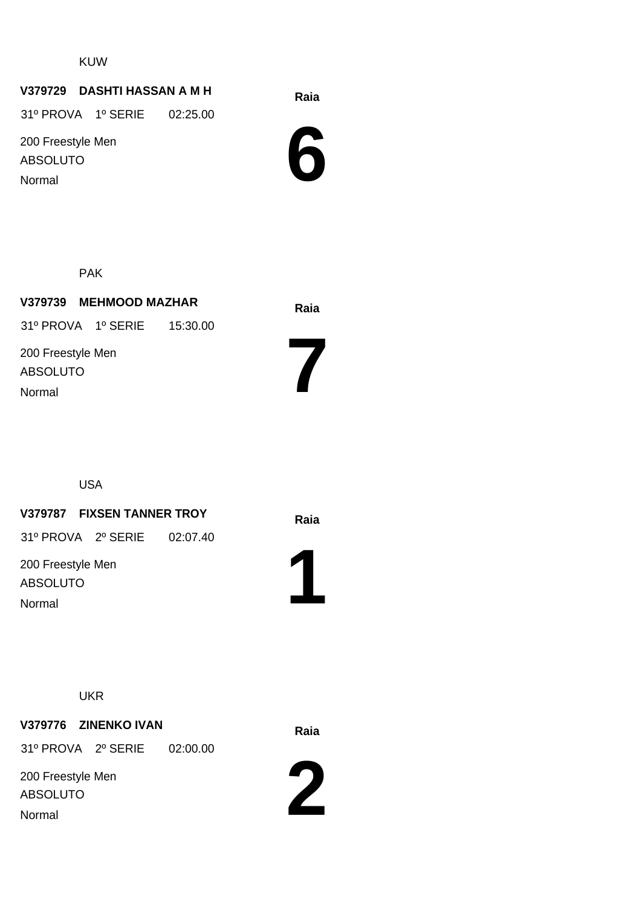KUW

### **Raia V379729 DASHTI HASSAN A M H**

31º PROVA 1º SERIE 02:25.00

200 Freestyle Men ABSOLUTO Normal



PAK

| V379739 MEHMOOD MAZHAR               | Raia |
|--------------------------------------|------|
| 31º PROVA 1º SERIE 15:30.00          |      |
| 200 Freestyle Men<br><b>ABSOLUTO</b> |      |
| Normal                               |      |

USA

### **Raia V379787 FIXSEN TANNER TROY**

31º PROVA 2º SERIE 02:07.40

200 Freestyle Men ABSOLUTO Normal



**7**

UKR

## **Raia V379776 ZINENKO IVAN** 200 Freestyle Men 31º PROVA 2º SERIE 02:00.00

ABSOLUTO Normal

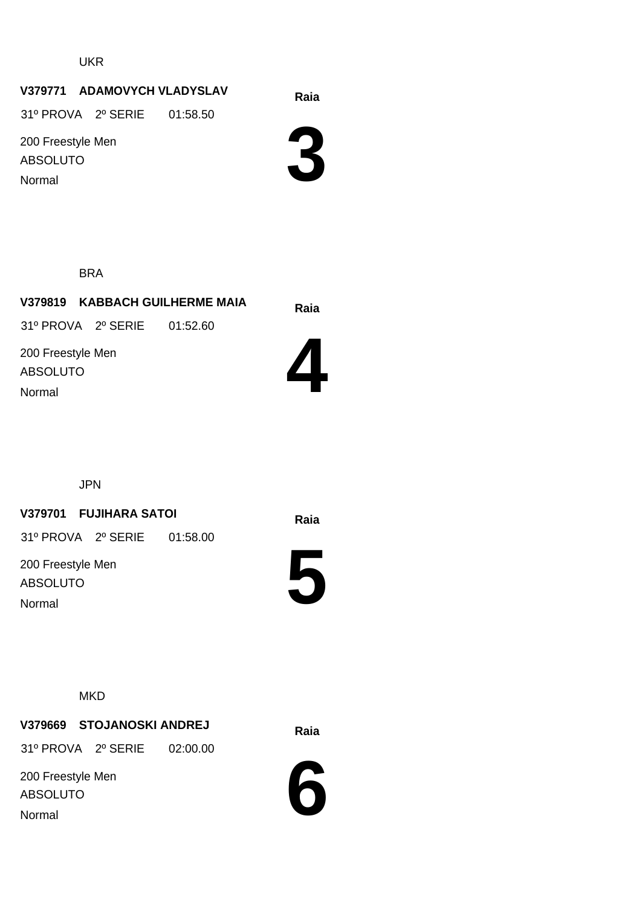UKR

#### **V379771 ADAMOVYCH VLADYSLAV**

31º PROVA 2º SERIE 01:58.50

200 Freestyle Men ABSOLUTO Normal



#### BRA

**Raia V379819 KABBACH GUILHERME MAIA** 31º PROVA 2º SERIE 01:52.60

200 Freestyle Men ABSOLUTO Normal



JPN

#### **Raia V379701 FUJIHARA SATOI**

31º PROVA 2º SERIE 01:58.00

200 Freestyle Men ABSOLUTO Normal



#### **MKD**

**Raia V379669 STOJANOSKI ANDREJ** 31º PROVA 2º SERIE 02:00.00

200 Freestyle Men ABSOLUTO Normal

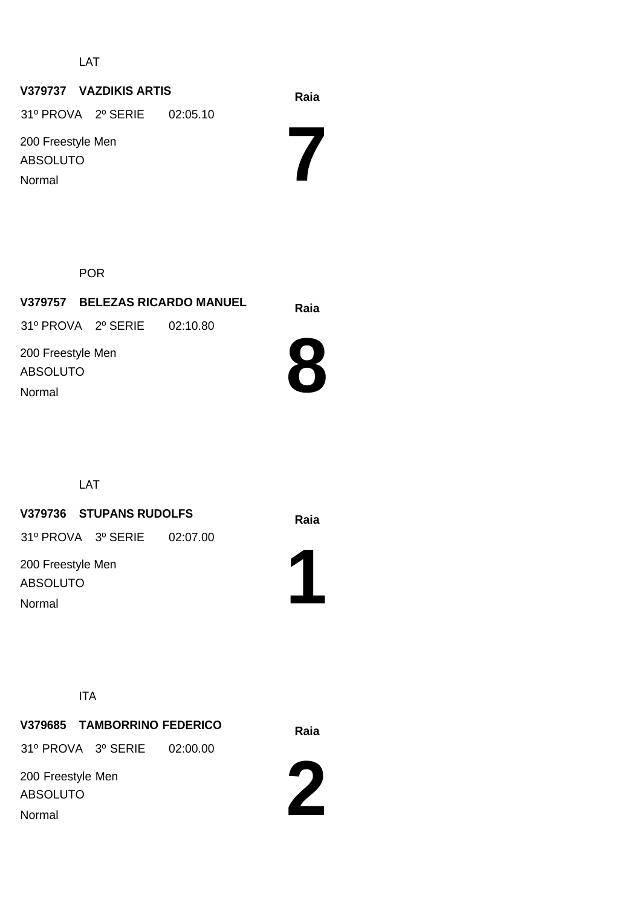LAT

#### **Raia V379737 VAZDIKIS ARTIS**

31º PROVA 2º SERIE 02:05.10

200 Freestyle Men ABSOLUTO Normal

POR

**Raia V379757 BELEZAS RICARDO MANUEL** 200 Freestyle Men ABSOLUTO 31º PROVA 2º SERIE 02:10.80



**7**

LAT

#### **Raia V379736 STUPANS RUDOLFS**

31º PROVA 3º SERIE 02:07.00

200 Freestyle Men ABSOLUTO Normal

Normal



ITA

**Raia V379685 TAMBORRINO FEDERICO** 200 Freestyle Men ABSOLUTO 31º PROVA 3º SERIE 02:00.00

Normal

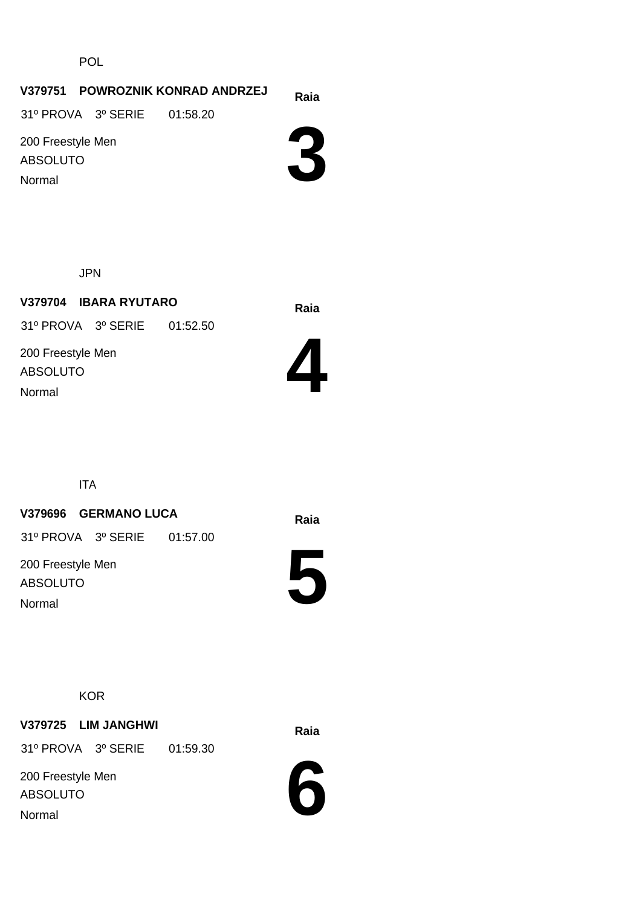POL

#### **Raia V379751 POWROZNIK KONRAD ANDRZEJ**

31º PROVA 3º SERIE 01:58.20

200 Freestyle Men ABSOLUTO Normal



JPN

**Raia V379704 IBARA RYUTARO** 200 Freestyle Men ABSOLUTO 31º PROVA 3º SERIE 01:52.50 Normal



ITA

#### **Raia V379696 GERMANO LUCA**

31º PROVA 3º SERIE 01:57.00

200 Freestyle Men ABSOLUTO Normal

**5**



**Raia V379725 LIM JANGHWI**

31º PROVA 3º SERIE 01:59.30

200 Freestyle Men ABSOLUTO Normal

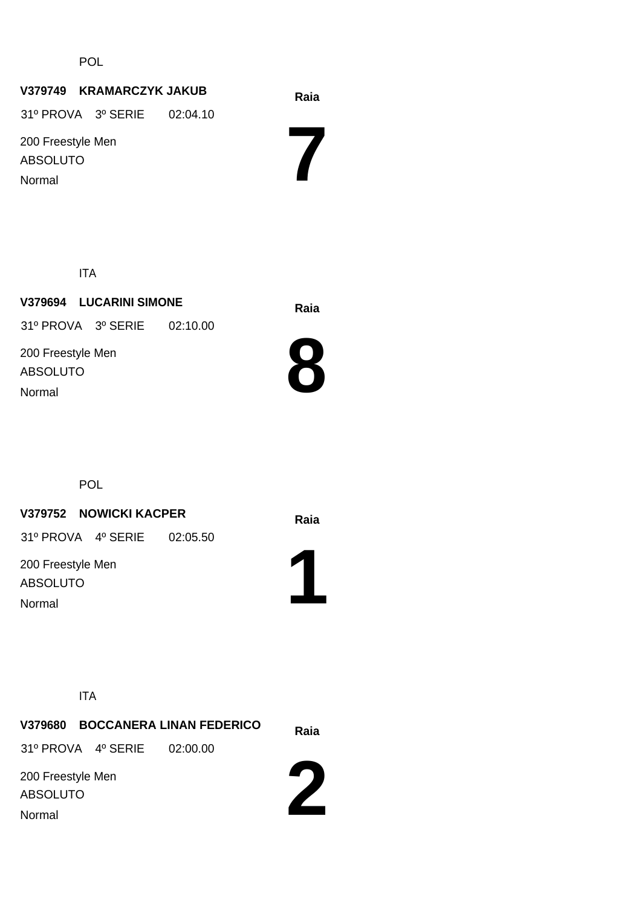POL

### **Raia V379749 KRAMARCZYK JAKUB**

31º PROVA 3º SERIE 02:04.10

200 Freestyle Men ABSOLUTO Normal

**7**

ITA

**Raia V379694 LUCARINI SIMONE** 200 Freestyle Men ABSOLUTO 31º PROVA 3º SERIE 02:10.00 Normal



POL

## **Raia V379752 NOWICKI KACPER**

31º PROVA 4º SERIE 02:05.50

200 Freestyle Men ABSOLUTO Normal



ITA

|                                                |                             | V379680 BOCCANERA LINAN FEDERICO | Raia |
|------------------------------------------------|-----------------------------|----------------------------------|------|
|                                                | 31º PROVA 4º SERIE 02:00.00 |                                  |      |
| 200 Freestyle Men<br><b>ABSOLUTO</b><br>Normal |                             |                                  |      |
|                                                |                             |                                  |      |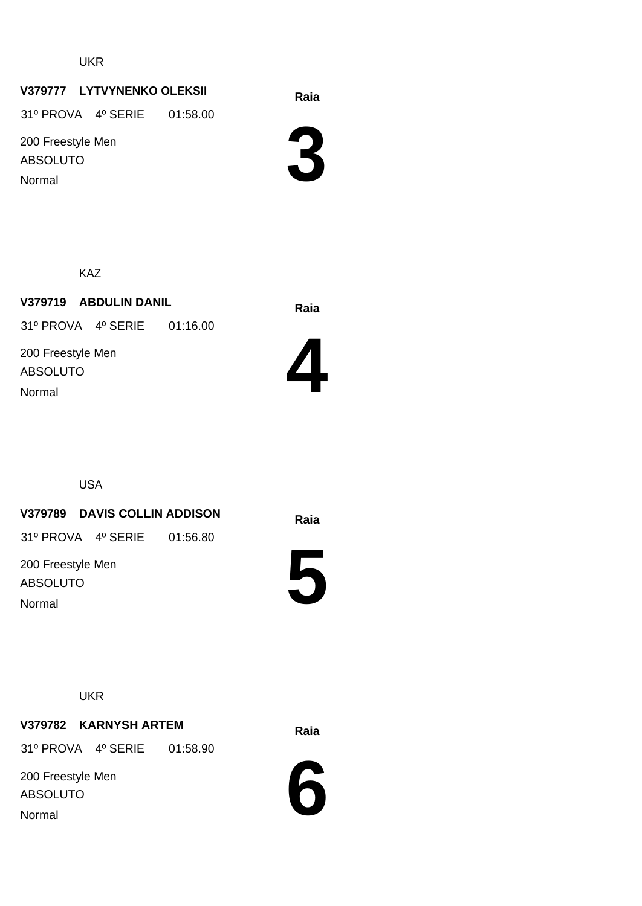UKR

### **Raia V379777 LYTVYNENKO OLEKSII**

31º PROVA 4º SERIE 01:58.00

200 Freestyle Men ABSOLUTO Normal



KAZ

**Raia V379719 ABDULIN DANIL** 200 Freestyle Men ABSOLUTO 31º PROVA 4º SERIE 01:16.00 Normal



USA

#### **Raia V379789 DAVIS COLLIN ADDISON**

31º PROVA 4º SERIE 01:56.80

200 Freestyle Men ABSOLUTO Normal



**UKR** 

### **Raia V379782 KARNYSH ARTEM**

31º PROVA 4º SERIE 01:58.90

200 Freestyle Men ABSOLUTO Normal

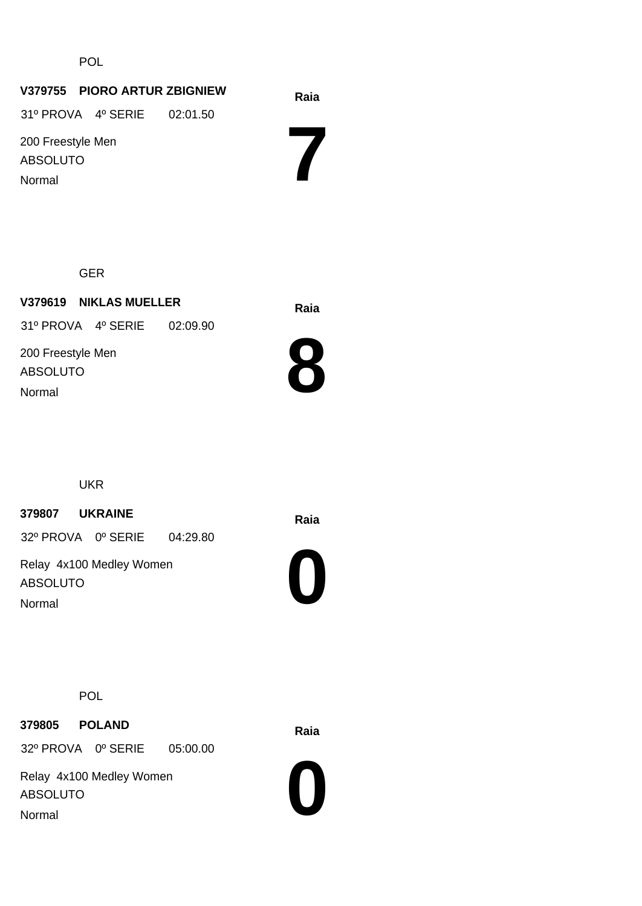POL

#### **Raia V379755 PIORO ARTUR ZBIGNIEW**

31º PROVA 4º SERIE 02:01.50

200 Freestyle Men ABSOLUTO Normal

**7**

GER

**Raia V379619 NIKLAS MUELLER** 200 Freestyle Men ABSOLUTO 31º PROVA 4º SERIE 02:09.90 Normal



UKR

**Raia <sup>379807</sup> UKRAINE**

32º PROVA 0º SERIE 04:29.80

Relay 4x100 Medley Women ABSOLUTO Normal



POL

**Raia <sup>379805</sup> POLAND**

32º PROVA 0º SERIE 05:00.00

Relay 4x100 Medley Women ABSOLUTO Normal

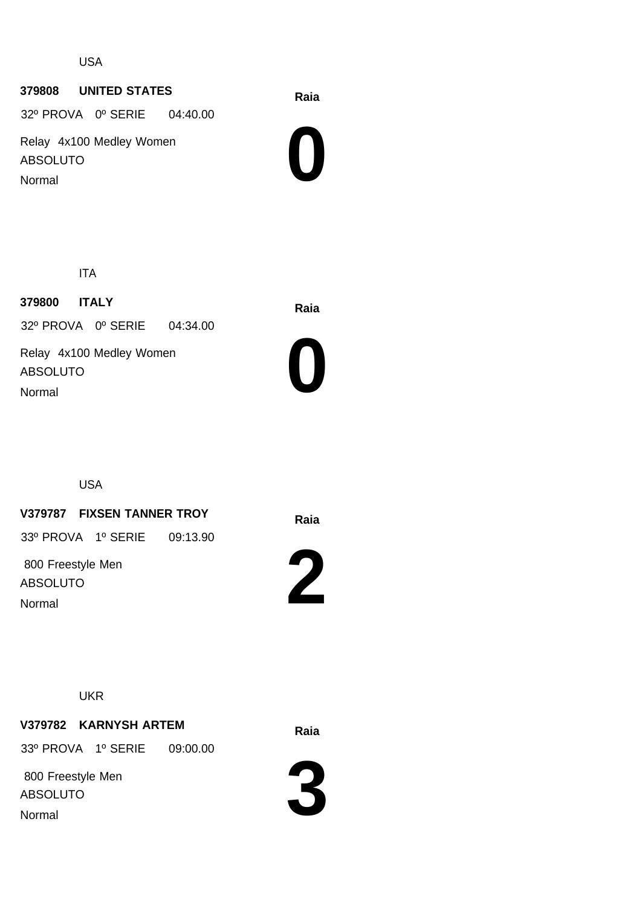USA

#### **Raia <sup>379808</sup> UNITED STATES**

32º PROVA 0º SERIE 04:40.00

Relay 4x100 Medley Women ABSOLUTO Normal



ITA

**Raia <sup>379800</sup> ITALY** Relay 4x100 Medley Women ABSOLUTO 32º PROVA 0º SERIE 04:34.00



USA

Normal

#### **Raia V379787 FIXSEN TANNER TROY**

33º PROVA 1º SERIE 09:13.90

 800 Freestyle Men ABSOLUTO Normal

**2**



### **Raia V379782 KARNYSH ARTEM**

33º PROVA 1º SERIE 09:00.00

 800 Freestyle Men ABSOLUTO Normal

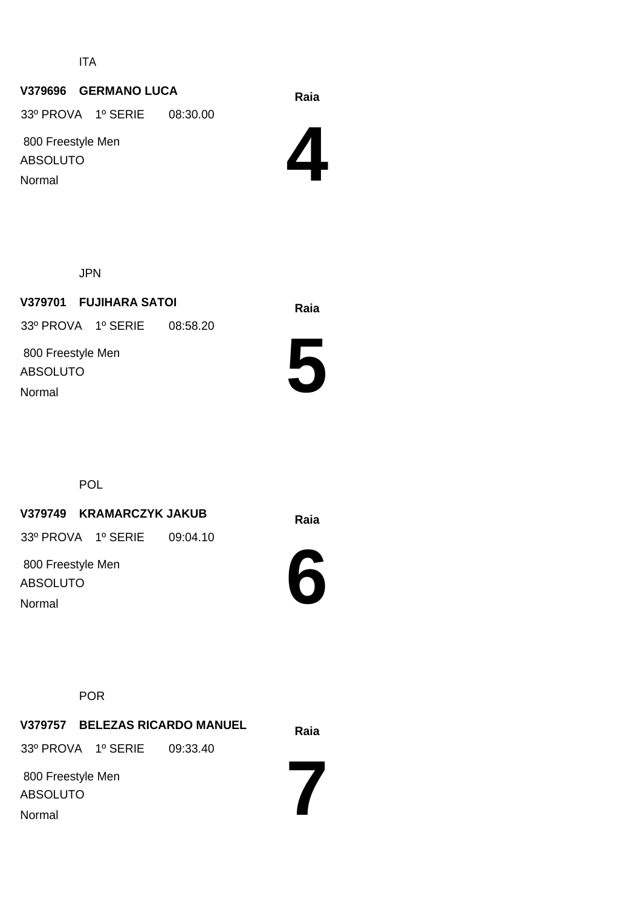ITA

### **Raia V379696 GERMANO LUCA**

33º PROVA 1º SERIE 08:30.00

 800 Freestyle Men ABSOLUTO Normal



JPN

**Raia V379701 FUJIHARA SATOI** 800 Freestyle Men ABSOLUTO 33º PROVA 1º SERIE 08:58.20 Normal



POL

### **Raia V379749 KRAMARCZYK JAKUB**

33º PROVA 1º SERIE 09:04.10

 800 Freestyle Men ABSOLUTO Normal



POR

**Raia V379757 BELEZAS RICARDO MANUEL 7** 800 Freestyle Men ABSOLUTO 33º PROVA 1º SERIE 09:33.40 Normal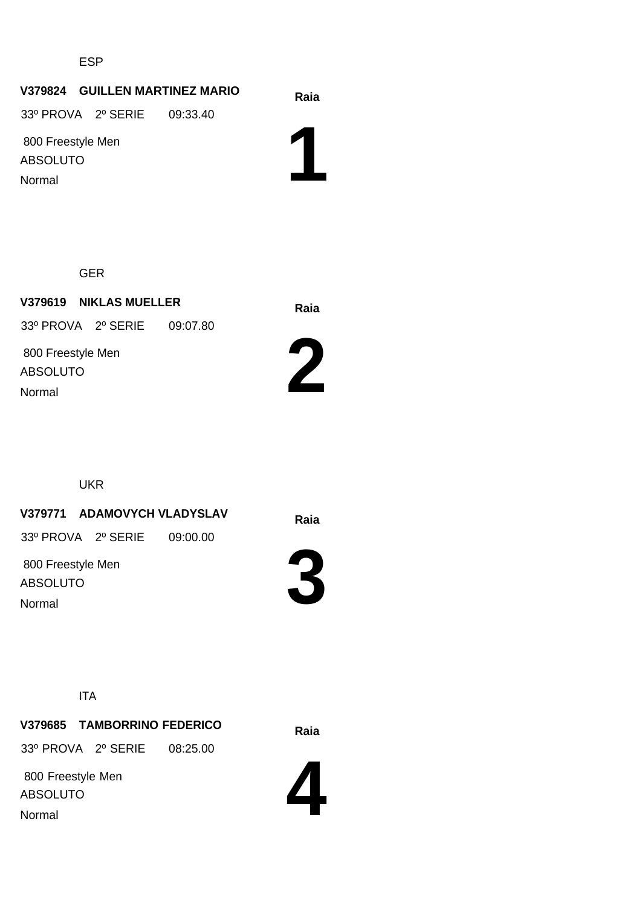ESP

#### **Raia V379824 GUILLEN MARTINEZ MARIO**

33º PROVA 2º SERIE 09:33.40

 800 Freestyle Men ABSOLUTO Normal

**1**

GER

**Raia V379619 NIKLAS MUELLER** 800 Freestyle Men ABSOLUTO 33º PROVA 2º SERIE 09:07.80 Normal



UKR

#### **Raia V379771 ADAMOVYCH VLADYSLAV**

33º PROVA 2º SERIE 09:00.00

 800 Freestyle Men ABSOLUTO Normal



ITA

**Raia V379685 TAMBORRINO FEDERICO**

33º PROVA 2º SERIE 08:25.00

 800 Freestyle Men ABSOLUTO Normal

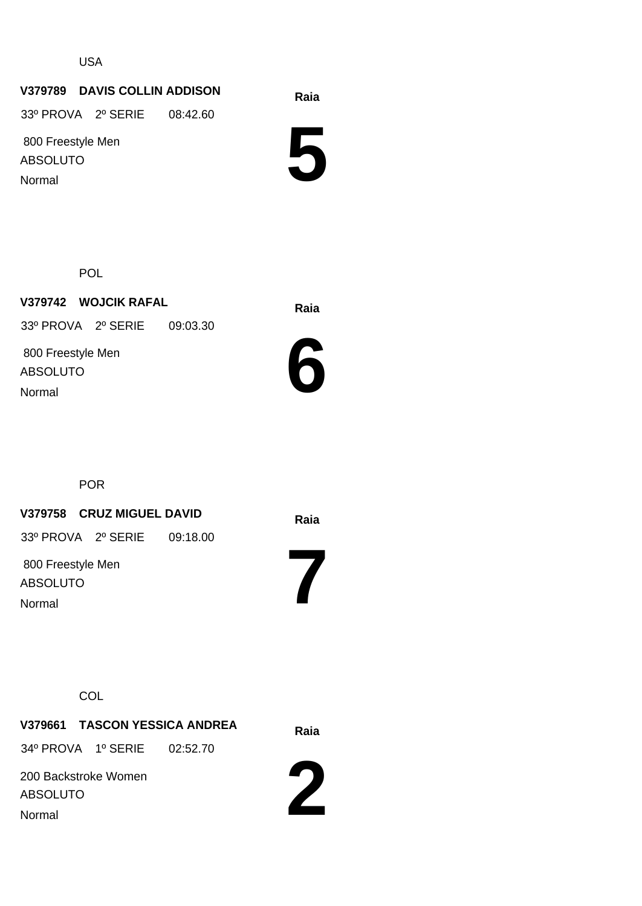USA

#### **Raia V379789 DAVIS COLLIN ADDISON**

33º PROVA 2º SERIE 08:42.60

 800 Freestyle Men ABSOLUTO Normal

**5**

POL

**Raia V379742 WOJCIK RAFAL** 800 Freestyle Men ABSOLUTO 33º PROVA 2º SERIE 09:03.30 Normal



POR

#### **Raia V379758 CRUZ MIGUEL DAVID**

33º PROVA 2º SERIE 09:18.00

 800 Freestyle Men ABSOLUTO Normal

**7**

#### **COL**

**Raia V379661 TASCON YESSICA ANDREA** 34º PROVA 1º SERIE 02:52.70

200 Backstroke Women ABSOLUTO Normal

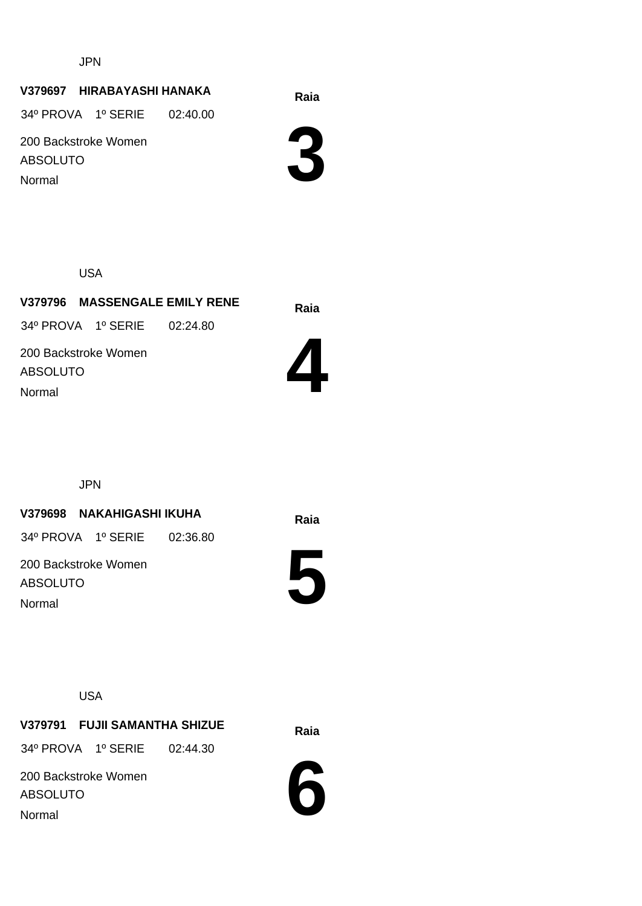JPN

#### **Raia V379697 HIRABAYASHI HANAKA**

34º PROVA 1º SERIE 02:40.00

200 Backstroke Women ABSOLUTO Normal

**3**

USA

**Raia V379796 MASSENGALE EMILY RENE** 34º PROVA 1º SERIE 02:24.80

200 Backstroke Women ABSOLUTO Normal



JPN

#### **Raia V379698 NAKAHIGASHI IKUHA**

34º PROVA 1º SERIE 02:36.80

200 Backstroke Women ABSOLUTO Normal



USA

**Raia V379791 FUJII SAMANTHA SHIZUE** 34º PROVA 1º SERIE 02:44.30

200 Backstroke Women ABSOLUTO Normal

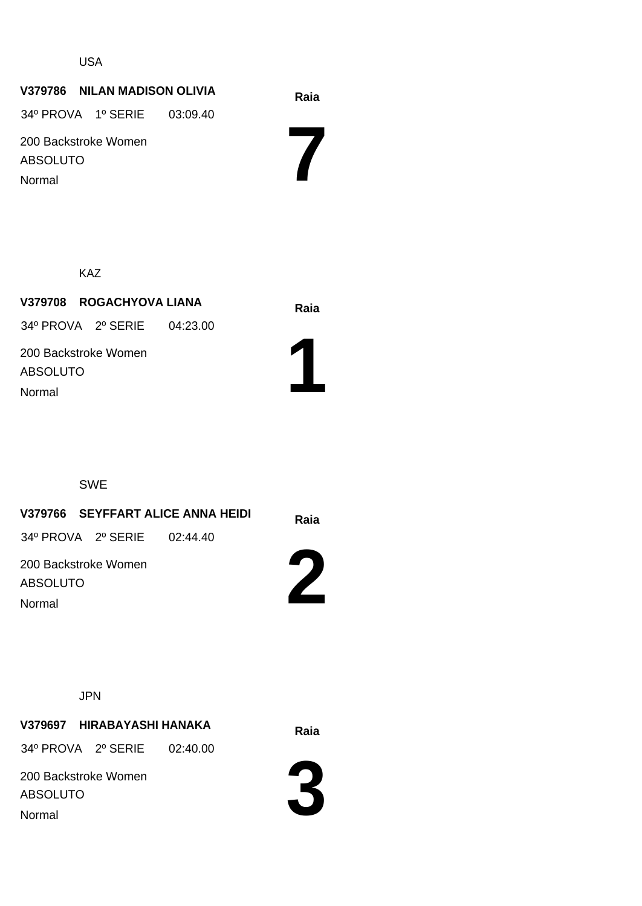#### USA

## **Raia V379786 NILAN MADISON OLIVIA 7** 200 Backstroke Women ABSOLUTO 34º PROVA 1º SERIE 03:09.40 Normal

KAZ

**Raia V379708 ROGACHYOVA LIANA** 200 Backstroke Women ABSOLUTO 34º PROVA 2º SERIE 04:23.00 Normal



SWE

## **Raia V379766 SEYFFART ALICE ANNA HEIDI** 200 Backstroke Women ABSOLUTO 34º PROVA 2º SERIE 02:44.40

Normal

JPN

**Raia V379697 HIRABAYASHI HANAKA** 34º PROVA 2º SERIE 02:40.00

200 Backstroke Women ABSOLUTO Normal



**2**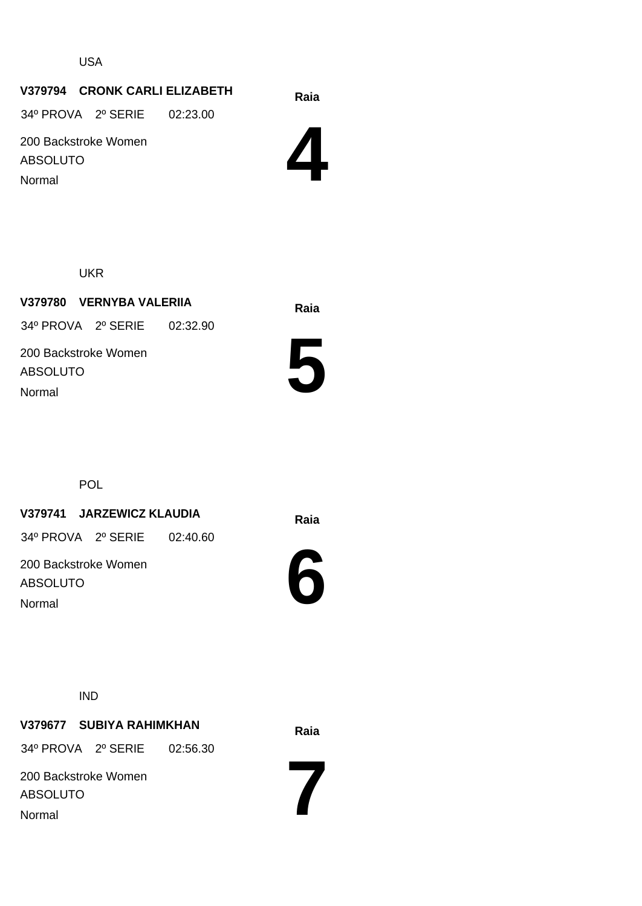USA

#### **Raia V379794 CRONK CARLI ELIZABETH**

34º PROVA 2º SERIE 02:23.00

200 Backstroke Women ABSOLUTO Normal



UKR

**Raia V379780 VERNYBA VALERIIA** 200 Backstroke Women ABSOLUTO 34º PROVA 2º SERIE 02:32.90 Normal



POL

#### **Raia V379741 JARZEWICZ KLAUDIA**

34º PROVA 2º SERIE 02:40.60

200 Backstroke Women ABSOLUTO Normal



IND

## **Raia V379677 SUBIYA RAHIMKHAN**

34º PROVA 2º SERIE 02:56.30

200 Backstroke Women ABSOLUTO Normal

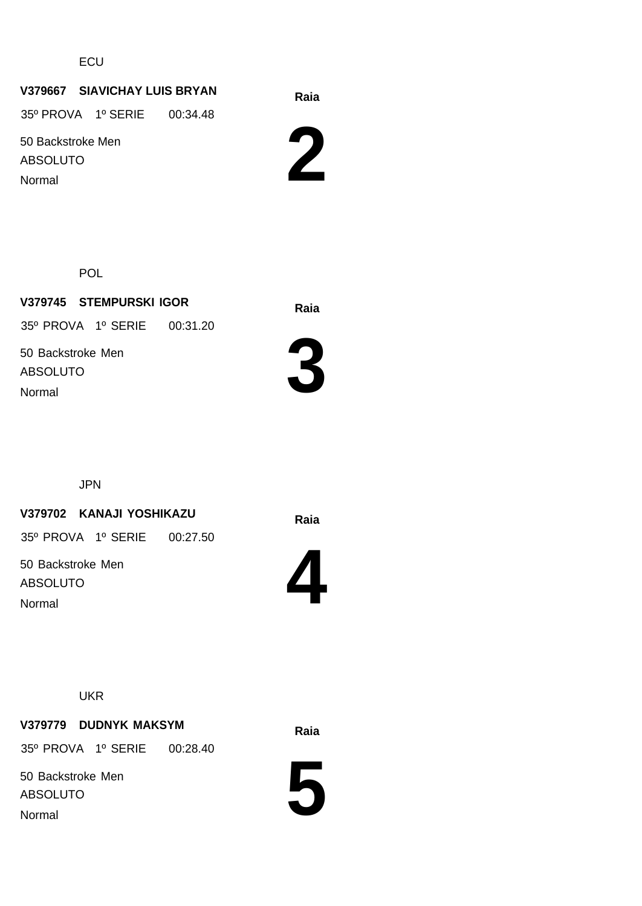**ECU** 

#### **Raia V379667 SIAVICHAY LUIS BRYAN**

35º PROVA 1º SERIE 00:34.48

50 Backstroke Men ABSOLUTO Normal



POL

**Raia V379745 STEMPURSKI IGOR** 50 Backstroke Men ABSOLUTO 35º PROVA 1º SERIE 00:31.20 Normal



JPN

#### **Raia V379702 KANAJI YOSHIKAZU**

35º PROVA 1º SERIE 00:27.50

50 Backstroke Men ABSOLUTO Normal



**UKR** 

### **Raia V379779 DUDNYK MAKSYM**

35º PROVA 1º SERIE 00:28.40

50 Backstroke Men ABSOLUTO Normal

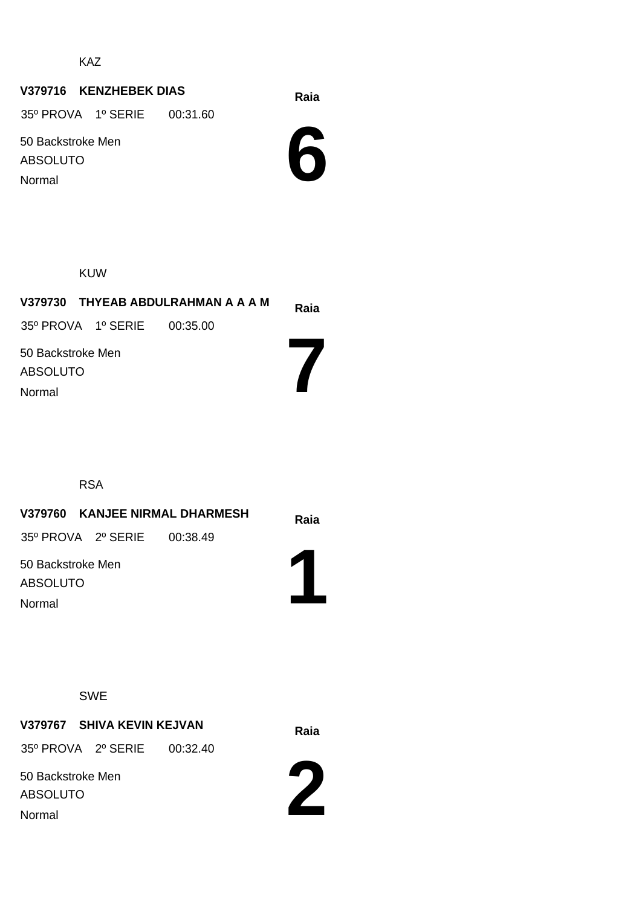KAZ

### **Raia V379716 KENZHEBEK DIAS**

35º PROVA 1º SERIE 00:31.60

50 Backstroke Men ABSOLUTO Normal



KUW

|                                                |                             | V379730 THYEAB ABDULRAHMAN A A A M | Raia |
|------------------------------------------------|-----------------------------|------------------------------------|------|
|                                                | 35° PROVA 1° SERIE 00:35.00 |                                    |      |
| 50 Backstroke Men<br><b>ABSOLUTO</b><br>Normal |                             |                                    |      |
|                                                |                             |                                    |      |

RSA

| V379760 KANJEE NIRMAL DHARMESH       |          | Raia |
|--------------------------------------|----------|------|
| 35º PROVA 2º SERIE                   | 00:38.49 |      |
| 50 Backstroke Men<br><b>ABSOLUTO</b> |          |      |
| Normal                               |          |      |

SWE

**Raia V379767 SHIVA KEVIN KEJVAN**

35º PROVA 2º SERIE 00:32.40

50 Backstroke Men ABSOLUTO Normal

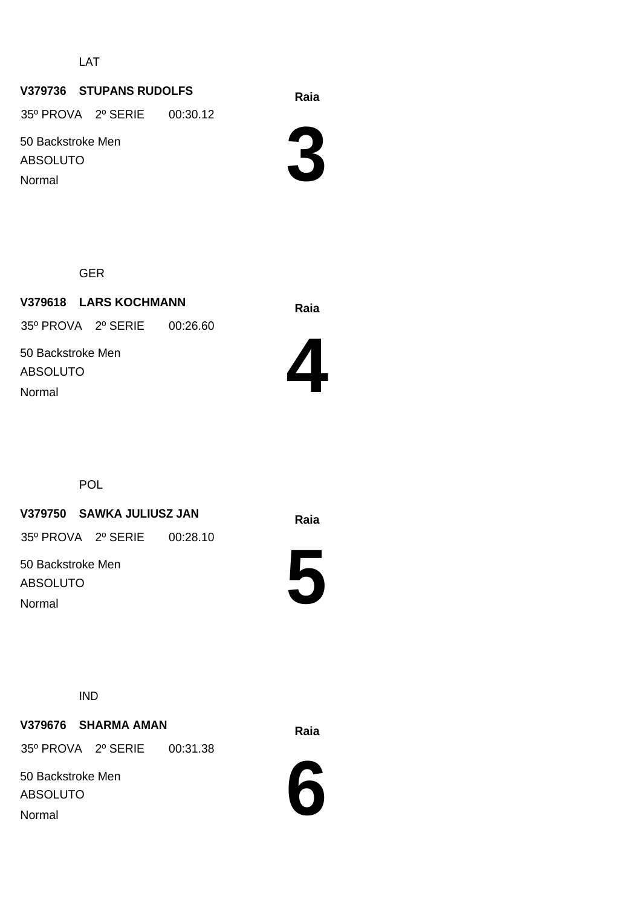LAT

#### **Raia V379736 STUPANS RUDOLFS**

35º PROVA 2º SERIE 00:30.12

50 Backstroke Men ABSOLUTO Normal

**3**

GER

**Raia V379618 LARS KOCHMANN** 50 Backstroke Men ABSOLUTO 35º PROVA 2º SERIE 00:26.60 Normal



**POL** 

#### **Raia V379750 SAWKA JULIUSZ JAN**

35º PROVA 2º SERIE 00:28.10

50 Backstroke Men ABSOLUTO Normal



IND

### **Raia V379676 SHARMA AMAN**

35º PROVA 2º SERIE 00:31.38

50 Backstroke Men ABSOLUTO Normal

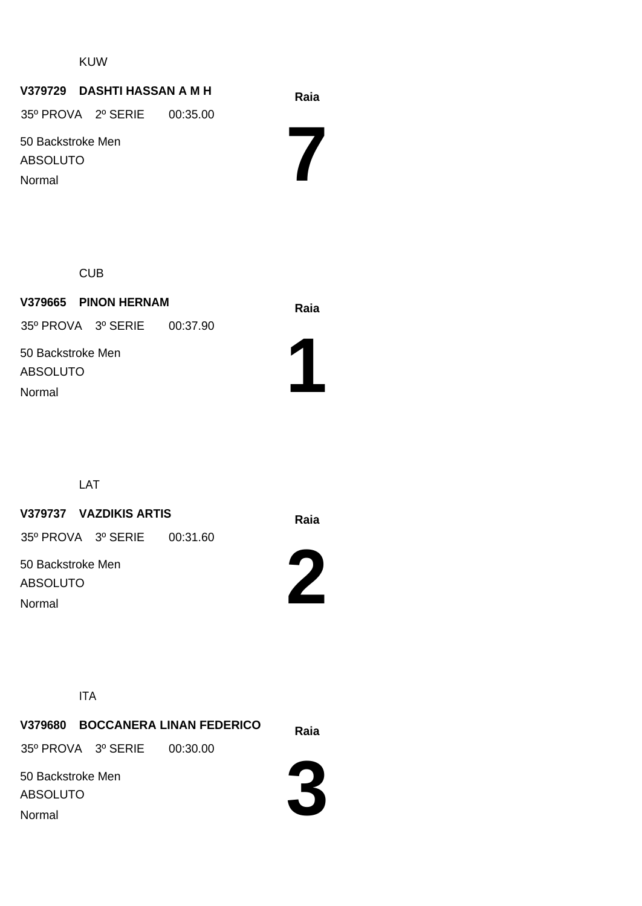#### KUW

#### **Raia V379729 DASHTI HASSAN A M H**

35º PROVA 2º SERIE 00:35.00

50 Backstroke Men ABSOLUTO Normal

**7**

**CUB** 

**Raia V379665 PINON HERNAM** 50 Backstroke Men ABSOLUTO 35º PROVA 3º SERIE 00:37.90 Normal



LAT

#### **Raia V379737 VAZDIKIS ARTIS**

35º PROVA 3º SERIE 00:31.60

50 Backstroke Men ABSOLUTO Normal

**2**



**Raia V379680 BOCCANERA LINAN FEDERICO** 50 Backstroke Men ABSOLUTO 35º PROVA 3º SERIE 00:30.00 Normal

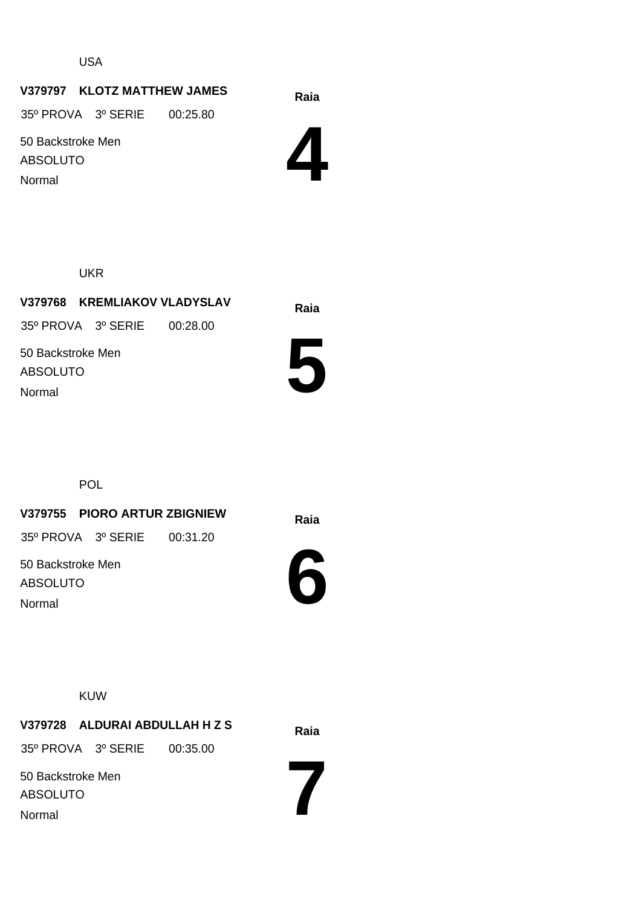USA

#### **Raia V379797 KLOTZ MATTHEW JAMES**

35º PROVA 3º SERIE 00:25.80

50 Backstroke Men ABSOLUTO Normal



UKR

**Raia V379768 KREMLIAKOV VLADYSLAV** 50 Backstroke Men ABSOLUTO 35º PROVA 3º SERIE 00:28.00 Normal



POL

**Raia V379755 PIORO ARTUR ZBIGNIEW**

35º PROVA 3º SERIE 00:31.20

50 Backstroke Men ABSOLUTO Normal



KUW

**Raia V379728 ALDURAI ABDULLAH H Z S** 50 Backstroke Men 35º PROVA 3º SERIE 00:35.00

ABSOLUTO Normal

**7**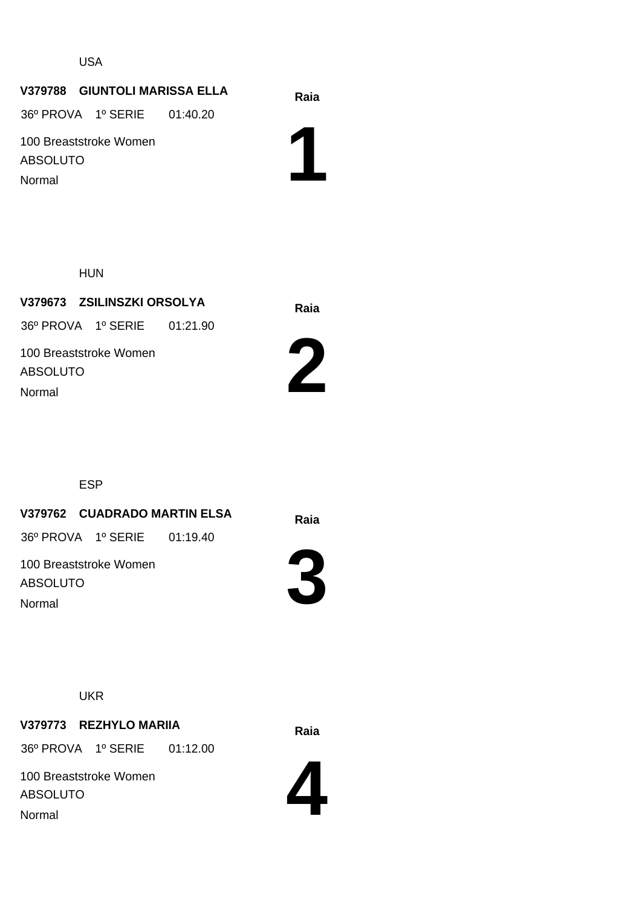USA

#### **Raia V379788 GIUNTOLI MARISSA ELLA**

36º PROVA 1º SERIE 01:40.20

100 Breaststroke Women ABSOLUTO Normal

**1**

HUN

**Raia V379673 ZSILINSZKI ORSOLYA** 100 Breaststroke Women ABSOLUTO 36º PROVA 1º SERIE 01:21.90 Normal



ESP

**Raia V379762 CUADRADO MARTIN ELSA**

36º PROVA 1º SERIE 01:19.40

100 Breaststroke Women ABSOLUTO Normal



**UKR** 

### **Raia V379773 REZHYLO MARIIA**

36º PROVA 1º SERIE 01:12.00

100 Breaststroke Women ABSOLUTO Normal

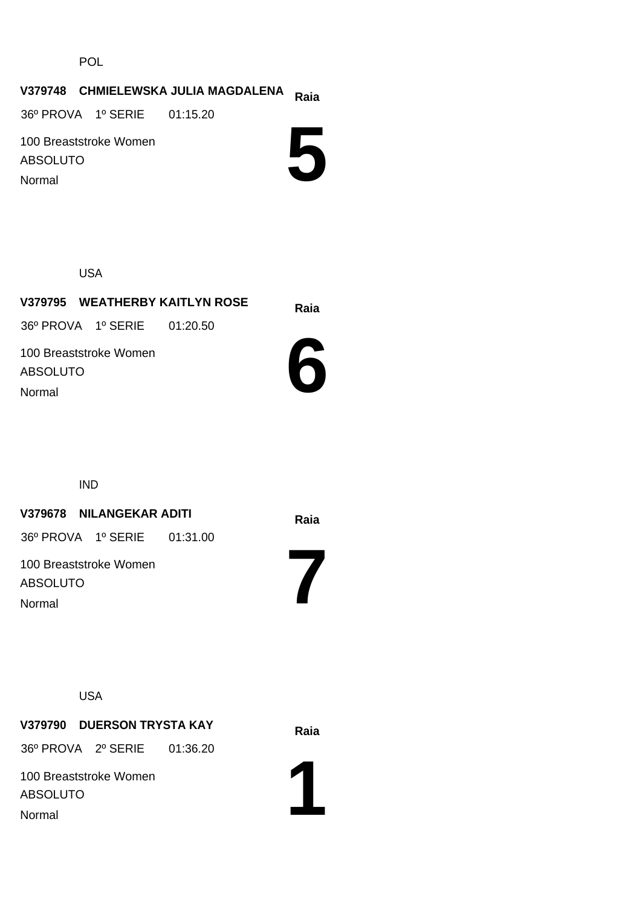POL

# **Raia V379748 CHMIELEWSKA JULIA MAGDALENA**

36º PROVA 1º SERIE 01:15.20

100 Breaststroke Women ABSOLUTO Normal



USA

**Raia V379795 WEATHERBY KAITLYN ROSE** 100 Breaststroke Women ABSOLUTO 36º PROVA 1º SERIE 01:20.50 Normal



IND

#### **Raia V379678 NILANGEKAR ADITI**

36º PROVA 1º SERIE 01:31.00

100 Breaststroke Women ABSOLUTO Normal

**7**

USA

**Raia V379790 DUERSON TRYSTA KAY**

36º PROVA 2º SERIE 01:36.20

100 Breaststroke Women ABSOLUTO Normal

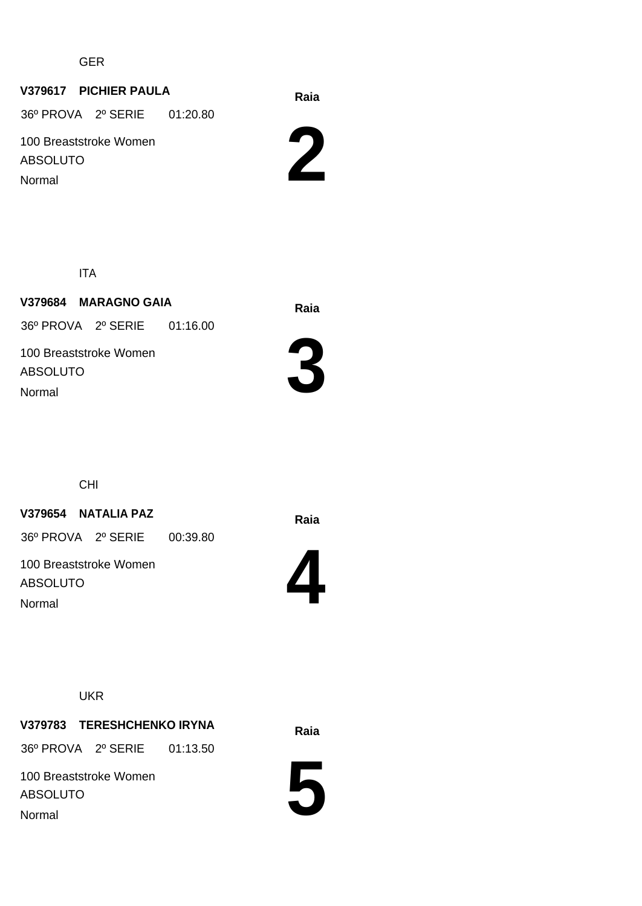GER

#### **Raia V379617 PICHIER PAULA**

36º PROVA 2º SERIE 01:20.80

100 Breaststroke Women ABSOLUTO Normal

**2**

ITA

**Raia V379684 MARAGNO GAIA** 100 Breaststroke Women ABSOLUTO 36º PROVA 2º SERIE 01:16.00 Normal



CHI

**Raia V379654 NATALIA PAZ**

36º PROVA 2º SERIE 00:39.80

100 Breaststroke Women ABSOLUTO Normal



**UKR** 

**Raia V379783 TERESHCHENKO IRYNA**

36º PROVA 2º SERIE 01:13.50

100 Breaststroke Women ABSOLUTO Normal

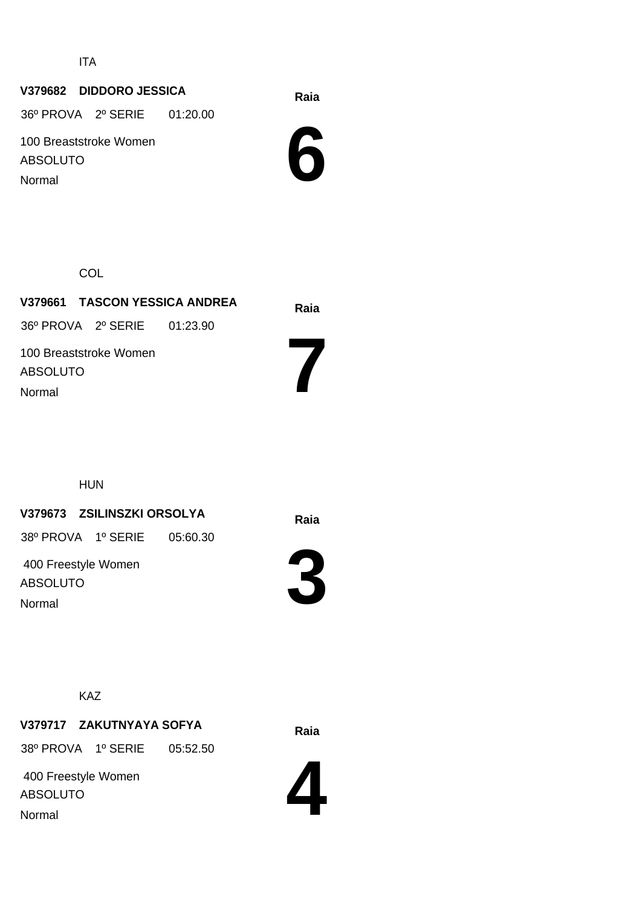ITA

### **Raia V379682 DIDDORO JESSICA**

36º PROVA 2º SERIE 01:20.00

100 Breaststroke Women ABSOLUTO Normal



**COL** 

| V379661 TASCON YESSICA ANDREA      | Raia |
|------------------------------------|------|
| 36° PROVA 2° SERIE 01:23.90        |      |
| 100 Breaststroke Women<br>ABSOLUTO |      |
| Normal                             |      |

HUN

### **Raia V379673 ZSILINSZKI ORSOLYA**

38º PROVA 1º SERIE 05:60.30

 400 Freestyle Women ABSOLUTO Normal



KAZ

## **Raia V379717 ZAKUTNYAYA SOFYA**

38º PROVA 1º SERIE 05:52.50

 400 Freestyle Women ABSOLUTO Normal

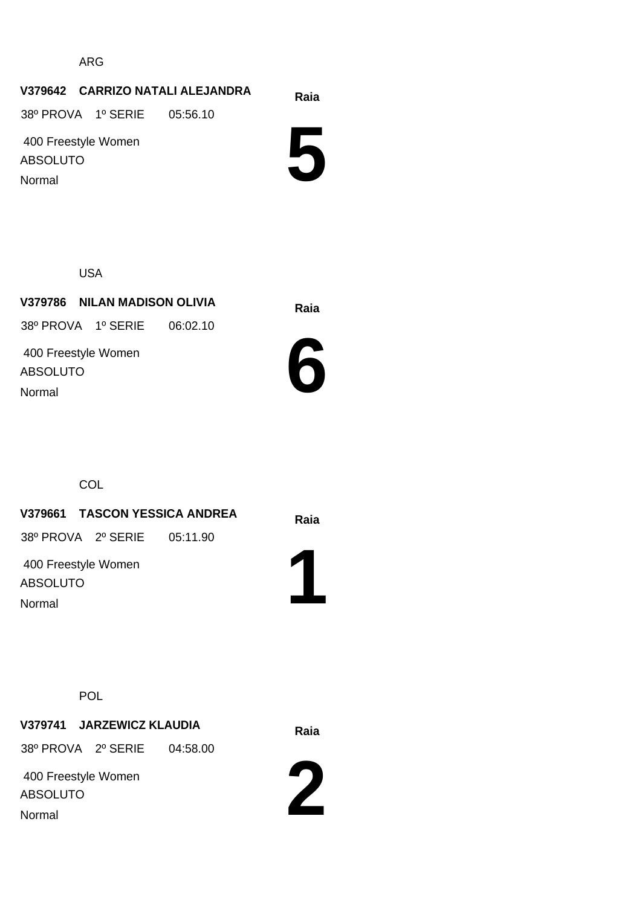ARG

#### **Raia V379642 CARRIZO NATALI ALEJANDRA**

38º PROVA 1º SERIE 05:56.10

 400 Freestyle Women ABSOLUTO Normal

**5**

USA

**Raia V379786 NILAN MADISON OLIVIA** 400 Freestyle Women ABSOLUTO 38º PROVA 1º SERIE 06:02.10 Normal



**COL** 

**Raia V379661 TASCON YESSICA ANDREA 1** 400 Freestyle Women ABSOLUTO 38º PROVA 2º SERIE 05:11.90 Normal

POL

**Raia V379741 JARZEWICZ KLAUDIA**

38º PROVA 2º SERIE 04:58.00

 400 Freestyle Women ABSOLUTO Normal

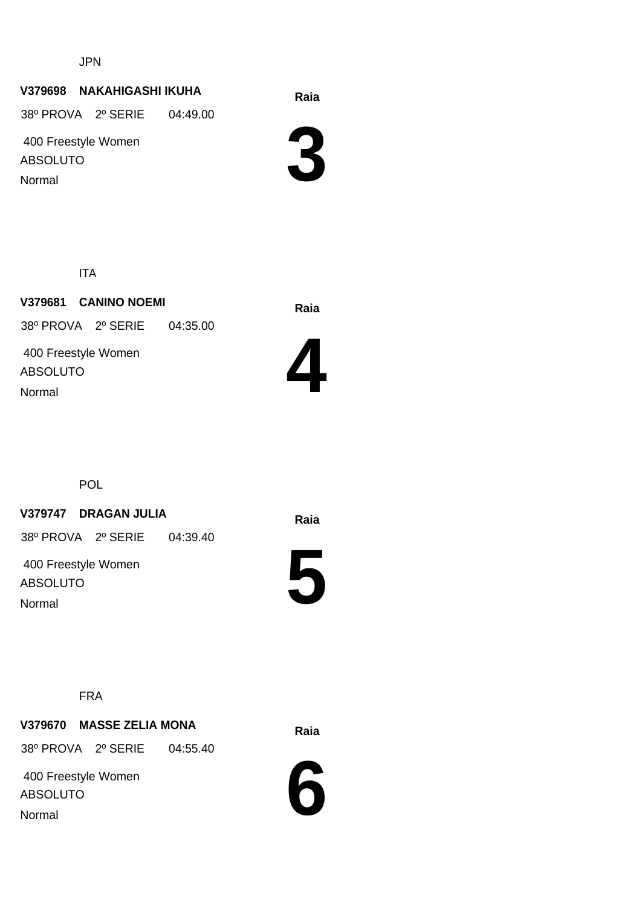JPN

#### **Raia V379698 NAKAHIGASHI IKUHA**

38º PROVA 2º SERIE 04:49.00

 400 Freestyle Women ABSOLUTO Normal



ITA

**Raia V379681 CANINO NOEMI** 400 Freestyle Women ABSOLUTO 38º PROVA 2º SERIE 04:35.00 Normal



POL

#### **Raia V379747 DRAGAN JULIA**

38º PROVA 2º SERIE 04:39.40

 400 Freestyle Women ABSOLUTO Normal



FRA

#### **Raia V379670 MASSE ZELIA MONA**

38º PROVA 2º SERIE 04:55.40

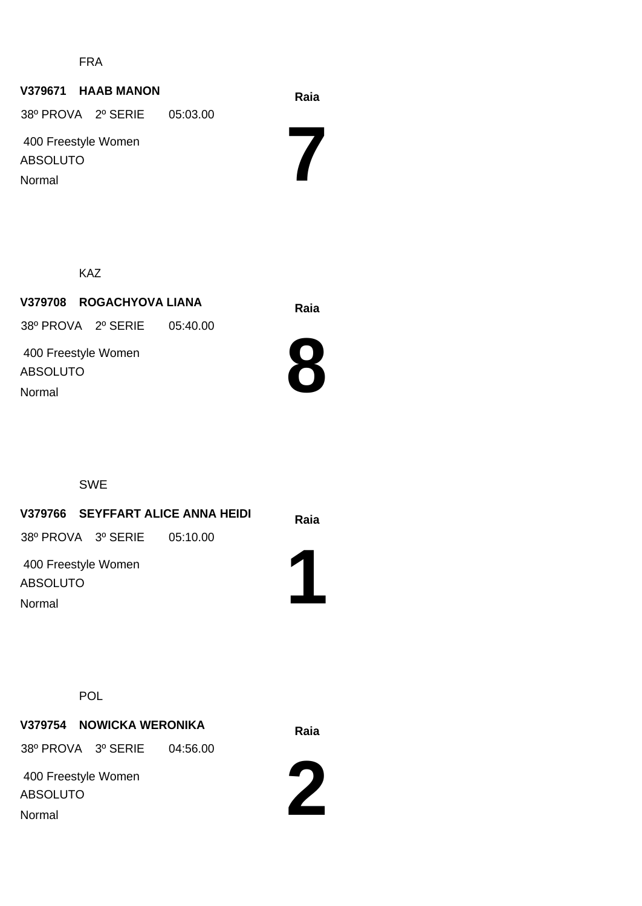FRA

#### **Raia V379671 HAAB MANON**

 400 Freestyle Women ABSOLUTO 38º PROVA 2º SERIE 05:03.00

Normal

KAZ

**Raia V379708 ROGACHYOVA LIANA** 38º PROVA 2º SERIE 05:40.00

 400 Freestyle Women ABSOLUTO Normal



**7**

SWE

#### **Raia V379766 SEYFFART ALICE ANNA HEIDI 1** 400 Freestyle Women ABSOLUTO 38º PROVA 3º SERIE 05:10.00 Normal

POL

# **Raia V379754 NOWICKA WERONIKA**

38º PROVA 3º SERIE 04:56.00

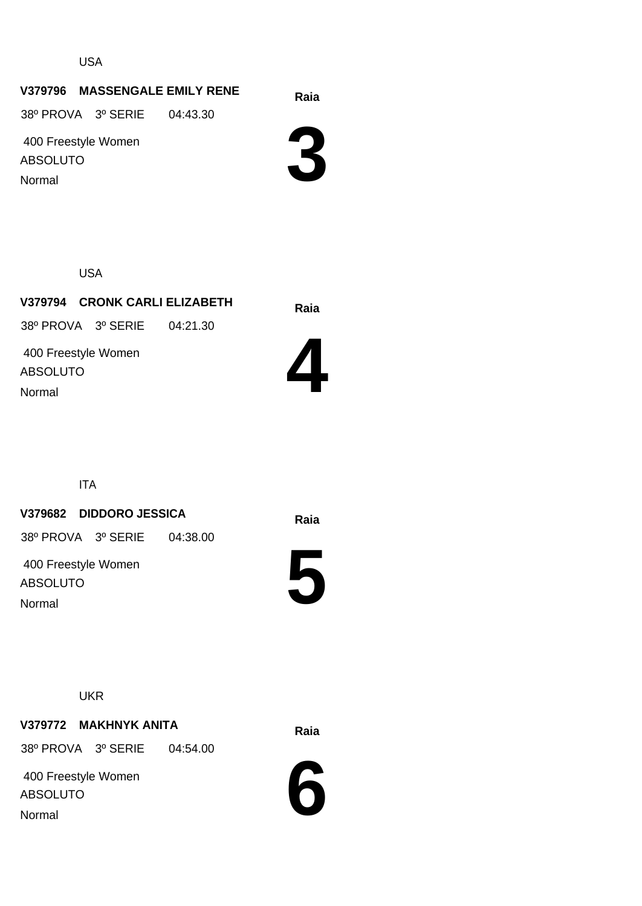USA

#### **Raia V379796 MASSENGALE EMILY RENE**

38º PROVA 3º SERIE 04:43.30

 400 Freestyle Women ABSOLUTO Normal

**3**

USA

**Raia V379794 CRONK CARLI ELIZABETH** 400 Freestyle Women ABSOLUTO 38º PROVA 3º SERIE 04:21.30 Normal



ITA

#### **Raia V379682 DIDDORO JESSICA**

38º PROVA 3º SERIE 04:38.00

 400 Freestyle Women ABSOLUTO Normal



**UKR** 

#### **Raia V379772 MAKHNYK ANITA**

38º PROVA 3º SERIE 04:54.00

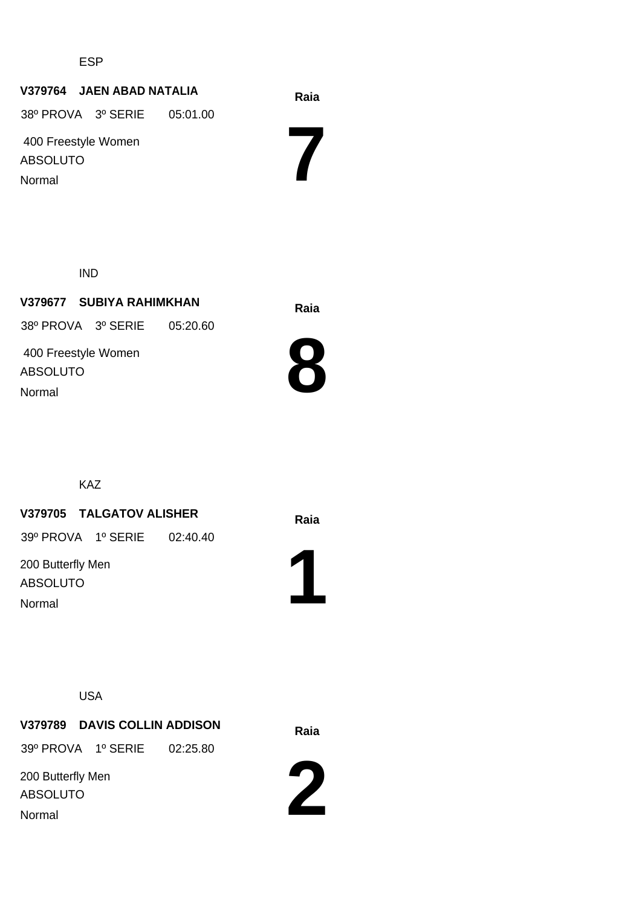ESP

#### **Raia V379764 JAEN ABAD NATALIA**

38º PROVA 3º SERIE 05:01.00

 400 Freestyle Women ABSOLUTO Normal

**7**

IND

**Raia V379677 SUBIYA RAHIMKHAN** 400 Freestyle Women ABSOLUTO 38º PROVA 3º SERIE 05:20.60 Normal



KAZ

#### **Raia V379705 TALGATOV ALISHER**

39º PROVA 1º SERIE 02:40.40

200 Butterfly Men ABSOLUTO Normal



USA

**Raia V379789 DAVIS COLLIN ADDISON** 39º PROVA 1º SERIE 02:25.80

200 Butterfly Men

ABSOLUTO

Normal

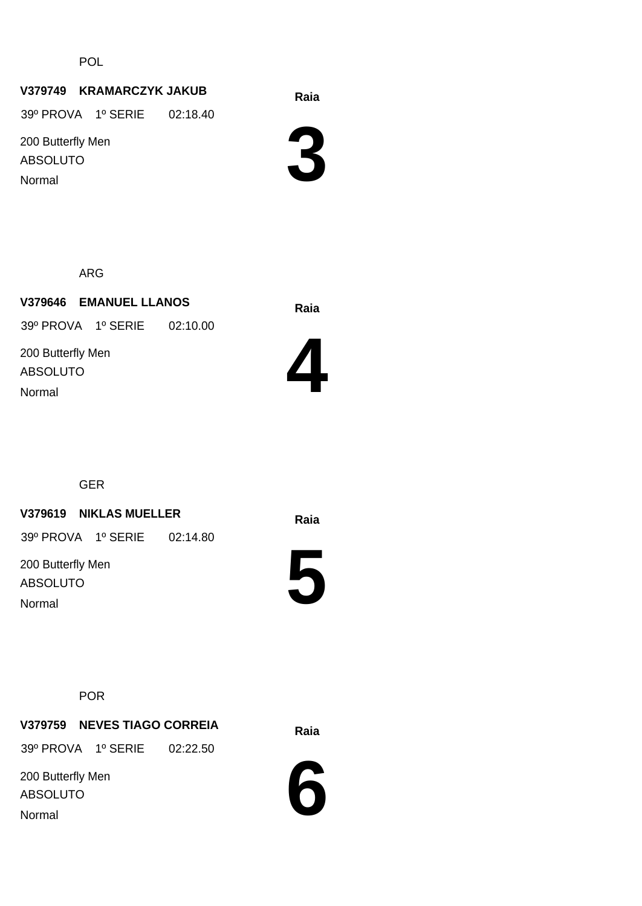POL

#### **Raia V379749 KRAMARCZYK JAKUB**

39º PROVA 1º SERIE 02:18.40

200 Butterfly Men ABSOLUTO Normal



ARG

**Raia V379646 EMANUEL LLANOS** 200 Butterfly Men ABSOLUTO 39º PROVA 1º SERIE 02:10.00 Normal



GER

#### **Raia V379619 NIKLAS MUELLER**

39º PROVA 1º SERIE 02:14.80

200 Butterfly Men ABSOLUTO Normal



#### POR

**Raia V379759 NEVES TIAGO CORREIA**

39º PROVA 1º SERIE 02:22.50

200 Butterfly Men ABSOLUTO Normal

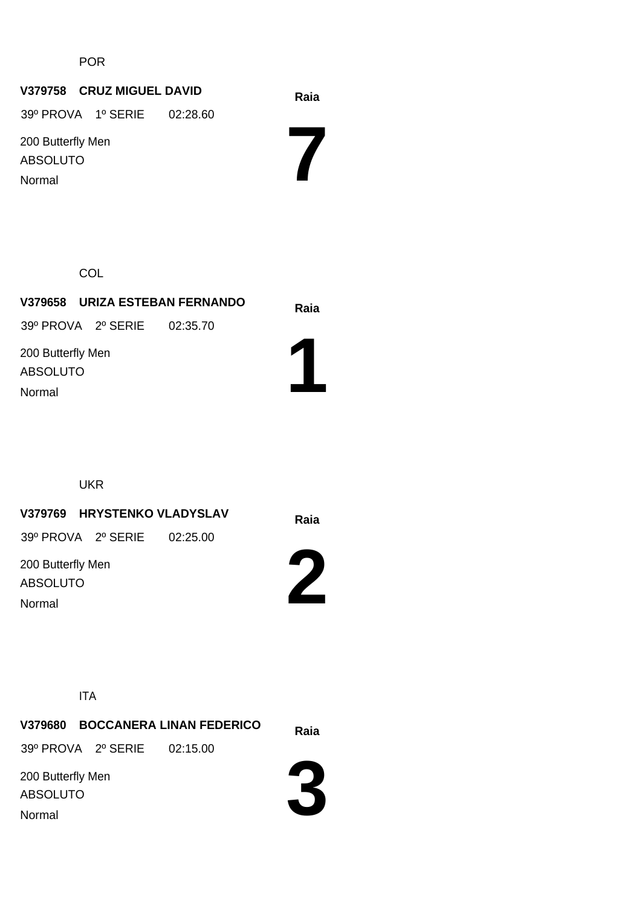POR

#### **Raia V379758 CRUZ MIGUEL DAVID**

39º PROVA 1º SERIE 02:28.60

200 Butterfly Men ABSOLUTO Normal

**7**

**COL** 

| V379658 URIZA ESTEBAN FERNANDO       | Raia |  |
|--------------------------------------|------|--|
| 39º PROVA 2º SERIE 02:35.70          |      |  |
| 200 Butterfly Men<br><b>ABSOLUTO</b> |      |  |
| Normal                               |      |  |

UKR

**V379769 HRYSTENKO VLADYSLAV** Raia

39º PROVA 2º SERIE 02:25.00

200 Butterfly Men ABSOLUTO Normal



ITA

**Raia V379680 BOCCANERA LINAN FEDERICO** 200 Butterfly Men ABSOLUTO 39º PROVA 2º SERIE 02:15.00 Normal

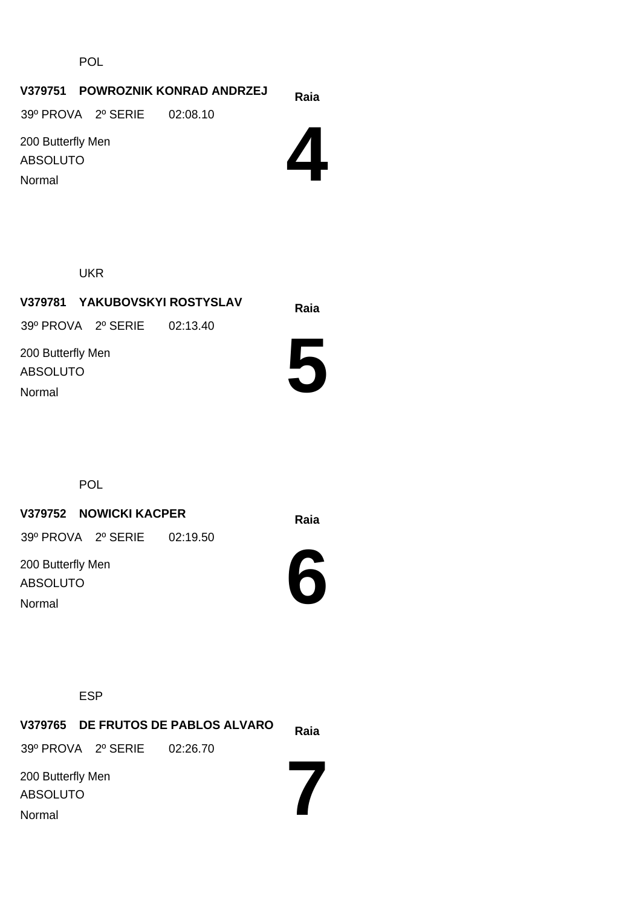POL

#### **Raia V379751 POWROZNIK KONRAD ANDRZEJ**

39º PROVA 2º SERIE 02:08.10

200 Butterfly Men ABSOLUTO Normal

**4**

UKR

## **Raia V379781 YAKUBOVSKYI ROSTYSLAV** 200 Butterfly Men ABSOLUTO 39º PROVA 2º SERIE 02:13.40 Normal

POL

### **Raia V379752 NOWICKI KACPER**

39º PROVA 2º SERIE 02:19.50

200 Butterfly Men ABSOLUTO Normal

**5**



ESP

|                   |                             | V379765 DE FRUTOS DE PABLOS ALVARO | Raia |
|-------------------|-----------------------------|------------------------------------|------|
|                   | 39º PROVA 2º SERIE 02:26.70 |                                    |      |
| 200 Butterfly Men |                             |                                    |      |
| <b>ABSOLUTO</b>   |                             |                                    |      |
| Normal            |                             |                                    |      |
|                   |                             |                                    |      |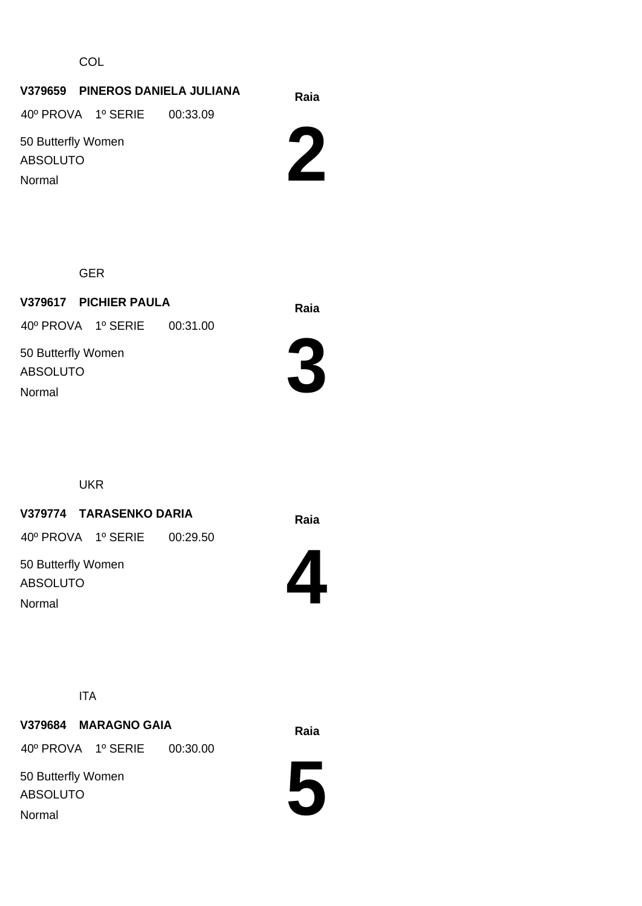**COL** 

#### **Raia V379659 PINEROS DANIELA JULIANA**

40º PROVA 1º SERIE 00:33.09

50 Butterfly Women ABSOLUTO

Normal



GER

**Raia V379617 PICHIER PAULA** 40º PROVA 1º SERIE 00:31.00

50 Butterfly Women ABSOLUTO Normal



UKR

#### **Raia V379774 TARASENKO DARIA**

40º PROVA 1º SERIE 00:29.50

50 Butterfly Women ABSOLUTO Normal



ITA

# **Raia V379684 MARAGNO GAIA**

40º PROVA 1º SERIE 00:30.00

50 Butterfly Women ABSOLUTO Normal

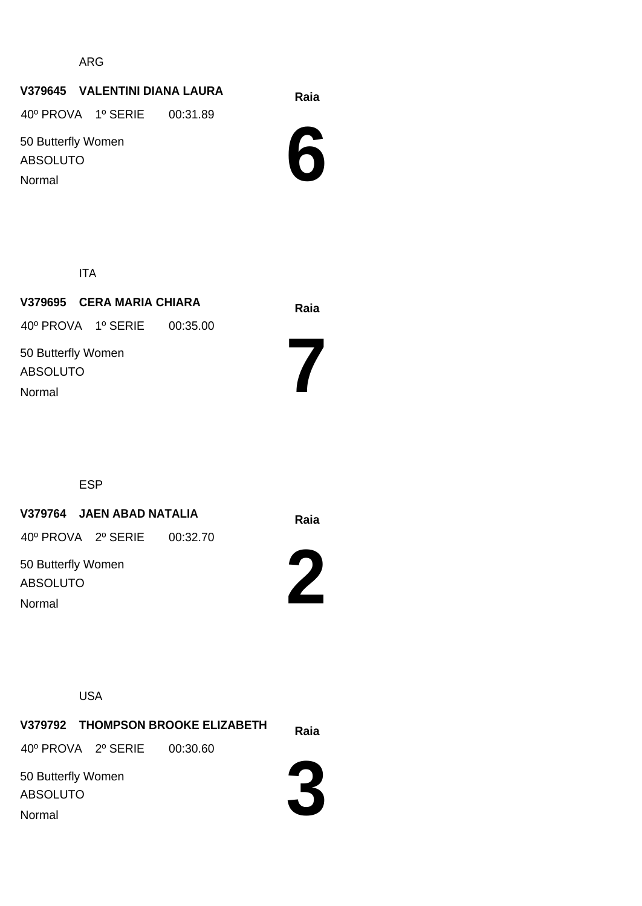ARG

#### **Raia V379645 VALENTINI DIANA LAURA**

40º PROVA 1º SERIE 00:31.89

50 Butterfly Women ABSOLUTO Normal



ITA

**Raia V379695 CERA MARIA CHIARA** 50 Butterfly Women ABSOLUTO 40º PROVA 1º SERIE 00:35.00 Normal

ESP

#### **Raia V379764 JAEN ABAD NATALIA**

40º PROVA 2º SERIE 00:32.70

50 Butterfly Women ABSOLUTO Normal



**7**

USA

**Raia V379792 THOMPSON BROOKE ELIZABETH** 50 Butterfly Women ABSOLUTO 40º PROVA 2º SERIE 00:30.60 Normal

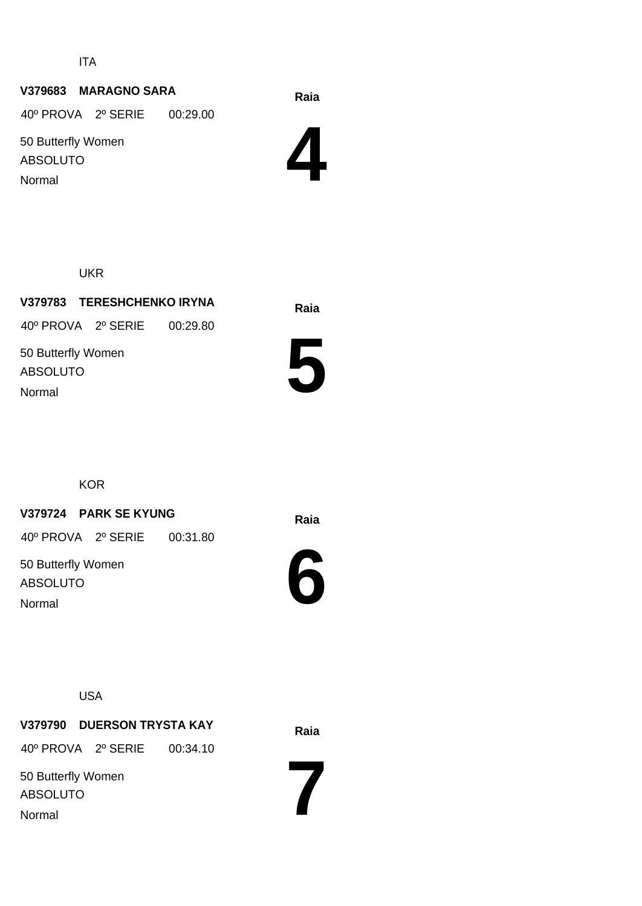ITA

#### **Raia V379683 MARAGNO SARA**

40º PROVA 2º SERIE 00:29.00

50 Butterfly Women ABSOLUTO Normal



UKR

**Raia V379783 TERESHCHENKO IRYNA** 50 Butterfly Women ABSOLUTO 40º PROVA 2º SERIE 00:29.80 Normal



**KOR** 

#### **Raia V379724 PARK SE KYUNG**

40º PROVA 2º SERIE 00:31.80

50 Butterfly Women ABSOLUTO Normal



USA

**Raia V379790 DUERSON TRYSTA KAY** 40º PROVA 2º SERIE 00:34.10

50 Butterfly Women ABSOLUTO

Normal

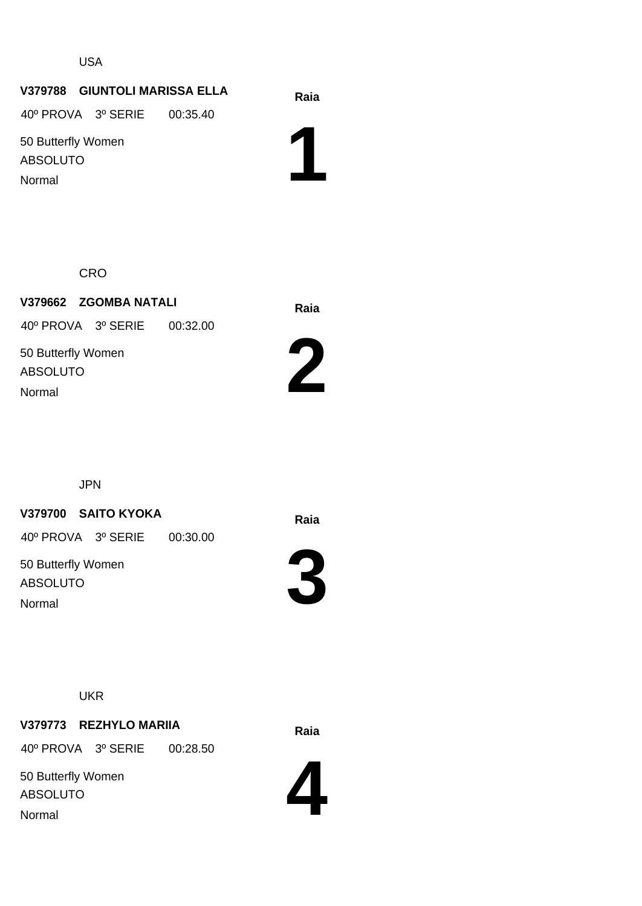USA

#### **Raia V379788 GIUNTOLI MARISSA ELLA**

40º PROVA 3º SERIE 00:35.40

50 Butterfly Women ABSOLUTO Normal

**1**

**CRO** 

**Raia V379662 ZGOMBA NATALI** 50 Butterfly Women ABSOLUTO 40º PROVA 3º SERIE 00:32.00 Normal



JPN

#### **Raia V379700 SAITO KYOKA**

40º PROVA 3º SERIE 00:30.00

50 Butterfly Women ABSOLUTO Normal



**3**



#### **Raia V379773 REZHYLO MARIIA**

40º PROVA 3º SERIE 00:28.50

50 Butterfly Women ABSOLUTO Normal

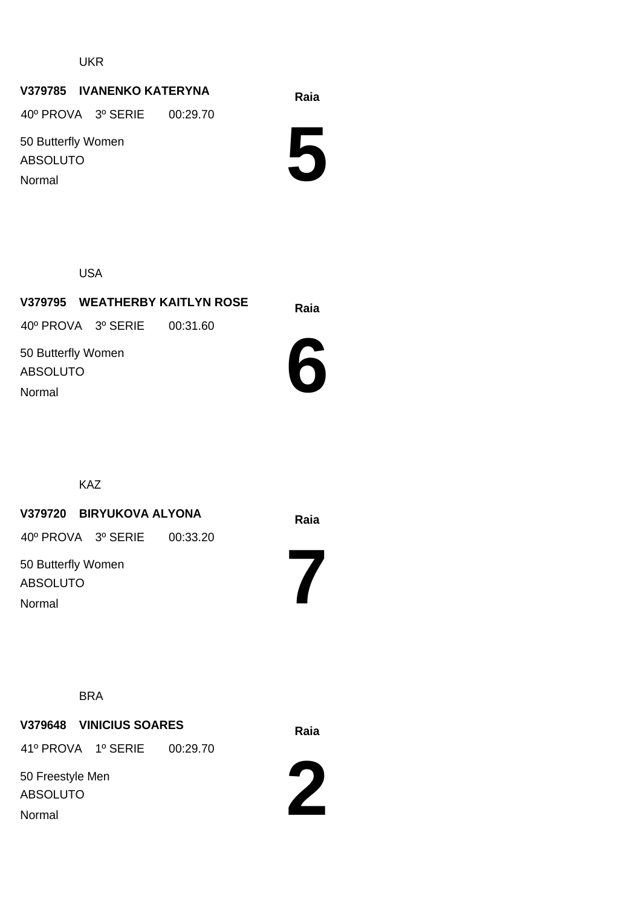UKR

#### **Raia V379785 IVANENKO KATERYNA**

40º PROVA 3º SERIE 00:29.70

50 Butterfly Women ABSOLUTO Normal

**5**

USA

**Raia V379795 WEATHERBY KAITLYN ROSE 6** 50 Butterfly Women ABSOLUTO 40º PROVA 3º SERIE 00:31.60 Normal

KAZ

#### **Raia V379720 BIRYUKOVA ALYONA**

40º PROVA 3º SERIE 00:33.20

50 Butterfly Women ABSOLUTO Normal

BRA

## **Raia V379648 VINICIUS SOARES** 41º PROVA 1º SERIE 00:29.70

50 Freestyle Men ABSOLUTO Normal



**7**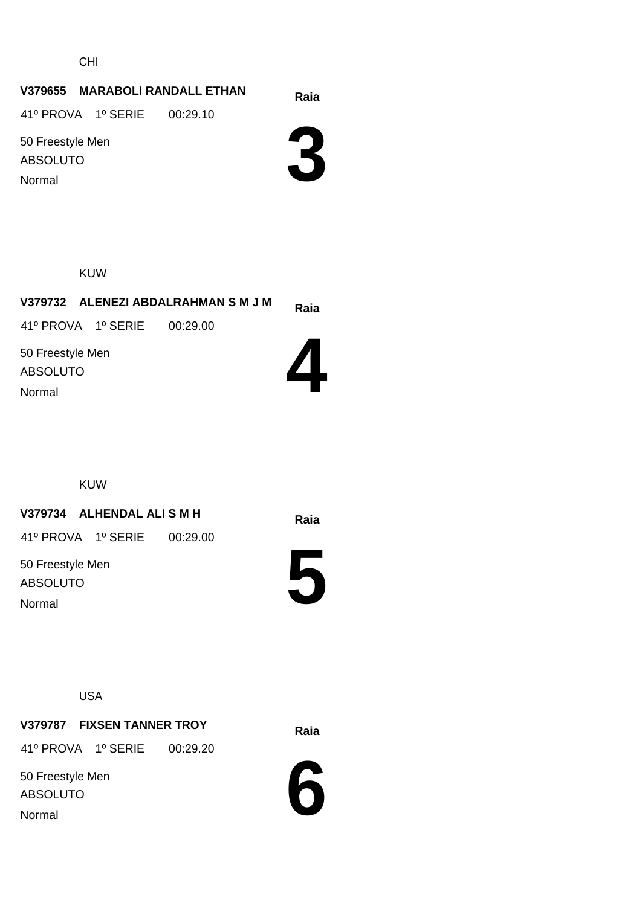CHI

#### **Raia V379655 MARABOLI RANDALL ETHAN**

41º PROVA 1º SERIE 00:29.10

50 Freestyle Men ABSOLUTO Normal



#### KUW

|                  |                             | V379732 ALENEZI ABDALRAHMAN S M J M | Raia |
|------------------|-----------------------------|-------------------------------------|------|
|                  | 41º PROVA 1º SERIE 00:29.00 |                                     |      |
| 50 Freestyle Men |                             |                                     |      |

ABSOLUTO Normal



KUW

#### **Raia V379734 ALHENDAL ALI S M H**

41º PROVA 1º SERIE 00:29.00

50 Freestyle Men ABSOLUTO Normal



USA

#### **Raia V379787 FIXSEN TANNER TROY**

41º PROVA 1º SERIE 00:29.20

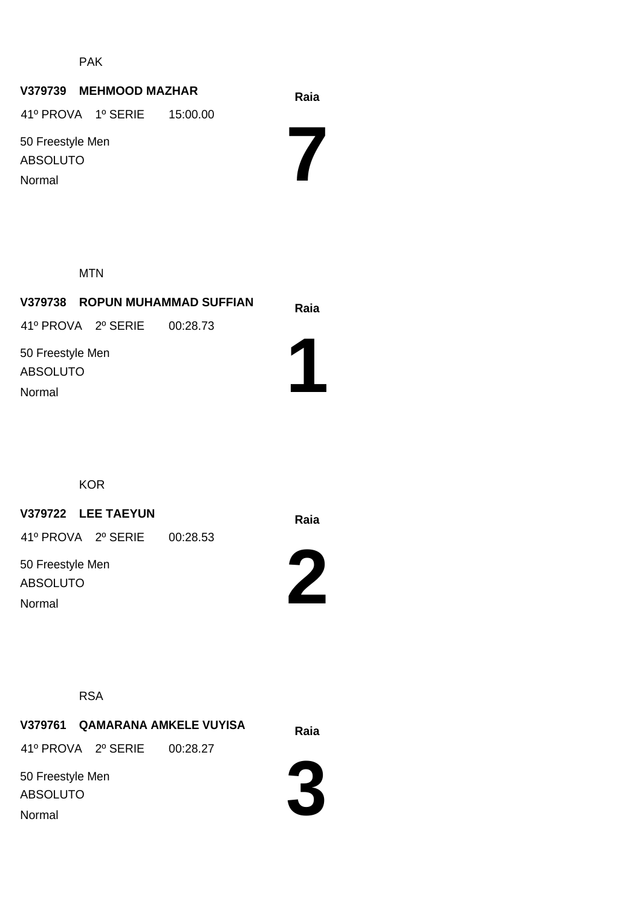PAK

#### **Raia V379739 MEHMOOD MAZHAR**

41º PROVA 1º SERIE 15:00.00

50 Freestyle Men ABSOLUTO Normal

MTN

| V379738 ROPUN MUHAMMAD SUFFIAN      | Raia |  |
|-------------------------------------|------|--|
| 41º PROVA 2º SERIE 00:28.73         |      |  |
| 50 Freestyle Men<br><b>ABSOLUTO</b> |      |  |
| Normal                              |      |  |

KOR

### **Raia V379722 LEE TAEYUN**

41º PROVA 2º SERIE 00:28.53

50 Freestyle Men ABSOLUTO Normal

**2**

**7**



**Raia V379761 QAMARANA AMKELE VUYISA** 41º PROVA 2º SERIE 00:28.27

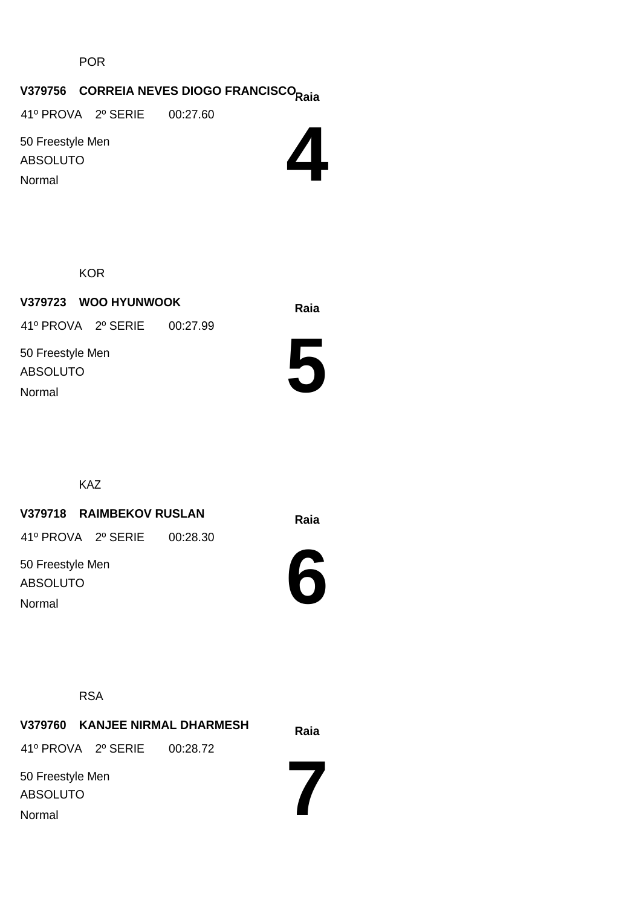POR

# **Raia V379756 CORREIA NEVES DIOGO FRANCISCO**

41º PROVA 2º SERIE 00:27.60

50 Freestyle Men ABSOLUTO Normal



**KOR** 

**Raia V379723 WOO HYUNWOOK** 50 Freestyle Men ABSOLUTO 41º PROVA 2º SERIE 00:27.99 Normal



KAZ

#### **Raia V379718 RAIMBEKOV RUSLAN**

41º PROVA 2º SERIE 00:28.30

50 Freestyle Men ABSOLUTO Normal



RSA

**Raia V379760 KANJEE NIRMAL DHARMESH 7** 50 Freestyle Men ABSOLUTO 41º PROVA 2º SERIE 00:28.72 Normal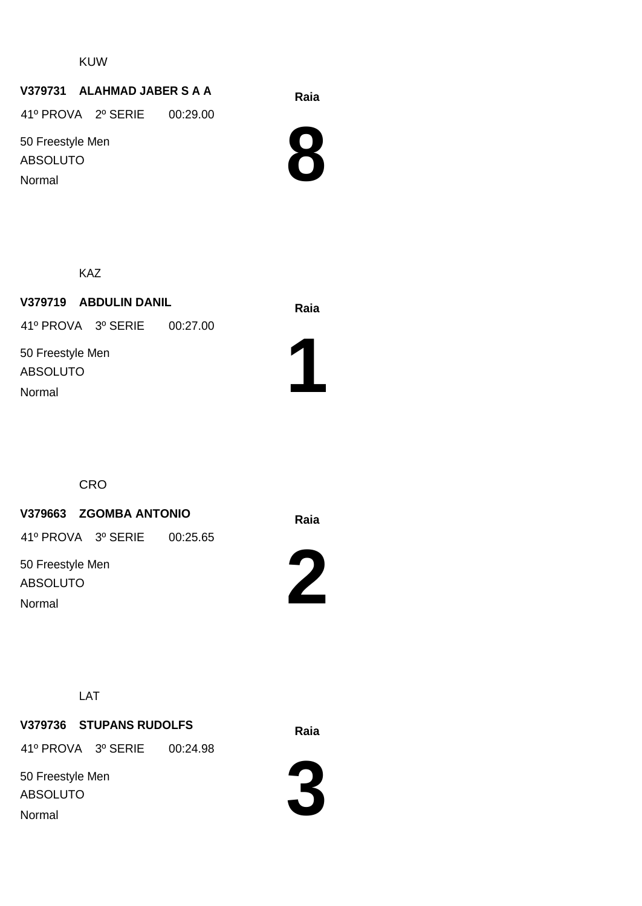KUW

#### **Raia V379731 ALAHMAD JABER S A A**

41º PROVA 2º SERIE 00:29.00

50 Freestyle Men ABSOLUTO Normal



KAZ

**Raia V379719 ABDULIN DANIL** 50 Freestyle Men ABSOLUTO 41º PROVA 3º SERIE 00:27.00 Normal



**CRO** 

#### **Raia V379663 ZGOMBA ANTONIO**

41º PROVA 3º SERIE 00:25.65

50 Freestyle Men ABSOLUTO Normal



LAT

#### **Raia V379736 STUPANS RUDOLFS**

41º PROVA 3º SERIE 00:24.98

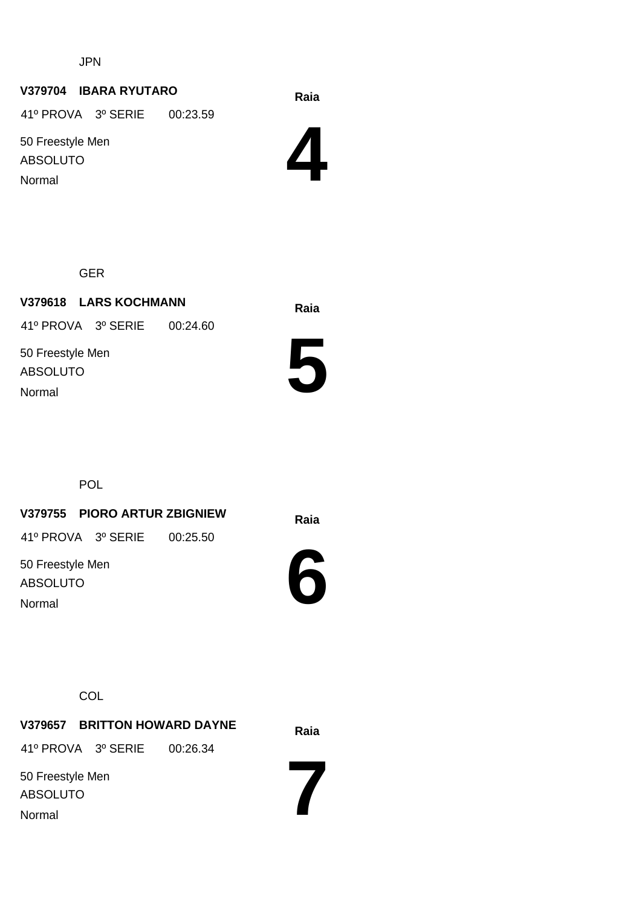JPN

#### **Raia V379704 IBARA RYUTARO**

41º PROVA 3º SERIE 00:23.59

50 Freestyle Men ABSOLUTO Normal



GER

**Raia V379618 LARS KOCHMANN** 50 Freestyle Men ABSOLUTO 41º PROVA 3º SERIE 00:24.60 Normal



POL

**Raia V379755 PIORO ARTUR ZBIGNIEW**

41º PROVA 3º SERIE 00:25.50

50 Freestyle Men ABSOLUTO Normal



**COL** 

**Raia V379657 BRITTON HOWARD DAYNE** 50 Freestyle Men ABSOLUTO 41º PROVA 3º SERIE 00:26.34 Normal

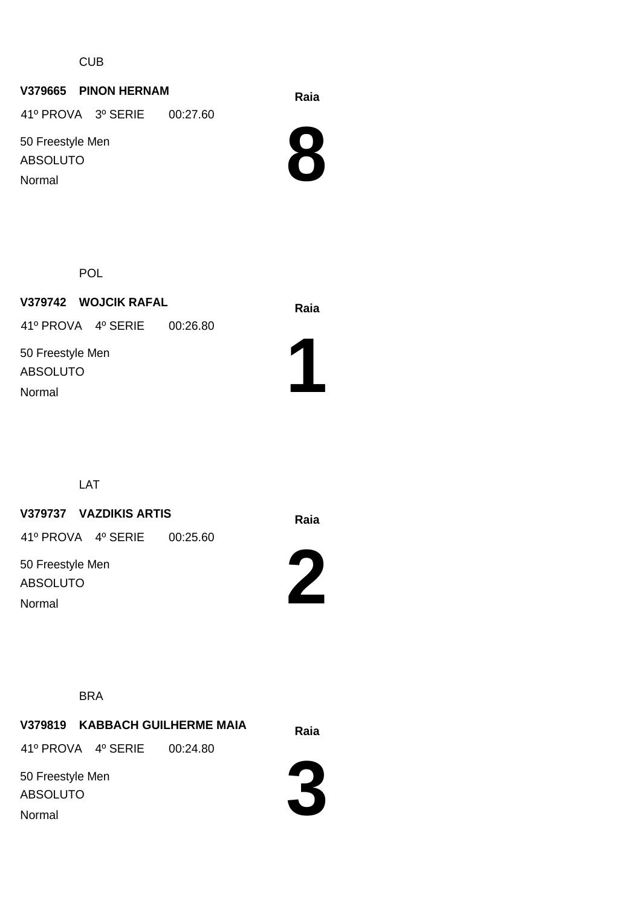CUB

#### **Raia V379665 PINON HERNAM**

41º PROVA 3º SERIE 00:27.60

50 Freestyle Men ABSOLUTO Normal



POL

**Raia V379742 WOJCIK RAFAL** 50 Freestyle Men ABSOLUTO 41º PROVA 4º SERIE 00:26.80 Normal



LAT

#### **Raia V379737 VAZDIKIS ARTIS**

41º PROVA 4º SERIE 00:25.60

50 Freestyle Men ABSOLUTO Normal



BRA

**Raia V379819 KABBACH GUILHERME MAIA** 41º PROVA 4º SERIE 00:24.80

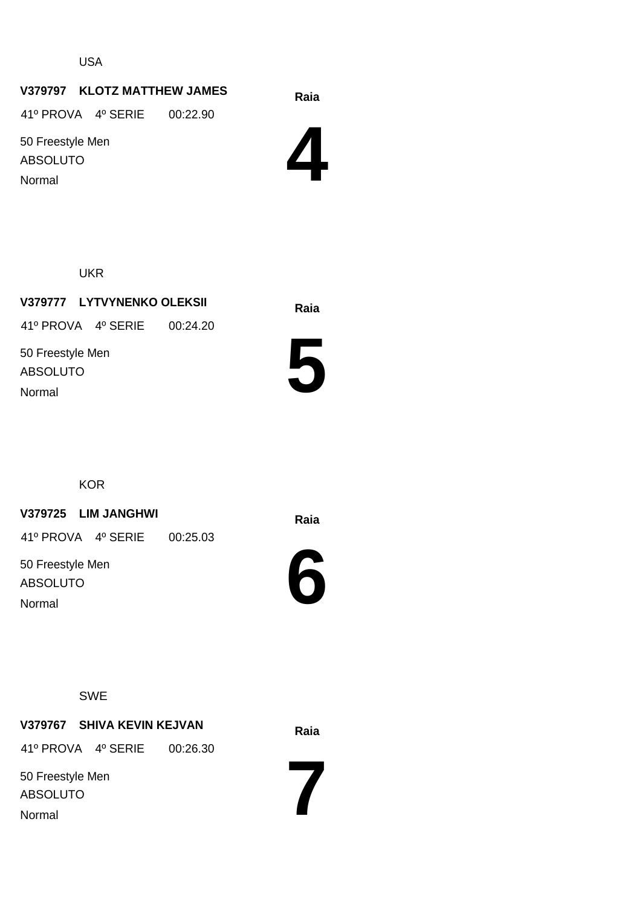USA

#### **Raia V379797 KLOTZ MATTHEW JAMES**

41º PROVA 4º SERIE 00:22.90

50 Freestyle Men ABSOLUTO Normal



UKR

**Raia V379777 LYTVYNENKO OLEKSII** 50 Freestyle Men ABSOLUTO 41º PROVA 4º SERIE 00:24.20 Normal



**KOR** 

#### **Raia V379725 LIM JANGHWI**

41º PROVA 4º SERIE 00:25.03

50 Freestyle Men ABSOLUTO Normal



SWE

#### **Raia V379767 SHIVA KEVIN KEJVAN**

41º PROVA 4º SERIE 00:26.30

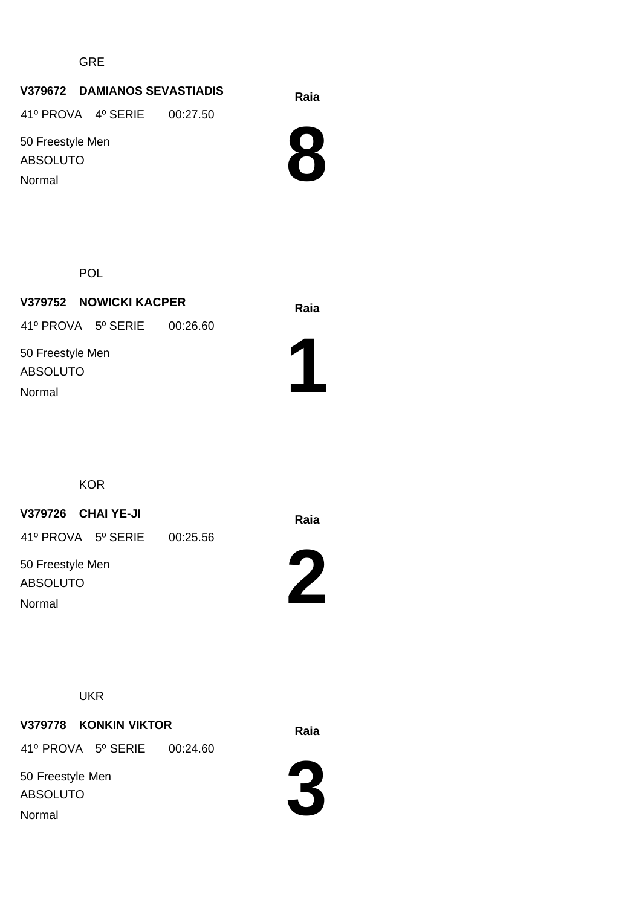GRE

#### **Raia V379672 DAMIANOS SEVASTIADIS**

41º PROVA 4º SERIE 00:27.50

50 Freestyle Men ABSOLUTO Normal



POL

**Raia V379752 NOWICKI KACPER** 50 Freestyle Men ABSOLUTO 41º PROVA 5º SERIE 00:26.60 Normal



**KOR** 

**Raia V379726 CHAI YE-JI**

41º PROVA 5º SERIE 00:25.56

50 Freestyle Men ABSOLUTO Normal



**UKR** 

**Raia V379778 KONKIN VIKTOR** 41º PROVA 5º SERIE 00:24.60

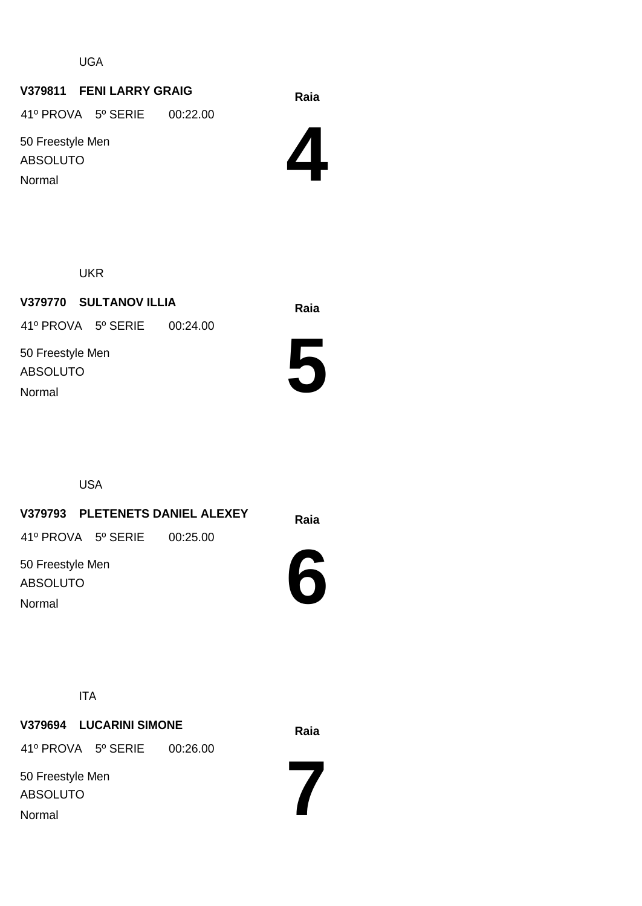UGA

#### **Raia V379811 FENI LARRY GRAIG**

41º PROVA 5º SERIE 00:22.00

50 Freestyle Men ABSOLUTO Normal



UKR

**Raia V379770 SULTANOV ILLIA** 50 Freestyle Men ABSOLUTO 41º PROVA 5º SERIE 00:24.00 Normal



USA

**Raia V379793 PLETENETS DANIEL ALEXEY** 50 Freestyle Men ABSOLUTO 41º PROVA 5º SERIE 00:25.00

Normal



**7**

ITA

**Raia V379694 LUCARINI SIMONE** 50 Freestyle Men ABSOLUTO 41º PROVA 5º SERIE 00:26.00 Normal